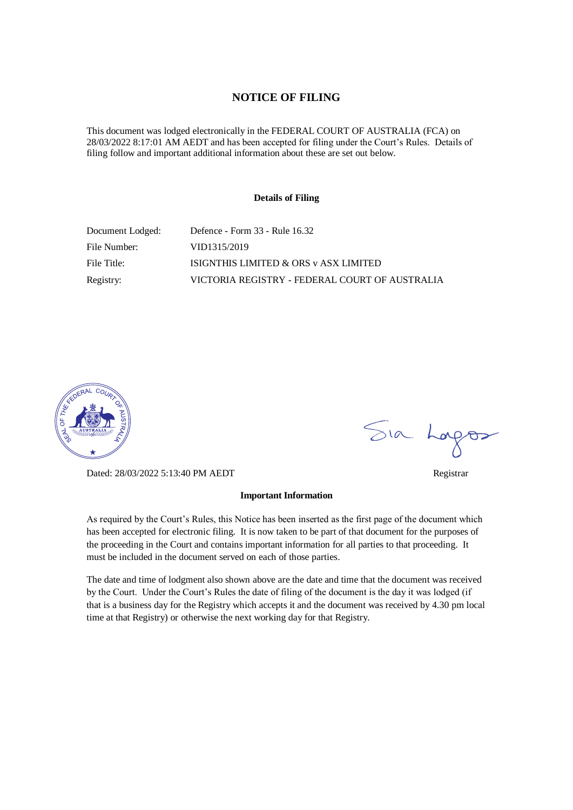### **NOTICE OF FILING**

This document was lodged electronically in the FEDERAL COURT OF AUSTRALIA (FCA) on 28/03/2022 8:17:01 AM AEDT and has been accepted for filing under the Court's Rules. Details of filing follow and important additional information about these are set out below.

#### **Details of Filing**

| Document Lodged: | Defence - Form 33 - Rule 16.32                 |
|------------------|------------------------------------------------|
| File Number:     | VID1315/2019                                   |
| File Title:      | ISIGNTHIS LIMITED & ORS v ASX LIMITED          |
| Registry:        | VICTORIA REGISTRY - FEDERAL COURT OF AUSTRALIA |



Dated: 28/03/2022 5:13:40 PM AEDT Registrar

#### **Important Information**

As required by the Court's Rules, this Notice has been inserted as the first page of the document which has been accepted for electronic filing. It is now taken to be part of that document for the purposes of the proceeding in the Court and contains important information for all parties to that proceeding. It must be included in the document served on each of those parties.

The date and time of lodgment also shown above are the date and time that the document was received by the Court. Under the Court's Rules the date of filing of the document is the day it was lodged (if that is a business day for the Registry which accepts it and the document was received by 4.30 pm local time at that Registry) or otherwise the next working day for that Registry.

Sia Logos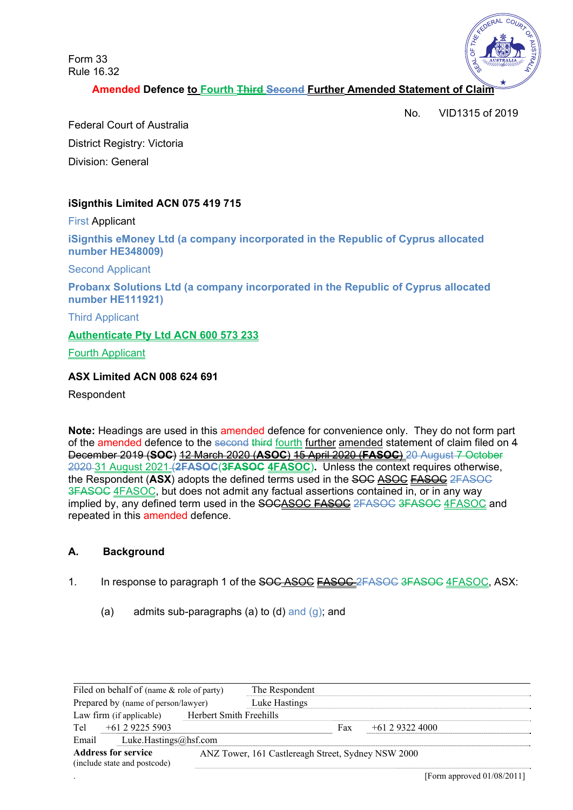Form 33 Rule 16.32



**Amended Defence to Fourth Third Second Further Amended Statement of Claim** 

No. VID1315 of 2019

Federal Court of Australia District Registry: Victoria Division: General

# **iSignthis Limited ACN 075 419 715**

First Applicant

**iSignthis eMoney Ltd (a company incorporated in the Republic of Cyprus allocated number HE348009)** 

Second Applicant

**Probanx Solutions Ltd (a company incorporated in the Republic of Cyprus allocated number HE111921)** 

Third Applicant

### **Authenticate Pty Ltd ACN 600 573 233**

Fourth Applicant

### **ASX Limited ACN 008 624 691**

Respondent

**Note:** Headings are used in this amended defence for convenience only. They do not form part of the amended defence to the second third fourth further amended statement of claim filed on 4 December 2019 (**SOC**) 12 March 2020 (**ASOC**) 15 April 2020 (**FASOC**) 20 August 7 October 2020 31 August 2021 (**2FASOC**(**3FASOC 4FASOC**)**.** Unless the context requires otherwise, the Respondent (**ASX**) adopts the defined terms used in the SOC ASOC FASOC 2FASOC 3FASOC 4FASOC, but does not admit any factual assertions contained in, or in any way implied by, any defined term used in the SOCASOC FASOC 2FASOC 3FASOC 4FASOC and repeated in this amended defence.

## **A. Background**

- 1. In response to paragraph 1 of the SOC ASOC **FASOC** 2FASOC 3FASOC 4FASOC, ASX:
	- (a) admits sub-paragraphs (a) to (d) and  $(g)$ ; and

| Filed on behalf of (name & role of party)<br>Prepared by (name of person/lawyer) |                         | The Respondent                                     |     |                |  |
|----------------------------------------------------------------------------------|-------------------------|----------------------------------------------------|-----|----------------|--|
|                                                                                  |                         | Luke Hastings                                      |     |                |  |
| Law firm (if applicable)                                                         | Herbert Smith Freehills |                                                    |     |                |  |
| $+61$ 2 9225 5903<br>Tel                                                         |                         |                                                    | Fax | $+61293224000$ |  |
| Email<br>Luke.Hastings@hsf.com                                                   |                         |                                                    |     |                |  |
| <b>Address for service</b><br>(include state and postcode)                       |                         | ANZ Tower, 161 Castlereagh Street, Sydney NSW 2000 |     |                |  |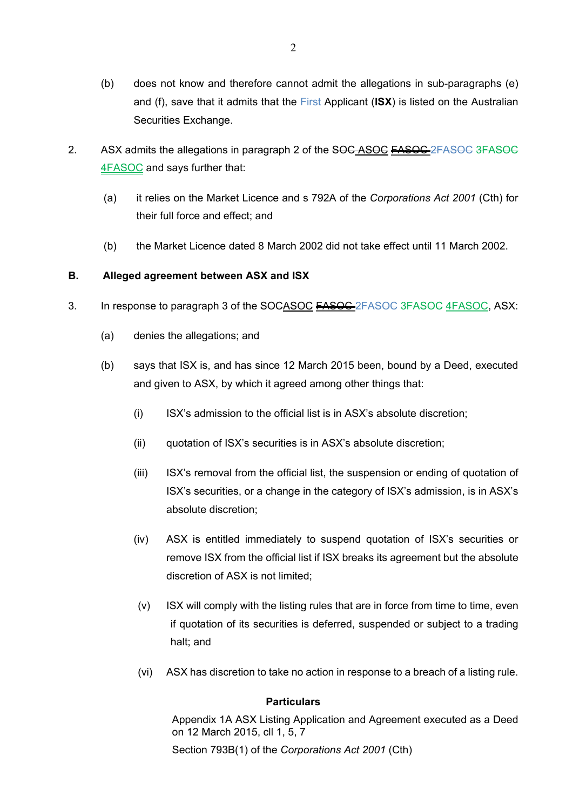- (b) does not know and therefore cannot admit the allegations in sub-paragraphs (e) and (f), save that it admits that the First Applicant (**ISX**) is listed on the Australian Securities Exchange.
- 2. ASX admits the allegations in paragraph 2 of the SOC ASOC FASOC 2FASOC 3FASOC 4FASOC and says further that:
	- (a) it relies on the Market Licence and s 792A of the *Corporations Act 2001* (Cth) for their full force and effect; and
	- (b) the Market Licence dated 8 March 2002 did not take effect until 11 March 2002.

# **B. Alleged agreement between ASX and ISX**

- 3. In response to paragraph 3 of the SOCASOC **FASOC** 2FASOC 3FASOC 4FASOC, ASX:
	- (a) denies the allegations; and
	- (b) says that ISX is, and has since 12 March 2015 been, bound by a Deed, executed and given to ASX, by which it agreed among other things that:
		- (i) ISX's admission to the official list is in ASX's absolute discretion;
		- (ii) quotation of ISX's securities is in ASX's absolute discretion;
		- (iii) ISX's removal from the official list, the suspension or ending of quotation of ISX's securities, or a change in the category of ISX's admission, is in ASX's absolute discretion;
		- (iv) ASX is entitled immediately to suspend quotation of ISX's securities or remove ISX from the official list if ISX breaks its agreement but the absolute discretion of ASX is not limited;
		- (v) ISX will comply with the listing rules that are in force from time to time, even if quotation of its securities is deferred, suspended or subject to a trading halt; and
		- (vi) ASX has discretion to take no action in response to a breach of a listing rule.

## **Particulars**

Appendix 1A ASX Listing Application and Agreement executed as a Deed on 12 March 2015, cll 1, 5, 7

Section 793B(1) of the *Corporations Act 2001* (Cth)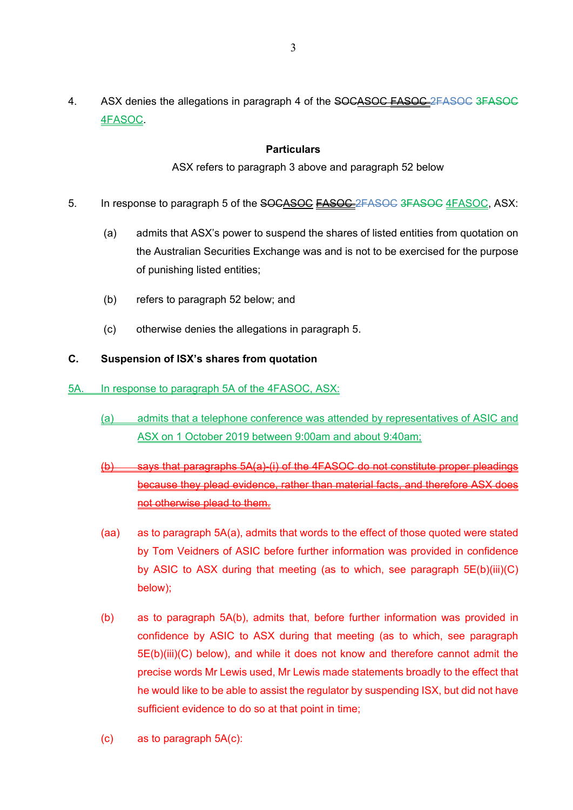4. ASX denies the allegations in paragraph 4 of the SOCASOC FASOC 2FASOC 3FASOC 4FASOC.

# **Particulars**

ASX refers to paragraph 3 above and paragraph 52 below

- 5. In response to paragraph 5 of the SOCASOC **FASOC** 2FASOC 3FASOC 4FASOC, ASX:
	- (a) admits that ASX's power to suspend the shares of listed entities from quotation on the Australian Securities Exchange was and is not to be exercised for the purpose of punishing listed entities;
	- (b) refers to paragraph 52 below; and
	- (c) otherwise denies the allegations in paragraph 5.

# **C. Suspension of ISX's shares from quotation**

- 5A. In response to paragraph 5A of the 4FASOC, ASX:
	- (a) admits that a telephone conference was attended by representatives of ASIC and ASX on 1 October 2019 between 9:00am and about 9:40am;
	- (b) says that paragraphs 5A(a)-(i) of the 4FASOC do not constitute proper pleadings because they plead evidence, rather than material facts, and therefore ASX does not otherwise plead to them.
	- (aa) as to paragraph 5A(a), admits that words to the effect of those quoted were stated by Tom Veidners of ASIC before further information was provided in confidence by ASIC to ASX during that meeting (as to which, see paragraph 5E(b)(iii)(C) below);
	- (b) as to paragraph 5A(b), admits that, before further information was provided in confidence by ASIC to ASX during that meeting (as to which, see paragraph 5E(b)(iii)(C) below), and while it does not know and therefore cannot admit the precise words Mr Lewis used, Mr Lewis made statements broadly to the effect that he would like to be able to assist the regulator by suspending ISX, but did not have sufficient evidence to do so at that point in time;
	- (c) as to paragraph 5A(c):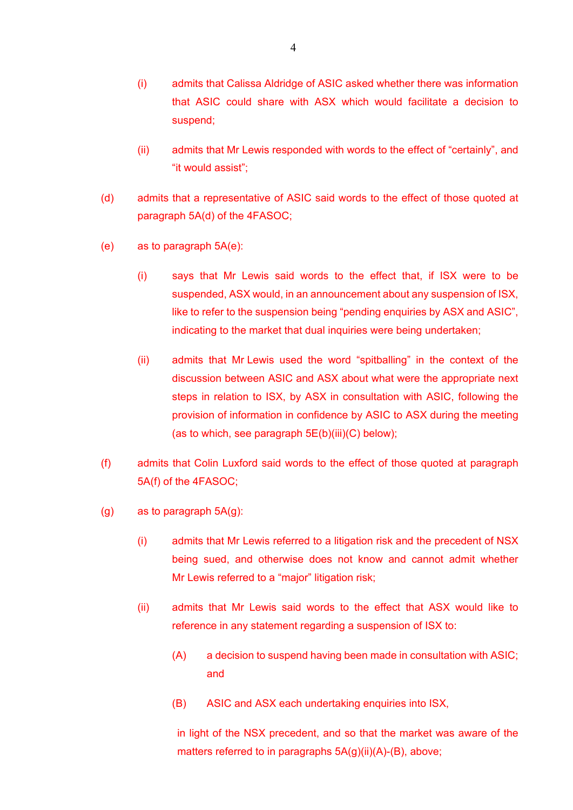- (i) admits that Calissa Aldridge of ASIC asked whether there was information that ASIC could share with ASX which would facilitate a decision to suspend;
- (ii) admits that Mr Lewis responded with words to the effect of "certainly", and "it would assist";
- (d) admits that a representative of ASIC said words to the effect of those quoted at paragraph 5A(d) of the 4FASOC;
- (e) as to paragraph 5A(e):
	- (i) says that Mr Lewis said words to the effect that, if ISX were to be suspended, ASX would, in an announcement about any suspension of ISX, like to refer to the suspension being "pending enquiries by ASX and ASIC", indicating to the market that dual inquiries were being undertaken;
	- (ii) admits that Mr Lewis used the word "spitballing" in the context of the discussion between ASIC and ASX about what were the appropriate next steps in relation to ISX, by ASX in consultation with ASIC, following the provision of information in confidence by ASIC to ASX during the meeting (as to which, see paragraph  $5E(b)(iii)(C)$  below);
- (f) admits that Colin Luxford said words to the effect of those quoted at paragraph 5A(f) of the 4FASOC;
- (g) as to paragraph 5A(g):
	- (i) admits that Mr Lewis referred to a litigation risk and the precedent of NSX being sued, and otherwise does not know and cannot admit whether Mr Lewis referred to a "major" litigation risk;
	- (ii) admits that Mr Lewis said words to the effect that ASX would like to reference in any statement regarding a suspension of ISX to:
		- (A) a decision to suspend having been made in consultation with ASIC; and
		- (B) ASIC and ASX each undertaking enquiries into ISX,

in light of the NSX precedent, and so that the market was aware of the matters referred to in paragraphs  $5A(g)(ii)(A)-(B)$ , above;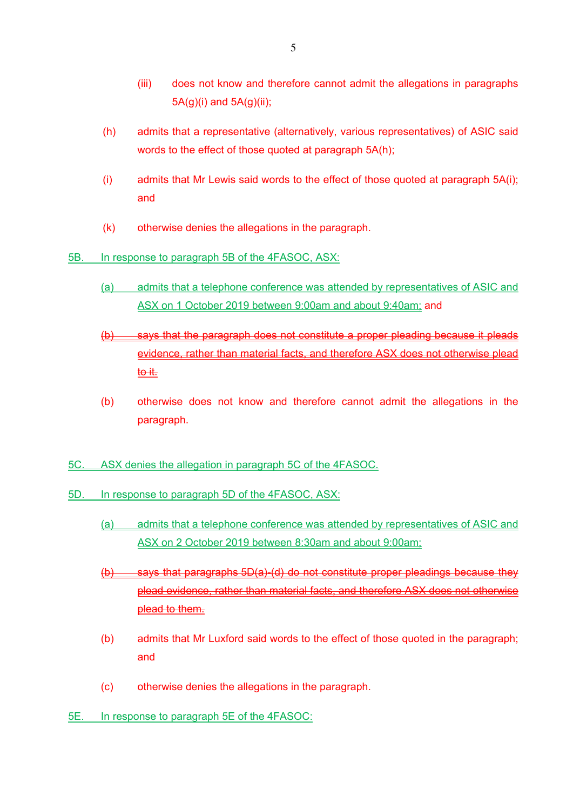- (iii) does not know and therefore cannot admit the allegations in paragraphs 5A(g)(i) and 5A(g)(ii);
- (h) admits that a representative (alternatively, various representatives) of ASIC said words to the effect of those quoted at paragraph 5A(h);
- (i) admits that Mr Lewis said words to the effect of those quoted at paragraph 5A(i); and
- (k) otherwise denies the allegations in the paragraph.
- 5B. In response to paragraph 5B of the 4FASOC, ASX:
	- (a) admits that a telephone conference was attended by representatives of ASIC and ASX on 1 October 2019 between 9:00am and about 9:40am; and
	- (b) says that the paragraph does not constitute a proper pleading because it pleads evidence, rather than material facts, and therefore ASX does not otherwise plead to it.
	- (b) otherwise does not know and therefore cannot admit the allegations in the paragraph.
- 5C. ASX denies the allegation in paragraph 5C of the 4FASOC.
- 5D. In response to paragraph 5D of the 4FASOC, ASX:
	- (a) admits that a telephone conference was attended by representatives of ASIC and ASX on 2 October 2019 between 8:30am and about 9:00am;
	- (b) says that paragraphs 5D(a)-(d) do not constitute proper pleadings because they plead evidence, rather than material facts, and therefore ASX does not otherwise plead to them.
	- (b) admits that Mr Luxford said words to the effect of those quoted in the paragraph; and
	- (c) otherwise denies the allegations in the paragraph.
- 5E. In response to paragraph 5E of the 4FASOC: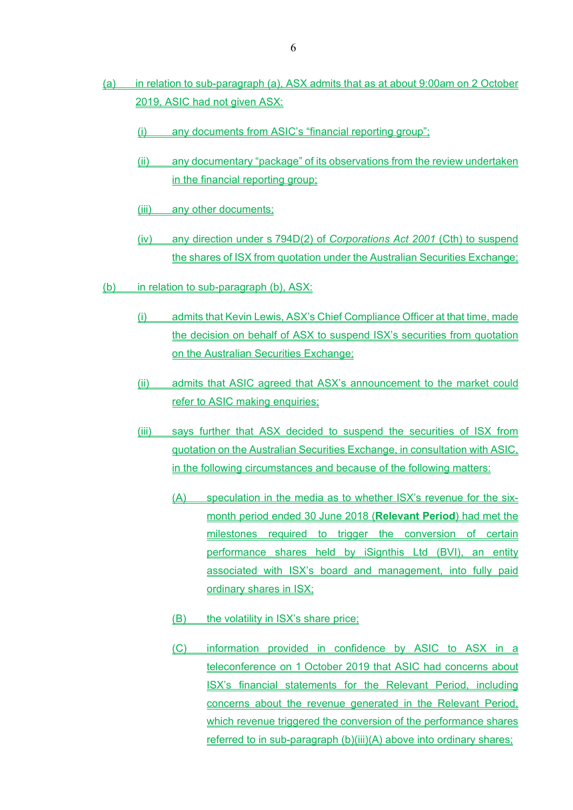- (a) in relation to sub-paragraph (a), ASX admits that as at about 9:00am on 2 October 2019, ASIC had not given ASX:
	- (i) any documents from ASIC's "financial reporting group";
	- (ii) any documentary "package" of its observations from the review undertaken in the financial reporting group;
	- (iii) any other documents;
	- (iv) any direction under s 794D(2) of *Corporations Act 2001* (Cth) to suspend the shares of ISX from quotation under the Australian Securities Exchange;
- (b) in relation to sub-paragraph (b), ASX:
	- (i) admits that Kevin Lewis, ASX's Chief Compliance Officer at that time, made the decision on behalf of ASX to suspend ISX's securities from quotation on the Australian Securities Exchange;
	- (ii) admits that ASIC agreed that ASX's announcement to the market could refer to ASIC making enquiries;
	- (iii) says further that ASX decided to suspend the securities of ISX from quotation on the Australian Securities Exchange, in consultation with ASIC, in the following circumstances and because of the following matters:
		- (A) speculation in the media as to whether ISX's revenue for the sixmonth period ended 30 June 2018 (**Relevant Period**) had met the milestones required to trigger the conversion of certain performance shares held by iSignthis Ltd (BVI), an entity associated with ISX's board and management, into fully paid ordinary shares in ISX;
		- (B) the volatility in ISX's share price;
		- (C) information provided in confidence by ASIC to ASX in a teleconference on 1 October 2019 that ASIC had concerns about ISX's financial statements for the Relevant Period, including concerns about the revenue generated in the Relevant Period, which revenue triggered the conversion of the performance shares referred to in sub-paragraph (b)(iii)(A) above into ordinary shares;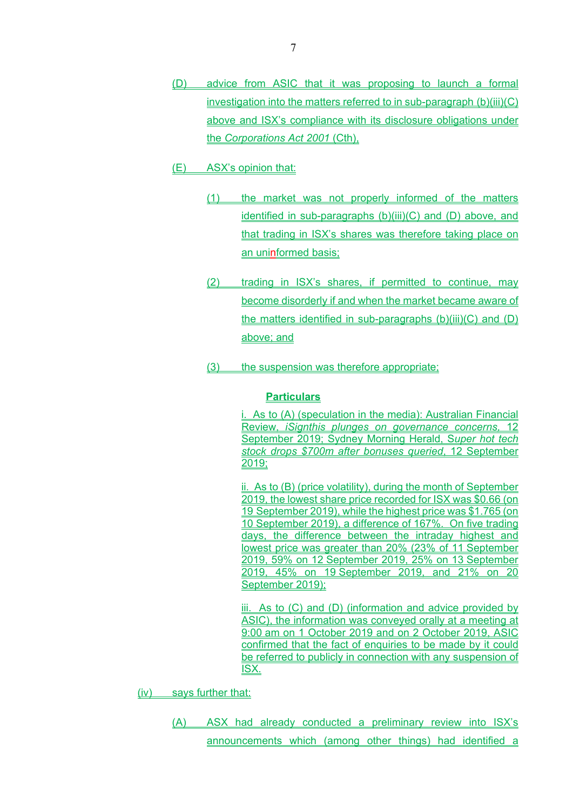- (D) advice from ASIC that it was proposing to launch a formal investigation into the matters referred to in sub-paragraph (b)(iii)(C) above and ISX's compliance with its disclosure obligations under the *Corporations Act 2001* (Cth),
- (E) ASX's opinion that:
	- (1) the market was not properly informed of the matters identified in sub-paragraphs (b)(iii)(C) and (D) above, and that trading in ISX's shares was therefore taking place on an uninformed basis;
	- (2) trading in ISX's shares, if permitted to continue, may become disorderly if and when the market became aware of the matters identified in sub-paragraphs (b)(iii)(C) and (D) above; and
	- (3) the suspension was therefore appropriate;

i. As to (A) (speculation in the media): Australian Financial Review, *iSignthis plunges on governance concerns,* 12 September 2019; Sydney Morning Herald, S*uper hot tech stock drops \$700m after bonuses queried*, 12 September 2019;

ii. As to (B) (price volatility), during the month of September 2019, the lowest share price recorded for ISX was \$0.66 (on 19 September 2019), while the highest price was \$1.765 (on 10 September 2019), a difference of 167%. On five trading days, the difference between the intraday highest and lowest price was greater than 20% (23% of 11 September 2019, 59% on 12 September 2019, 25% on 13 September 2019, 45% on 19 September 2019, and 21% on 20 September 2019);

iii. As to (C) and (D) (information and advice provided by ASIC), the information was conveyed orally at a meeting at 9:00 am on 1 October 2019 and on 2 October 2019, ASIC confirmed that the fact of enquiries to be made by it could be referred to publicly in connection with any suspension of ISX.

(iv) says further that:

(A) ASX had already conducted a preliminary review into ISX's announcements which (among other things) had identified a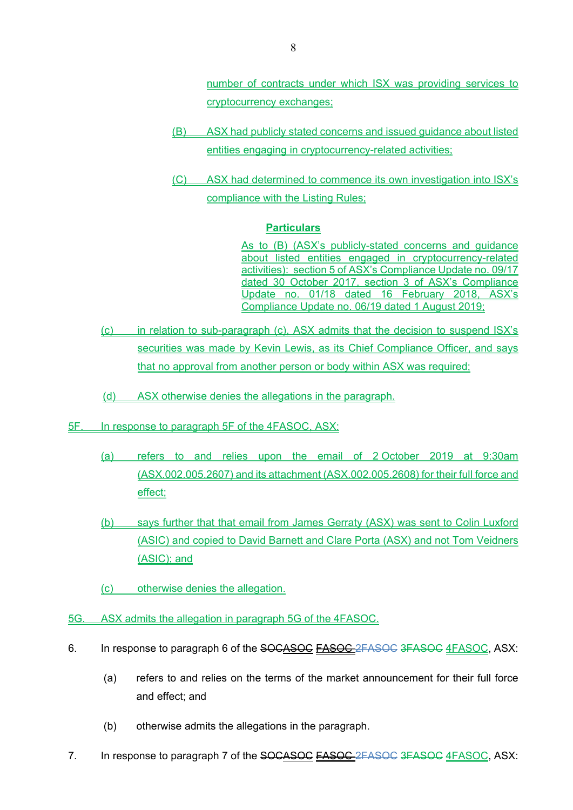number of contracts under which ISX was providing services to cryptocurrency exchanges;

- (B) ASX had publicly stated concerns and issued guidance about listed entities engaging in cryptocurrency-related activities;
- (C) ASX had determined to commence its own investigation into ISX's compliance with the Listing Rules;

#### **Particulars**

As to (B) (ASX's publicly-stated concerns and guidance about listed entities engaged in cryptocurrency-related activities): section 5 of ASX's Compliance Update no. 09/17 dated 30 October 2017, section 3 of ASX's Compliance Update no. 01/18 dated 16 February 2018, ASX's Compliance Update no. 06/19 dated 1 August 2019;

- (c) in relation to sub-paragraph (c), ASX admits that the decision to suspend ISX's securities was made by Kevin Lewis, as its Chief Compliance Officer, and says that no approval from another person or body within ASX was required;
- (d) ASX otherwise denies the allegations in the paragraph.
- 5F. In response to paragraph 5F of the 4FASOC, ASX:
	- (a) refers to and relies upon the email of 2 October 2019 at 9:30am (ASX.002.005.2607) and its attachment (ASX.002.005.2608) for their full force and effect;
	- (b) says further that that email from James Gerraty (ASX) was sent to Colin Luxford (ASIC) and copied to David Barnett and Clare Porta (ASX) and not Tom Veidners (ASIC); and
	- (c) otherwise denies the allegation.
- 5G. ASX admits the allegation in paragraph 5G of the 4FASOC.
- 6. In response to paragraph 6 of the SOCASOC **FASOC** 2FASOC 3FASOC 4FASOC, ASX:
	- (a) refers to and relies on the terms of the market announcement for their full force and effect; and
	- (b) otherwise admits the allegations in the paragraph.
- 7. In response to paragraph 7 of the SOCASOC FASOC 2FASOC 3FASOC 4FASOC, ASX: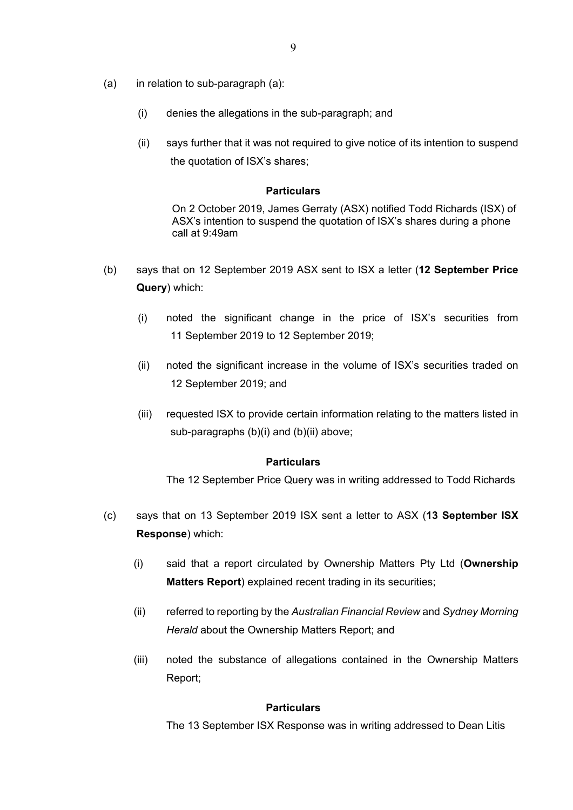- (a) in relation to sub-paragraph (a):
	- (i) denies the allegations in the sub-paragraph; and
	- (ii) says further that it was not required to give notice of its intention to suspend the quotation of ISX's shares;

On 2 October 2019, James Gerraty (ASX) notified Todd Richards (ISX) of ASX's intention to suspend the quotation of ISX's shares during a phone call at 9:49am

- (b) says that on 12 September 2019 ASX sent to ISX a letter (**12 September Price Query**) which:
	- (i) noted the significant change in the price of ISX's securities from 11 September 2019 to 12 September 2019;
	- (ii) noted the significant increase in the volume of ISX's securities traded on 12 September 2019; and
	- (iii) requested ISX to provide certain information relating to the matters listed in sub-paragraphs (b)(i) and (b)(ii) above;

#### **Particulars**

The 12 September Price Query was in writing addressed to Todd Richards

- (c) says that on 13 September 2019 ISX sent a letter to ASX (**13 September ISX Response**) which:
	- (i) said that a report circulated by Ownership Matters Pty Ltd (**Ownership Matters Report**) explained recent trading in its securities;
	- (ii) referred to reporting by the *Australian Financial Review* and *Sydney Morning Herald* about the Ownership Matters Report; and
	- (iii) noted the substance of allegations contained in the Ownership Matters Report;

#### **Particulars**

The 13 September ISX Response was in writing addressed to Dean Litis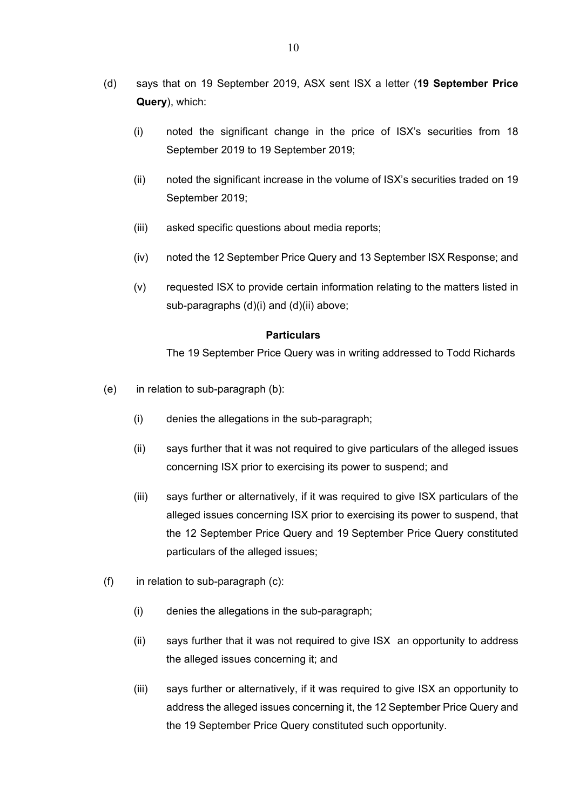- (d) says that on 19 September 2019, ASX sent ISX a letter (**19 September Price Query**), which:
	- (i) noted the significant change in the price of ISX's securities from 18 September 2019 to 19 September 2019;
	- (ii) noted the significant increase in the volume of ISX's securities traded on 19 September 2019;
	- (iii) asked specific questions about media reports;
	- (iv) noted the 12 September Price Query and 13 September ISX Response; and
	- (v) requested ISX to provide certain information relating to the matters listed in sub-paragraphs (d)(i) and (d)(ii) above;

The 19 September Price Query was in writing addressed to Todd Richards

- (e) in relation to sub-paragraph (b):
	- (i) denies the allegations in the sub-paragraph;
	- (ii) says further that it was not required to give particulars of the alleged issues concerning ISX prior to exercising its power to suspend; and
	- (iii) says further or alternatively, if it was required to give ISX particulars of the alleged issues concerning ISX prior to exercising its power to suspend, that the 12 September Price Query and 19 September Price Query constituted particulars of the alleged issues;
- (f) in relation to sub-paragraph (c):
	- (i) denies the allegations in the sub-paragraph;
	- (ii) says further that it was not required to give ISX an opportunity to address the alleged issues concerning it; and
	- (iii) says further or alternatively, if it was required to give ISX an opportunity to address the alleged issues concerning it, the 12 September Price Query and the 19 September Price Query constituted such opportunity.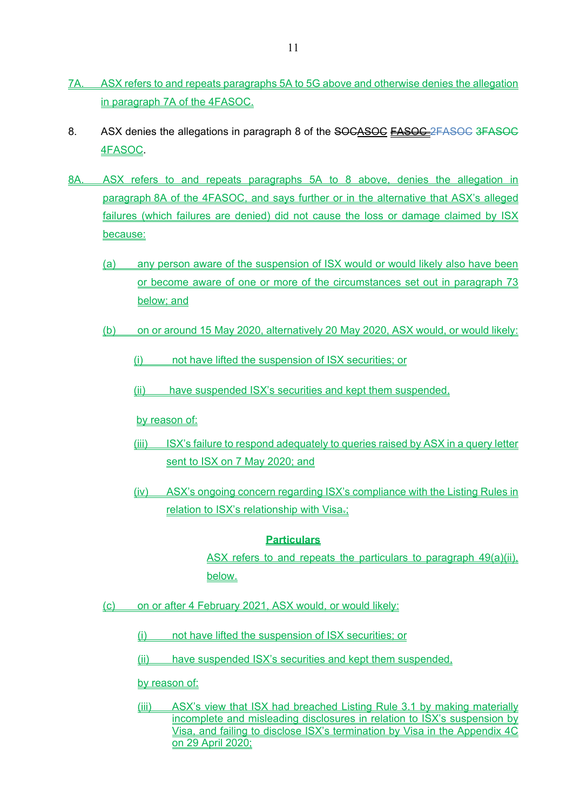- 7A. ASX refers to and repeats paragraphs 5A to 5G above and otherwise denies the allegation in paragraph 7A of the 4FASOC.
- 8. ASX denies the allegations in paragraph 8 of the SOCASOC FASOC 2FASOC 3FASOC 4FASOC.
- 8A. ASX refers to and repeats paragraphs 5A to 8 above, denies the allegation in paragraph 8A of the 4FASOC, and says further or in the alternative that ASX's alleged failures (which failures are denied) did not cause the loss or damage claimed by ISX because:
	- (a) any person aware of the suspension of ISX would or would likely also have been or become aware of one or more of the circumstances set out in paragraph 73 below; and
	- (b) on or around 15 May 2020, alternatively 20 May 2020, ASX would, or would likely:
		- (i) not have lifted the suspension of ISX securities; or
		- (ii) have suspended ISX's securities and kept them suspended,

by reason of:

- (iii) ISX's failure to respond adequately to queries raised by ASX in a query letter sent to ISX on 7 May 2020; and
- (iv) ASX's ongoing concern regarding ISX's compliance with the Listing Rules in relation to ISX's relationship with Visa-;

## **Particulars**

ASX refers to and repeats the particulars to paragraph 49(a)(ii), below.

(c) on or after 4 February 2021, ASX would, or would likely:

- (i) not have lifted the suspension of ISX securities; or
- (ii) have suspended ISX's securities and kept them suspended,

by reason of:

(iii) ASX's view that ISX had breached Listing Rule 3.1 by making materially incomplete and misleading disclosures in relation to ISX's suspension by Visa, and failing to disclose ISX's termination by Visa in the Appendix 4C on 29 April 2020;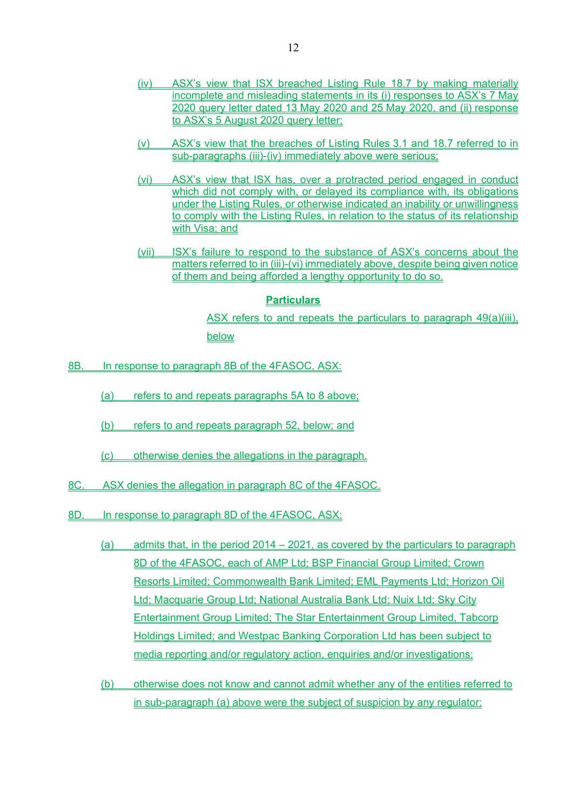- (iv) ASX's view that ISX breached Listing Rule 18.7 by making materially incomplete and misleading statements in its (i) responses to ASX's 7 May 2020 query letter dated 13 May 2020 and 25 May 2020, and (ii) response to ASX's 5 August 2020 query letter;
- (v) ASX's view that the breaches of Listing Rules 3.1 and 18.7 referred to in sub-paragraphs (iii)-(iv) immediately above were serious;
- (vi) ASX's view that ISX has, over a protracted period engaged in conduct which did not comply with, or delayed its compliance with, its obligations under the Listing Rules, or otherwise indicated an inability or unwillingness to comply with the Listing Rules, in relation to the status of its relationship with Visa; and
- (vii) ISX's failure to respond to the substance of ASX's concerns about the matters referred to in (iii)-(vi) immediately above, despite being given notice of them and being afforded a lengthy opportunity to do so.

ASX refers to and repeats the particulars to paragraph 49(a)(iii), below

- 8B. In response to paragraph 8B of the 4FASOC, ASX:
	- (a) refers to and repeats paragraphs 5A to 8 above;
	- (b) refers to and repeats paragraph 52, below; and
	- (c) otherwise denies the allegations in the paragraph.
- 8C. ASX denies the allegation in paragraph 8C of the 4FASOC.
- 8D. In response to paragraph 8D of the 4FASOC, ASX:
	- (a) admits that, in the period  $2014 2021$ , as covered by the particulars to paragraph 8D of the 4FASOC, each of AMP Ltd; BSP Financial Group Limited; Crown Resorts Limited; Commonwealth Bank Limited; EML Payments Ltd; Horizon Oil Ltd; Macquarie Group Ltd; National Australia Bank Ltd; Nuix Ltd; Sky City Entertainment Group Limited; The Star Entertainment Group Limited, Tabcorp Holdings Limited; and Westpac Banking Corporation Ltd has been subject to media reporting and/or regulatory action, enquiries and/or investigations;
	- (b) otherwise does not know and cannot admit whether any of the entities referred to in sub-paragraph (a) above were the subject of suspicion by any regulator;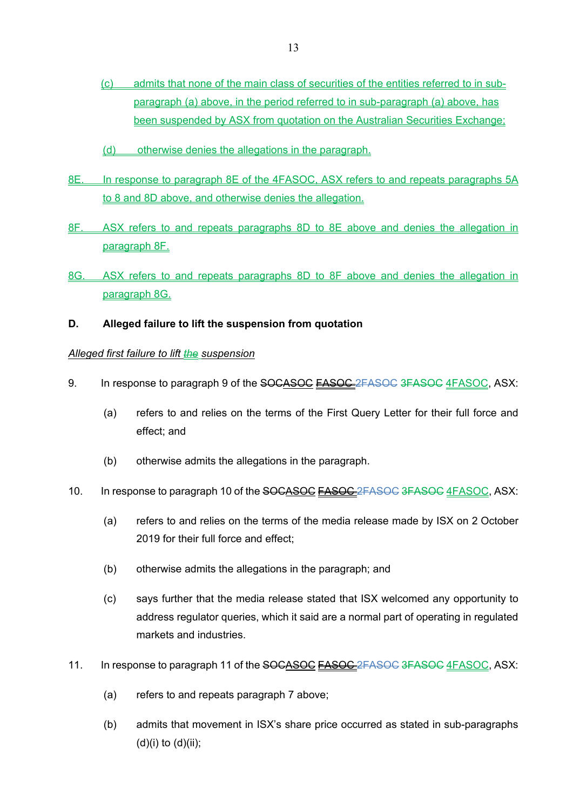- (c) admits that none of the main class of securities of the entities referred to in subparagraph (a) above, in the period referred to in sub-paragraph (a) above, has been suspended by ASX from quotation on the Australian Securities Exchange;
- (d) otherwise denies the allegations in the paragraph.
- 8E. In response to paragraph 8E of the 4FASOC, ASX refers to and repeats paragraphs 5A to 8 and 8D above, and otherwise denies the allegation.
- 8F. ASX refers to and repeats paragraphs 8D to 8E above and denies the allegation in paragraph 8F.
- 8G. ASX refers to and repeats paragraphs 8D to 8F above and denies the allegation in paragraph 8G.
- **D. Alleged failure to lift the suspension from quotation**

## *Alleged first failure to lift the suspension*

- 9. In response to paragraph 9 of the SOCASOC FASOC 2FASOC 3FASOC 4FASOC, ASX:
	- (a) refers to and relies on the terms of the First Query Letter for their full force and effect; and
	- (b) otherwise admits the allegations in the paragraph.
- 10. In response to paragraph 10 of the SOCASOC FASOC 2FASOC 3FASOC 4FASOC, ASX:
	- (a) refers to and relies on the terms of the media release made by ISX on 2 October 2019 for their full force and effect;
	- (b) otherwise admits the allegations in the paragraph; and
	- (c) says further that the media release stated that ISX welcomed any opportunity to address regulator queries, which it said are a normal part of operating in regulated markets and industries.
- 11. In response to paragraph 11 of the SOCASOC FASOC 2FASOC 3FASOC 4FASOC, ASX:
	- (a) refers to and repeats paragraph 7 above;
	- (b) admits that movement in ISX's share price occurred as stated in sub-paragraphs  $(d)(i)$  to  $(d)(ii)$ ;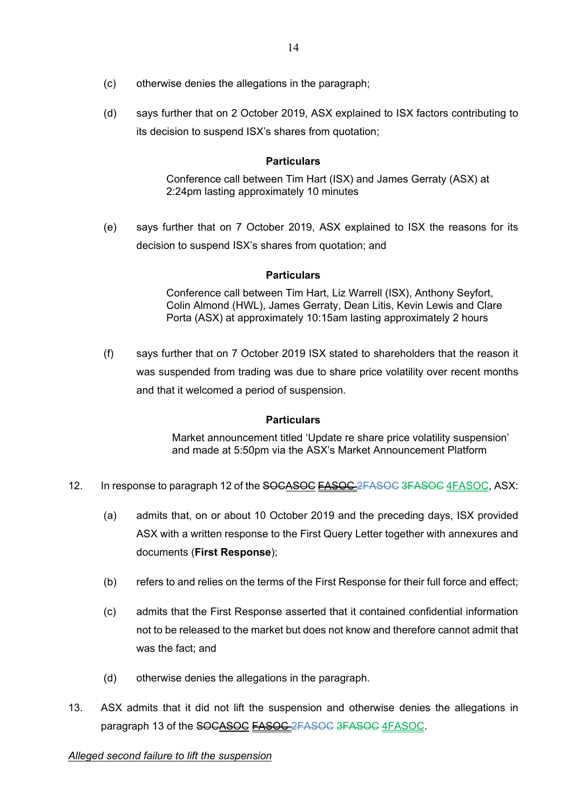- (c) otherwise denies the allegations in the paragraph;
- (d) says further that on 2 October 2019, ASX explained to ISX factors contributing to its decision to suspend ISX's shares from quotation;

Conference call between Tim Hart (ISX) and James Gerraty (ASX) at 2:24pm lasting approximately 10 minutes

(e) says further that on 7 October 2019, ASX explained to ISX the reasons for its decision to suspend ISX's shares from quotation; and

## **Particulars**

Conference call between Tim Hart, Liz Warrell (ISX), Anthony Seyfort, Colin Almond (HWL), James Gerraty, Dean Litis, Kevin Lewis and Clare Porta (ASX) at approximately 10:15am lasting approximately 2 hours

(f) says further that on 7 October 2019 ISX stated to shareholders that the reason it was suspended from trading was due to share price volatility over recent months and that it welcomed a period of suspension.

## **Particulars**

Market announcement titled 'Update re share price volatility suspension' and made at 5:50pm via the ASX's Market Announcement Platform

- 12. In response to paragraph 12 of the SOCASOC **FASOC** 2FASOC 3FASOC 4FASOC, ASX:
	- (a) admits that, on or about 10 October 2019 and the preceding days, ISX provided ASX with a written response to the First Query Letter together with annexures and documents (**First Response**);
	- (b) refers to and relies on the terms of the First Response for their full force and effect;
	- (c) admits that the First Response asserted that it contained confidential information not to be released to the market but does not know and therefore cannot admit that was the fact; and
	- (d) otherwise denies the allegations in the paragraph.
- 13. ASX admits that it did not lift the suspension and otherwise denies the allegations in paragraph 13 of the SOCASOC **FASOC** 2FASOC 3FASOC 4FASOC.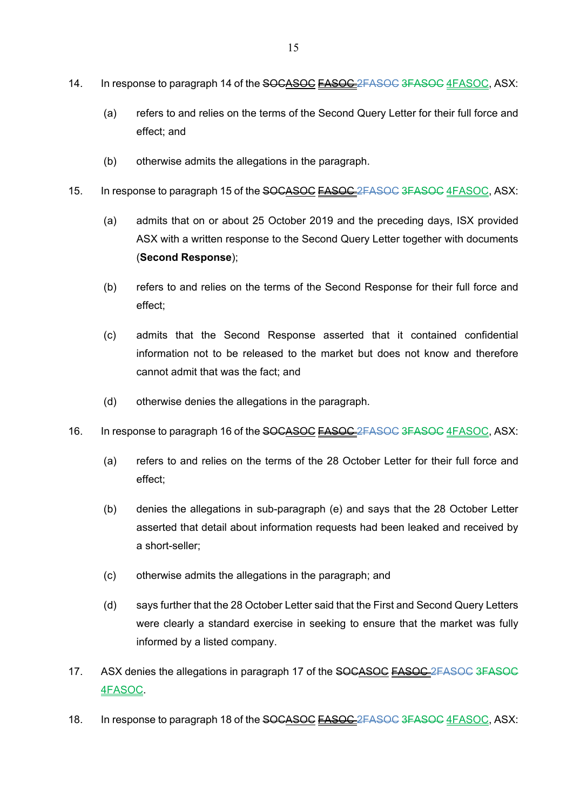- 14. In response to paragraph 14 of the SOCASOC FASOC 2FASOC 3FASOC 4FASOC, ASX:
	- (a) refers to and relies on the terms of the Second Query Letter for their full force and effect; and
	- (b) otherwise admits the allegations in the paragraph.
- 15. In response to paragraph 15 of the SOCASOC **FASOC** 2FASOC 3FASOC 4FASOC, ASX:
	- (a) admits that on or about 25 October 2019 and the preceding days, ISX provided ASX with a written response to the Second Query Letter together with documents (**Second Response**);
	- (b) refers to and relies on the terms of the Second Response for their full force and effect;
	- (c) admits that the Second Response asserted that it contained confidential information not to be released to the market but does not know and therefore cannot admit that was the fact; and
	- (d) otherwise denies the allegations in the paragraph.
- 16. In response to paragraph 16 of the SOCASOC **FASOC** 2FASOC 3FASOC 4FASOC, ASX:
	- (a) refers to and relies on the terms of the 28 October Letter for their full force and effect;
	- (b) denies the allegations in sub-paragraph (e) and says that the 28 October Letter asserted that detail about information requests had been leaked and received by a short-seller;
	- (c) otherwise admits the allegations in the paragraph; and
	- (d) says further that the 28 October Letter said that the First and Second Query Letters were clearly a standard exercise in seeking to ensure that the market was fully informed by a listed company.
- 17. ASX denies the allegations in paragraph 17 of the SOCASOC FASOC 2FASOC 3FASOC 4FASOC.
- 18. In response to paragraph 18 of the SOCASOC FASOC 2FASOC 3FASOC 4FASOC, ASX: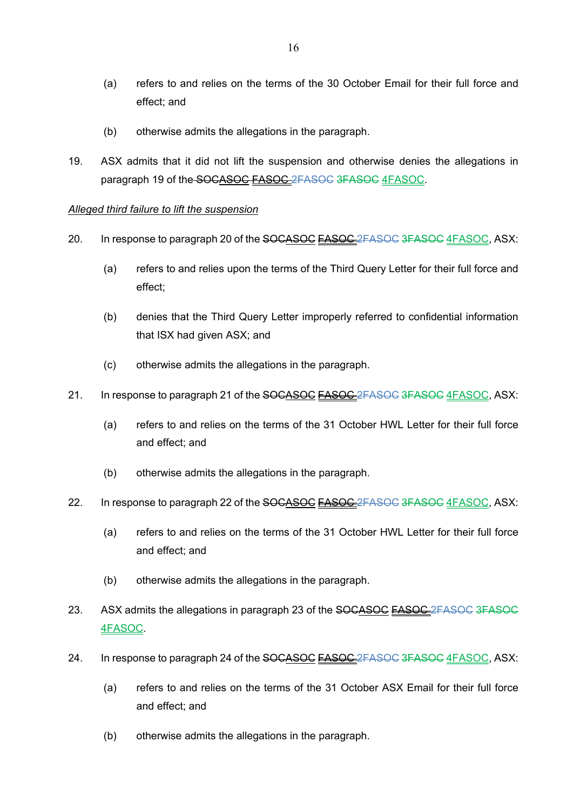- (a) refers to and relies on the terms of the 30 October Email for their full force and effect; and
- (b) otherwise admits the allegations in the paragraph.
- 19. ASX admits that it did not lift the suspension and otherwise denies the allegations in paragraph 19 of the SOCASOC FASOC 2FASOC 3FASOC 4FASOC.

### *Alleged third failure to lift the suspension*

- 20. In response to paragraph 20 of the SOCASOC **FASOC** 2FASOC 3FASOC 4FASOC, ASX:
	- (a) refers to and relies upon the terms of the Third Query Letter for their full force and effect;
	- (b) denies that the Third Query Letter improperly referred to confidential information that ISX had given ASX; and
	- (c) otherwise admits the allegations in the paragraph.
- 21. In response to paragraph 21 of the SOCASOC **FASOC** 2FASOC 3FASOC 4FASOC, ASX:
	- (a) refers to and relies on the terms of the 31 October HWL Letter for their full force and effect; and
	- (b) otherwise admits the allegations in the paragraph.
- 22. In response to paragraph 22 of the SOCASOC FASOC 2FASOC 3FASOC 4FASOC, ASX:
	- (a) refers to and relies on the terms of the 31 October HWL Letter for their full force and effect; and
	- (b) otherwise admits the allegations in the paragraph.
- 23. ASX admits the allegations in paragraph 23 of the SOCASOC **FASOC** 2FASOC 3FASOC 4FASOC.
- 24. In response to paragraph 24 of the SOCASOC **FASOC** 2FASOC 3FASOC 4FASOC, ASX:
	- (a) refers to and relies on the terms of the 31 October ASX Email for their full force and effect; and
	- (b) otherwise admits the allegations in the paragraph.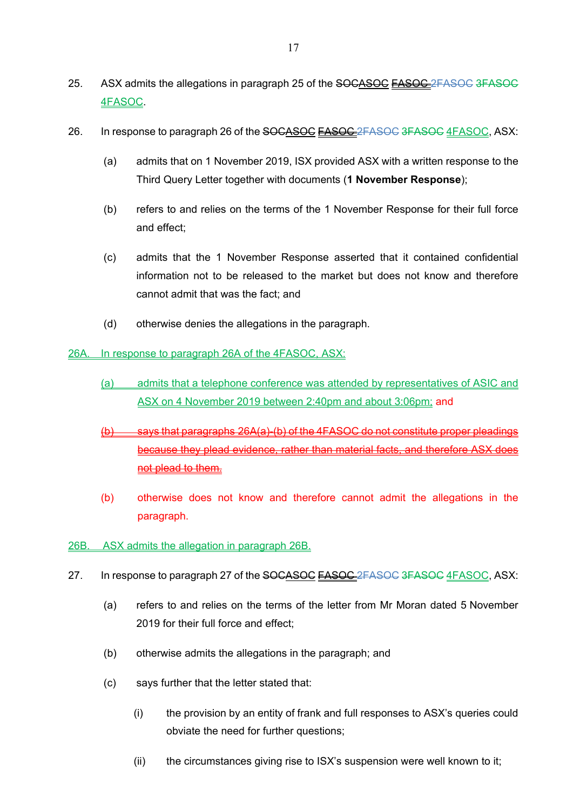- 25. ASX admits the allegations in paragraph 25 of the SOCASOC FASOC 2FASOC 3FASOC 4FASOC.
- 26. In response to paragraph 26 of the SOCASOC **FASOC** 2FASOC 3FASOC 4FASOC, ASX:
	- (a) admits that on 1 November 2019, ISX provided ASX with a written response to the Third Query Letter together with documents (**1 November Response**);
	- (b) refers to and relies on the terms of the 1 November Response for their full force and effect;
	- (c) admits that the 1 November Response asserted that it contained confidential information not to be released to the market but does not know and therefore cannot admit that was the fact; and
	- (d) otherwise denies the allegations in the paragraph.
- 26A. In response to paragraph 26A of the 4FASOC, ASX:
	- (a) admits that a telephone conference was attended by representatives of ASIC and ASX on 4 November 2019 between 2:40pm and about 3:06pm; and
	- $(b)$  says that paragraphs 26A(a)-(b) of the 4FASOC do not constitute proper pleadings because they plead evidence, rather than material facts, and therefore ASX does not plead to them.
	- (b) otherwise does not know and therefore cannot admit the allegations in the paragraph.
- 26B. ASX admits the allegation in paragraph 26B.
- 27. In response to paragraph 27 of the SOCASOC FASOC 2FASOC 3FASOC 4FASOC, ASX:
	- (a) refers to and relies on the terms of the letter from Mr Moran dated 5 November 2019 for their full force and effect;
	- (b) otherwise admits the allegations in the paragraph; and
	- (c) says further that the letter stated that:
		- (i) the provision by an entity of frank and full responses to ASX's queries could obviate the need for further questions;
		- (ii) the circumstances giving rise to ISX's suspension were well known to it;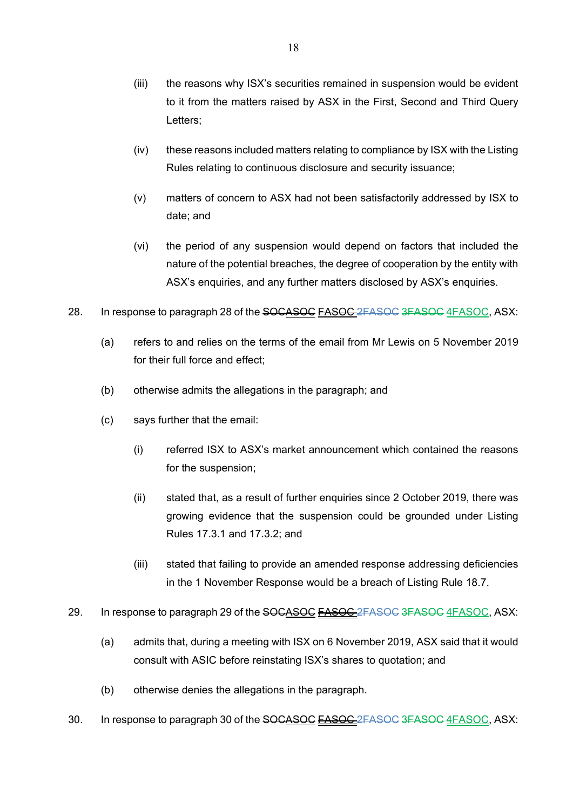- (iii) the reasons why ISX's securities remained in suspension would be evident to it from the matters raised by ASX in the First, Second and Third Query Letters;
- (iv) these reasons included matters relating to compliance by ISX with the Listing Rules relating to continuous disclosure and security issuance;
- (v) matters of concern to ASX had not been satisfactorily addressed by ISX to date; and
- (vi) the period of any suspension would depend on factors that included the nature of the potential breaches, the degree of cooperation by the entity with ASX's enquiries, and any further matters disclosed by ASX's enquiries.
- 28. In response to paragraph 28 of the SOCASOC FASOC 2FASOC 3FASOC 4FASOC, ASX:
	- (a) refers to and relies on the terms of the email from Mr Lewis on 5 November 2019 for their full force and effect;
	- (b) otherwise admits the allegations in the paragraph; and
	- (c) says further that the email:
		- (i) referred ISX to ASX's market announcement which contained the reasons for the suspension;
		- (ii) stated that, as a result of further enquiries since 2 October 2019, there was growing evidence that the suspension could be grounded under Listing Rules 17.3.1 and 17.3.2; and
		- (iii) stated that failing to provide an amended response addressing deficiencies in the 1 November Response would be a breach of Listing Rule 18.7.
- 29. In response to paragraph 29 of the SOCASOC **FASOC** 2FASOC 3FASOC 4FASOC, ASX:
	- (a) admits that, during a meeting with ISX on 6 November 2019, ASX said that it would consult with ASIC before reinstating ISX's shares to quotation; and
	- (b) otherwise denies the allegations in the paragraph.
- 30. In response to paragraph 30 of the SOCASOC FASOC 2FASOC 3FASOC 4FASOC, ASX: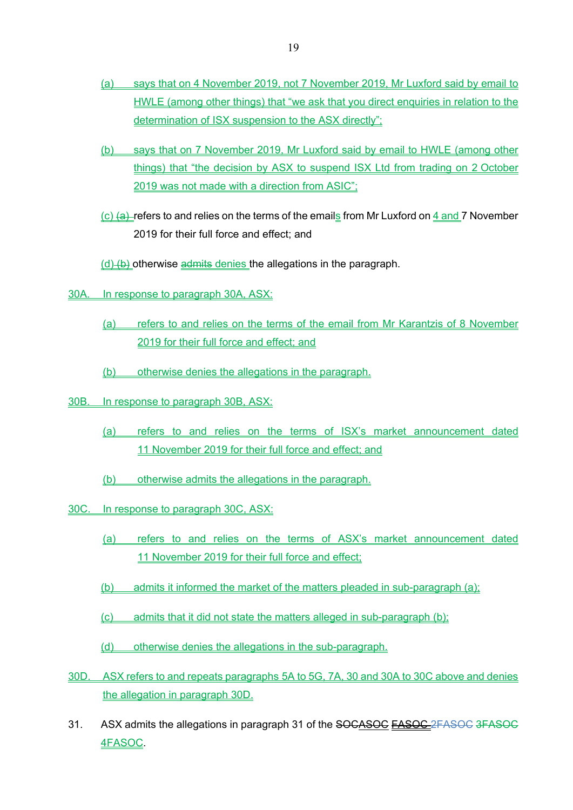- (a) says that on 4 November 2019, not 7 November 2019, Mr Luxford said by email to HWLE (among other things) that "we ask that you direct enquiries in relation to the determination of ISX suspension to the ASX directly":
- (b) says that on 7 November 2019, Mr Luxford said by email to HWLE (among other things) that "the decision by ASX to suspend ISX Ltd from trading on 2 October 2019 was not made with a direction from ASIC";
- $(c)$  (a) refers to and relies on the terms of the emails from Mr Luxford on 4 and 7 November 2019 for their full force and effect; and

 $(d)$  (b) otherwise admits denies the allegations in the paragraph.

- 30A. In response to paragraph 30A, ASX:
	- (a) refers to and relies on the terms of the email from Mr Karantzis of 8 November 2019 for their full force and effect; and
	- (b) otherwise denies the allegations in the paragraph.
- 30B. In response to paragraph 30B, ASX:
	- (a) refers to and relies on the terms of ISX's market announcement dated 11 November 2019 for their full force and effect; and
	- (b) otherwise admits the allegations in the paragraph.
- 30C. In response to paragraph 30C, ASX:
	- (a) refers to and relies on the terms of ASX's market announcement dated 11 November 2019 for their full force and effect;
	- (b) admits it informed the market of the matters pleaded in sub-paragraph (a);
	- (c) admits that it did not state the matters alleged in sub-paragraph (b);
	- (d) otherwise denies the allegations in the sub-paragraph.
- 30D. ASX refers to and repeats paragraphs 5A to 5G, 7A, 30 and 30A to 30C above and denies the allegation in paragraph 30D.
- 31. ASX admits the allegations in paragraph 31 of the SOCASOC FASOC 2FASOC 3FASOC 4FASOC.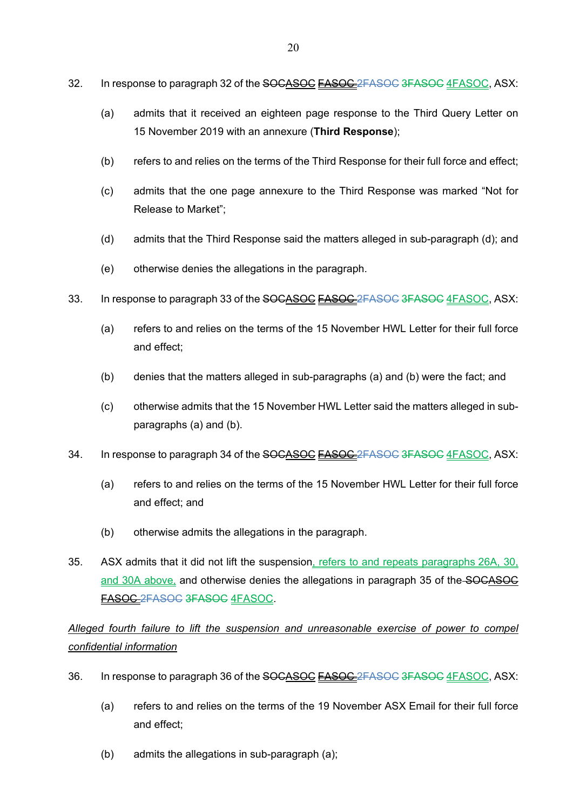- 32. In response to paragraph 32 of the SOCASOC FASOC 2FASOC 3FASOC 4FASOC, ASX:
	- (a) admits that it received an eighteen page response to the Third Query Letter on 15 November 2019 with an annexure (**Third Response**);
	- (b) refers to and relies on the terms of the Third Response for their full force and effect;
	- (c) admits that the one page annexure to the Third Response was marked "Not for Release to Market";
	- (d) admits that the Third Response said the matters alleged in sub-paragraph (d); and
	- (e) otherwise denies the allegations in the paragraph.
- 33. In response to paragraph 33 of the SOCASOC **FASOC** 2FASOC 3FASOC 4FASOC, ASX:
	- (a) refers to and relies on the terms of the 15 November HWL Letter for their full force and effect;
	- (b) denies that the matters alleged in sub-paragraphs (a) and (b) were the fact; and
	- (c) otherwise admits that the 15 November HWL Letter said the matters alleged in subparagraphs (a) and (b).
- 34. In response to paragraph 34 of the SOCASOC **EASOC** 2FASOC 3FASOC 4FASOC, ASX:
	- (a) refers to and relies on the terms of the 15 November HWL Letter for their full force and effect; and
	- (b) otherwise admits the allegations in the paragraph.
- 35. ASX admits that it did not lift the suspension, refers to and repeats paragraphs 26A, 30, and 30A above, and otherwise denies the allegations in paragraph 35 of the SOCASOC FASOC 2FASOC 3FASOC 4FASOC.

*Alleged fourth failure to lift the suspension and unreasonable exercise of power to compel confidential information* 

- 36. In response to paragraph 36 of the SOCASOC FASOC 2FASOC 3FASOC 4FASOC, ASX:
	- (a) refers to and relies on the terms of the 19 November ASX Email for their full force and effect;
	- (b) admits the allegations in sub-paragraph (a);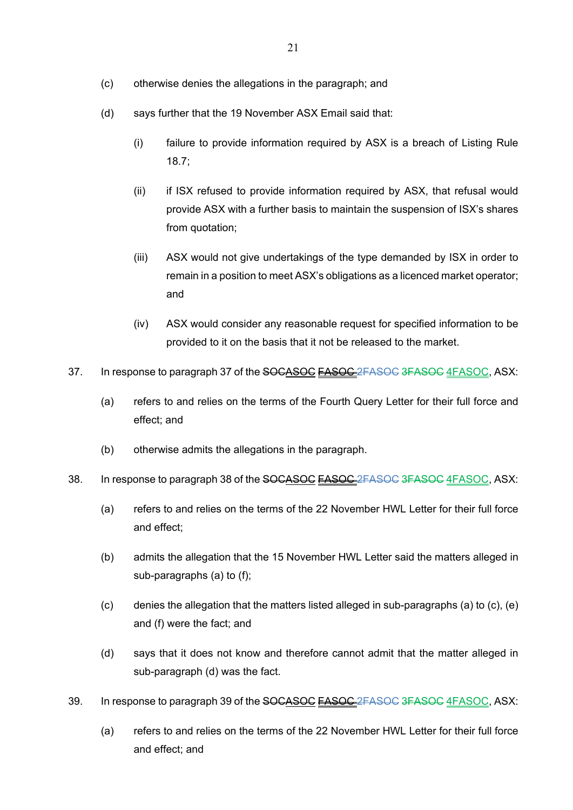- (c) otherwise denies the allegations in the paragraph; and
- (d) says further that the 19 November ASX Email said that:
	- (i) failure to provide information required by ASX is a breach of Listing Rule 18.7;
	- (ii) if ISX refused to provide information required by ASX, that refusal would provide ASX with a further basis to maintain the suspension of ISX's shares from quotation;
	- (iii) ASX would not give undertakings of the type demanded by ISX in order to remain in a position to meet ASX's obligations as a licenced market operator; and
	- (iv) ASX would consider any reasonable request for specified information to be provided to it on the basis that it not be released to the market.
- 37. In response to paragraph 37 of the SOCASOC **FASOC** 2FASOC 3FASOC 4FASOC, ASX:
	- (a) refers to and relies on the terms of the Fourth Query Letter for their full force and effect; and
	- (b) otherwise admits the allegations in the paragraph.
- 38. In response to paragraph 38 of the SOCASOC FASOC 2FASOC 3FASOC 4FASOC, ASX:
	- (a) refers to and relies on the terms of the 22 November HWL Letter for their full force and effect;
	- (b) admits the allegation that the 15 November HWL Letter said the matters alleged in sub-paragraphs (a) to (f);
	- (c) denies the allegation that the matters listed alleged in sub-paragraphs (a) to (c), (e) and (f) were the fact; and
	- (d) says that it does not know and therefore cannot admit that the matter alleged in sub-paragraph (d) was the fact.
- 39. In response to paragraph 39 of the SOCASOC **FASOC** 2FASOC 3FASOC 4FASOC, ASX:
	- (a) refers to and relies on the terms of the 22 November HWL Letter for their full force and effect; and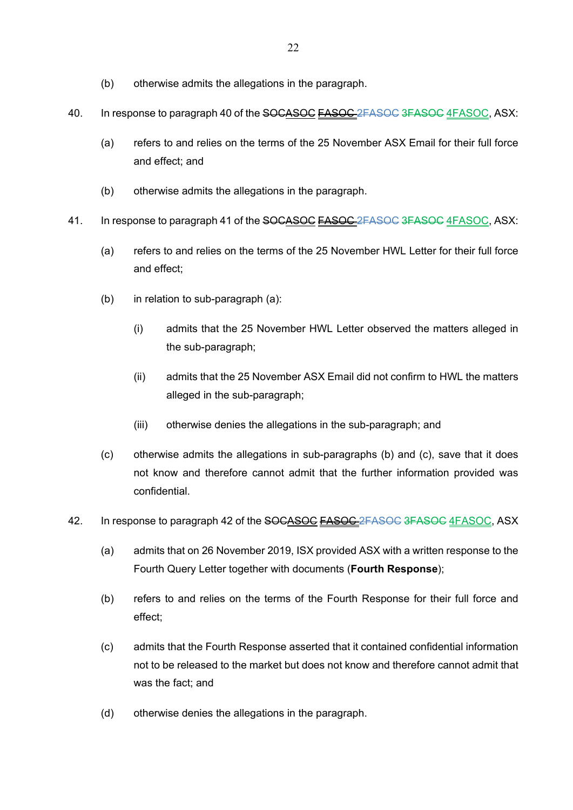- (b) otherwise admits the allegations in the paragraph.
- 40. In response to paragraph 40 of the SOCASOC **FASOC** 2FASOC 3FASOC 4FASOC, ASX:
	- (a) refers to and relies on the terms of the 25 November ASX Email for their full force and effect; and
	- (b) otherwise admits the allegations in the paragraph.
- 41. In response to paragraph 41 of the SOCASOC FASOC 2FASOC 3FASOC 4FASOC, ASX:
	- (a) refers to and relies on the terms of the 25 November HWL Letter for their full force and effect;
	- (b) in relation to sub-paragraph (a):
		- (i) admits that the 25 November HWL Letter observed the matters alleged in the sub-paragraph;
		- (ii) admits that the 25 November ASX Email did not confirm to HWL the matters alleged in the sub-paragraph;
		- (iii) otherwise denies the allegations in the sub-paragraph; and
	- (c) otherwise admits the allegations in sub-paragraphs (b) and (c), save that it does not know and therefore cannot admit that the further information provided was confidential.
- 42. In response to paragraph 42 of the SOCASOC **FASOC** 2FASOC 3FASOC 4FASOC, ASX
	- (a) admits that on 26 November 2019, ISX provided ASX with a written response to the Fourth Query Letter together with documents (**Fourth Response**);
	- (b) refers to and relies on the terms of the Fourth Response for their full force and effect;
	- (c) admits that the Fourth Response asserted that it contained confidential information not to be released to the market but does not know and therefore cannot admit that was the fact; and
	- (d) otherwise denies the allegations in the paragraph.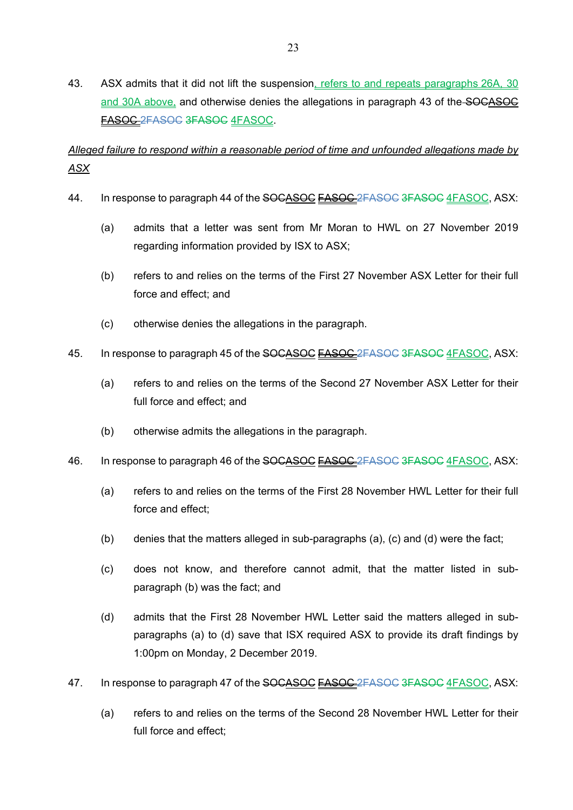43. ASX admits that it did not lift the suspension, refers to and repeats paragraphs 26A, 30 and 30A above, and otherwise denies the allegations in paragraph 43 of the SOCASOC FASOC 2FASOC 3FASOC 4FASOC.

*Alleged failure to respond within a reasonable period of time and unfounded allegations made by ASX* 

- 44. In response to paragraph 44 of the SOCASOC **FASOC** 2FASOC 3FASOC 4FASOC, ASX:
	- (a) admits that a letter was sent from Mr Moran to HWL on 27 November 2019 regarding information provided by ISX to ASX;
	- (b) refers to and relies on the terms of the First 27 November ASX Letter for their full force and effect; and
	- (c) otherwise denies the allegations in the paragraph.
- 45. In response to paragraph 45 of the SOCASOC FASOC 2FASOC 3FASOC 4FASOC, ASX:
	- (a) refers to and relies on the terms of the Second 27 November ASX Letter for their full force and effect; and
	- (b) otherwise admits the allegations in the paragraph.
- 46. In response to paragraph 46 of the SOCASOC FASOC 2FASOC 3FASOC 4FASOC, ASX:
	- (a) refers to and relies on the terms of the First 28 November HWL Letter for their full force and effect;
	- (b) denies that the matters alleged in sub-paragraphs (a), (c) and (d) were the fact;
	- (c) does not know, and therefore cannot admit, that the matter listed in subparagraph (b) was the fact; and
	- (d) admits that the First 28 November HWL Letter said the matters alleged in subparagraphs (a) to (d) save that ISX required ASX to provide its draft findings by 1:00pm on Monday, 2 December 2019.
- 47. In response to paragraph 47 of the SOCASOC FASOC 2FASOC 3FASOC 4FASOC, ASX:
	- (a) refers to and relies on the terms of the Second 28 November HWL Letter for their full force and effect;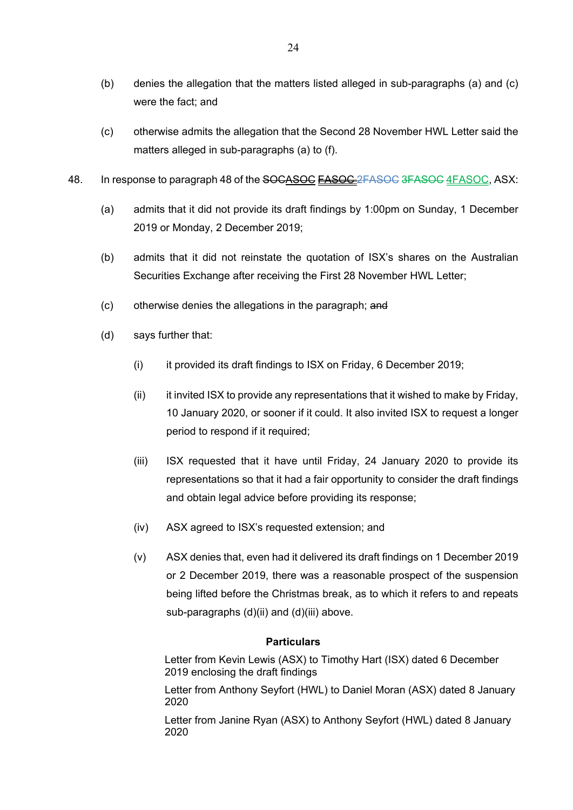- (b) denies the allegation that the matters listed alleged in sub-paragraphs (a) and (c) were the fact; and
- (c) otherwise admits the allegation that the Second 28 November HWL Letter said the matters alleged in sub-paragraphs (a) to (f).
- 48. In response to paragraph 48 of the SOCASOC **FASOC** 2FASOC 3FASOC 4FASOC, ASX:
	- (a) admits that it did not provide its draft findings by 1:00pm on Sunday, 1 December 2019 or Monday, 2 December 2019;
	- (b) admits that it did not reinstate the quotation of ISX's shares on the Australian Securities Exchange after receiving the First 28 November HWL Letter;
	- (c) otherwise denies the allegations in the paragraph; and
	- (d) says further that:
		- (i) it provided its draft findings to ISX on Friday, 6 December 2019;
		- $(i)$  it invited ISX to provide any representations that it wished to make by Friday, 10 January 2020, or sooner if it could. It also invited ISX to request a longer period to respond if it required;
		- (iii) ISX requested that it have until Friday, 24 January 2020 to provide its representations so that it had a fair opportunity to consider the draft findings and obtain legal advice before providing its response;
		- (iv) ASX agreed to ISX's requested extension; and
		- (v) ASX denies that, even had it delivered its draft findings on 1 December 2019 or 2 December 2019, there was a reasonable prospect of the suspension being lifted before the Christmas break, as to which it refers to and repeats sub-paragraphs (d)(ii) and (d)(iii) above.

Letter from Kevin Lewis (ASX) to Timothy Hart (ISX) dated 6 December 2019 enclosing the draft findings

Letter from Anthony Seyfort (HWL) to Daniel Moran (ASX) dated 8 January 2020

Letter from Janine Ryan (ASX) to Anthony Seyfort (HWL) dated 8 January 2020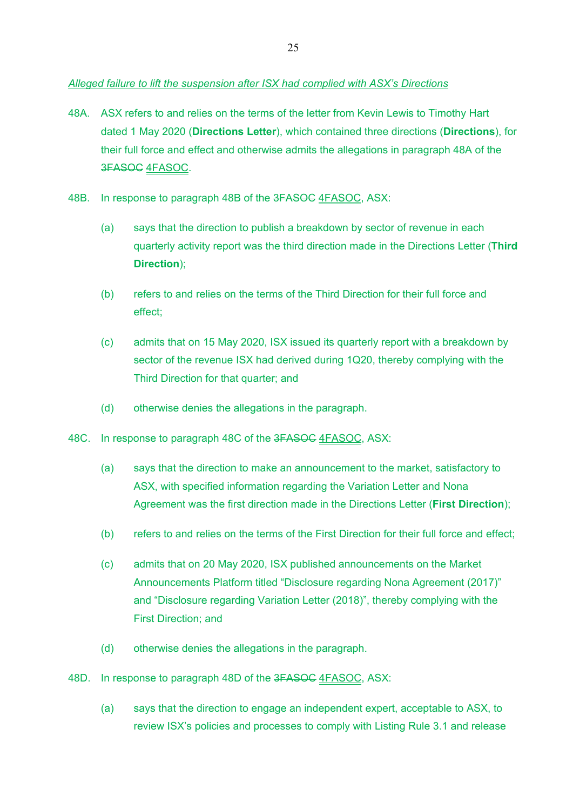# *Alleged failure to lift the suspension after ISX had complied with ASX's Directions*

- 48A. ASX refers to and relies on the terms of the letter from Kevin Lewis to Timothy Hart dated 1 May 2020 (**Directions Letter**), which contained three directions (**Directions**), for their full force and effect and otherwise admits the allegations in paragraph 48A of the 3FASOC 4FASOC.
- 48B. In response to paragraph 48B of the 3FASOC 4FASOC, ASX:
	- (a) says that the direction to publish a breakdown by sector of revenue in each quarterly activity report was the third direction made in the Directions Letter (**Third Direction**);
	- (b) refers to and relies on the terms of the Third Direction for their full force and effect;
	- (c) admits that on 15 May 2020, ISX issued its quarterly report with a breakdown by sector of the revenue ISX had derived during 1Q20, thereby complying with the Third Direction for that quarter; and
	- (d) otherwise denies the allegations in the paragraph.
- 48C. In response to paragraph 48C of the 3FASOC 4FASOC, ASX:
	- (a) says that the direction to make an announcement to the market, satisfactory to ASX, with specified information regarding the Variation Letter and Nona Agreement was the first direction made in the Directions Letter (**First Direction**);
	- (b) refers to and relies on the terms of the First Direction for their full force and effect;
	- (c) admits that on 20 May 2020, ISX published announcements on the Market Announcements Platform titled "Disclosure regarding Nona Agreement (2017)" and "Disclosure regarding Variation Letter (2018)", thereby complying with the First Direction; and
	- (d) otherwise denies the allegations in the paragraph.
- 48D. In response to paragraph 48D of the 3FASOC 4FASOC, ASX:
	- (a) says that the direction to engage an independent expert, acceptable to ASX, to review ISX's policies and processes to comply with Listing Rule 3.1 and release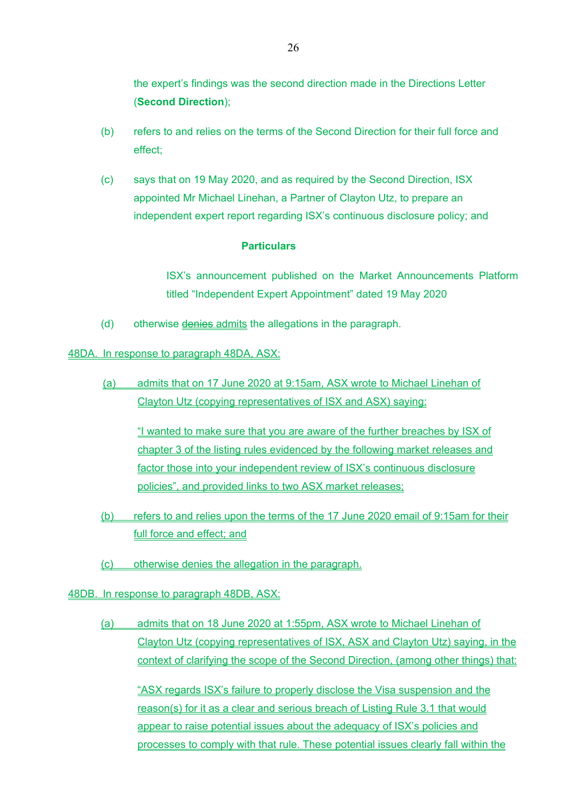the expert's findings was the second direction made in the Directions Letter (**Second Direction**);

- (b) refers to and relies on the terms of the Second Direction for their full force and effect;
- (c) says that on 19 May 2020, and as required by the Second Direction, ISX appointed Mr Michael Linehan, a Partner of Clayton Utz, to prepare an independent expert report regarding ISX's continuous disclosure policy; and

### **Particulars**

ISX's announcement published on the Market Announcements Platform titled "Independent Expert Appointment" dated 19 May 2020

(d) otherwise denies admits the allegations in the paragraph.

### 48DA. In response to paragraph 48DA, ASX:

(a) admits that on 17 June 2020 at 9:15am, ASX wrote to Michael Linehan of Clayton Utz (copying representatives of ISX and ASX) saying:

"I wanted to make sure that you are aware of the further breaches by ISX of chapter 3 of the listing rules evidenced by the following market releases and factor those into your independent review of ISX's continuous disclosure policies", and provided links to two ASX market releases;

- (b) refers to and relies upon the terms of the 17 June 2020 email of 9:15am for their full force and effect; and
- (c) otherwise denies the allegation in the paragraph.

## 48DB. In response to paragraph 48DB, ASX:

(a) admits that on 18 June 2020 at 1:55pm, ASX wrote to Michael Linehan of Clayton Utz (copying representatives of ISX, ASX and Clayton Utz) saying, in the context of clarifying the scope of the Second Direction, (among other things) that:

"ASX regards ISX's failure to properly disclose the Visa suspension and the reason(s) for it as a clear and serious breach of Listing Rule 3.1 that would appear to raise potential issues about the adequacy of ISX's policies and processes to comply with that rule. These potential issues clearly fall within the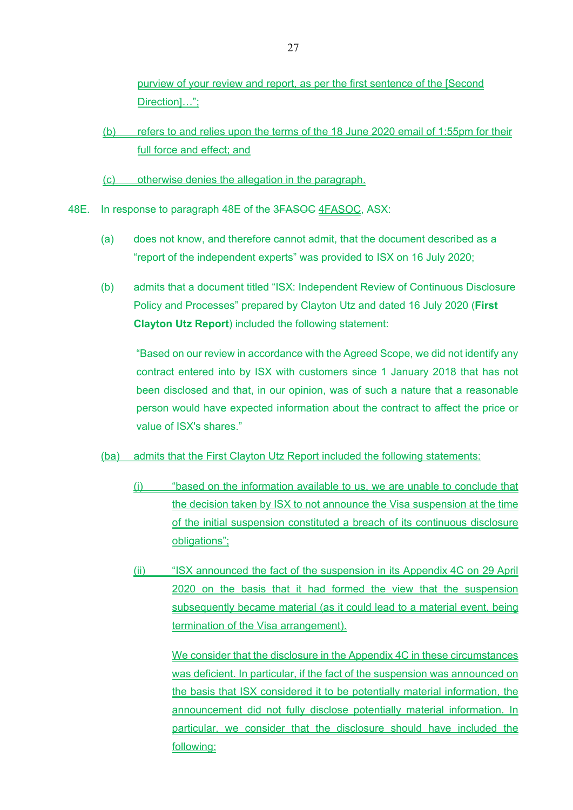purview of your review and report, as per the first sentence of the ISecond Direction]…";

- (b) refers to and relies upon the terms of the 18 June 2020 email of 1:55pm for their full force and effect; and
- (c) otherwise denies the allegation in the paragraph.
- 48E. In response to paragraph 48E of the 3FASOC 4FASOC, ASX:
	- (a) does not know, and therefore cannot admit, that the document described as a "report of the independent experts" was provided to ISX on 16 July 2020;
	- (b) admits that a document titled "ISX: Independent Review of Continuous Disclosure Policy and Processes" prepared by Clayton Utz and dated 16 July 2020 (**First Clayton Utz Report**) included the following statement:

"Based on our review in accordance with the Agreed Scope, we did not identify any contract entered into by ISX with customers since 1 January 2018 that has not been disclosed and that, in our opinion, was of such a nature that a reasonable person would have expected information about the contract to affect the price or value of ISX's shares."

#### (ba) admits that the First Clayton Utz Report included the following statements:

- (i) "based on the information available to us, we are unable to conclude that the decision taken by ISX to not announce the Visa suspension at the time of the initial suspension constituted a breach of its continuous disclosure obligations";
- (ii) "ISX announced the fact of the suspension in its Appendix 4C on 29 April 2020 on the basis that it had formed the view that the suspension subsequently became material (as it could lead to a material event, being termination of the Visa arrangement).

We consider that the disclosure in the Appendix 4C in these circumstances was deficient. In particular, if the fact of the suspension was announced on the basis that ISX considered it to be potentially material information, the announcement did not fully disclose potentially material information. In particular, we consider that the disclosure should have included the following: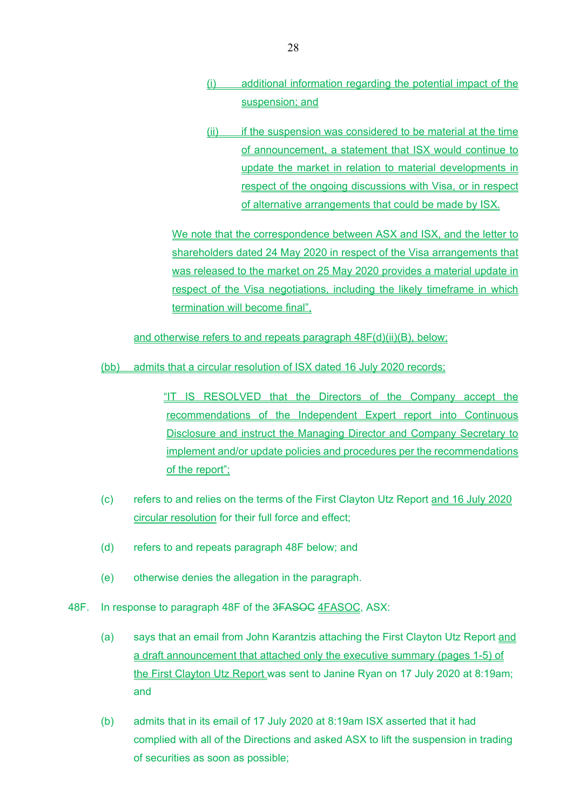- (i) additional information regarding the potential impact of the suspension; and
- (ii) if the suspension was considered to be material at the time of announcement, a statement that ISX would continue to update the market in relation to material developments in respect of the ongoing discussions with Visa, or in respect of alternative arrangements that could be made by ISX.

We note that the correspondence between ASX and ISX, and the letter to shareholders dated 24 May 2020 in respect of the Visa arrangements that was released to the market on 25 May 2020 provides a material update in respect of the Visa negotiations, including the likely timeframe in which termination will become final",

and otherwise refers to and repeats paragraph 48F(d)(ii)(B), below;

(bb) admits that a circular resolution of ISX dated 16 July 2020 records;

"IT IS RESOLVED that the Directors of the Company accept the recommendations of the Independent Expert report into Continuous Disclosure and instruct the Managing Director and Company Secretary to implement and/or update policies and procedures per the recommendations of the report";

- (c) refers to and relies on the terms of the First Clayton Utz Report and 16 July 2020 circular resolution for their full force and effect;
- (d) refers to and repeats paragraph 48F below; and
- (e) otherwise denies the allegation in the paragraph.
- 48F. In response to paragraph 48F of the 3FASOC 4FASOC, ASX:
	- (a) says that an email from John Karantzis attaching the First Clayton Utz Report and a draft announcement that attached only the executive summary (pages 1-5) of the First Clayton Utz Report was sent to Janine Ryan on 17 July 2020 at 8:19am; and
	- (b) admits that in its email of 17 July 2020 at 8:19am ISX asserted that it had complied with all of the Directions and asked ASX to lift the suspension in trading of securities as soon as possible;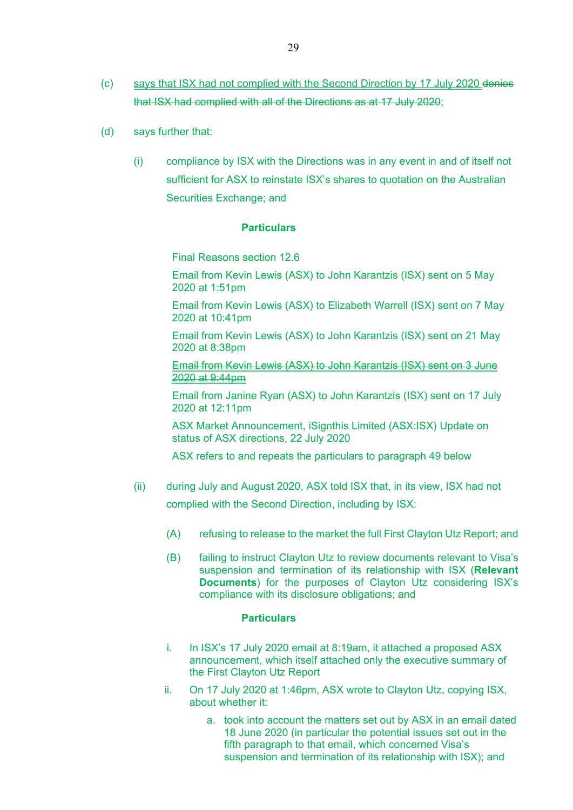- (c) says that ISX had not complied with the Second Direction by 17 July 2020 denies that ISX had complied with all of the Directions as at 17 July 2020;
- (d) says further that:
	- (i) compliance by ISX with the Directions was in any event in and of itself not sufficient for ASX to reinstate ISX's shares to quotation on the Australian Securities Exchange; and

Final Reasons section 12.6

Email from Kevin Lewis (ASX) to John Karantzis (ISX) sent on 5 May 2020 at 1:51pm

Email from Kevin Lewis (ASX) to Elizabeth Warrell (ISX) sent on 7 May 2020 at 10:41pm

Email from Kevin Lewis (ASX) to John Karantzis (ISX) sent on 21 May 2020 at 8:38pm

Email from Kevin Lewis (ASX) to John Karantzis (ISX) sent on 3 June 2020 at 9:44pm

Email from Janine Ryan (ASX) to John Karantzis (ISX) sent on 17 July 2020 at 12:11pm

ASX Market Announcement, iSignthis Limited (ASX:ISX) Update on status of ASX directions, 22 July 2020

ASX refers to and repeats the particulars to paragraph 49 below

- (ii) during July and August 2020, ASX told ISX that, in its view, ISX had not complied with the Second Direction, including by ISX:
	- (A) refusing to release to the market the full First Clayton Utz Report; and
	- (B) failing to instruct Clayton Utz to review documents relevant to Visa's suspension and termination of its relationship with ISX (**Relevant Documents**) for the purposes of Clayton Utz considering ISX's compliance with its disclosure obligations; and

#### **Particulars**

- i. In ISX's 17 July 2020 email at 8:19am, it attached a proposed ASX announcement, which itself attached only the executive summary of the First Clayton Utz Report
- ii. On 17 July 2020 at 1:46pm, ASX wrote to Clayton Utz, copying ISX, about whether it:
	- a. took into account the matters set out by ASX in an email dated 18 June 2020 (in particular the potential issues set out in the fifth paragraph to that email, which concerned Visa's suspension and termination of its relationship with ISX); and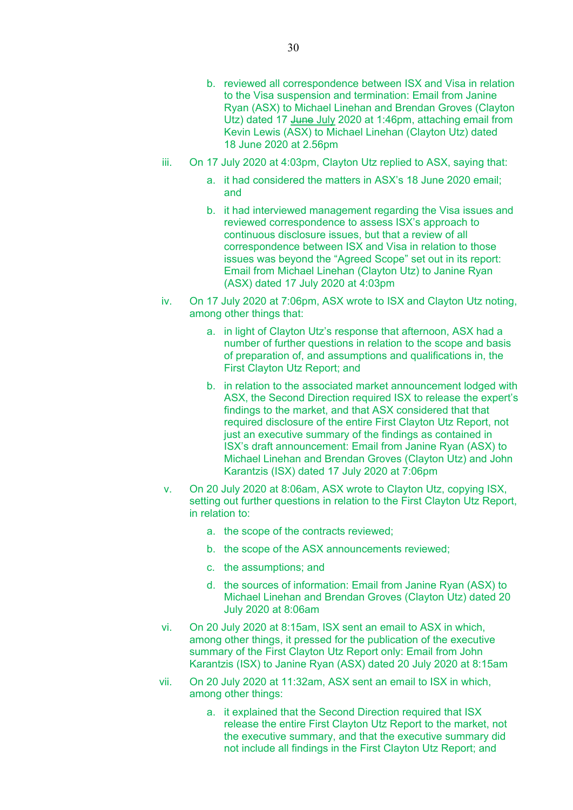- b. reviewed all correspondence between ISX and Visa in relation to the Visa suspension and termination: Email from Janine Ryan (ASX) to Michael Linehan and Brendan Groves (Clayton Utz) dated 17 June July 2020 at 1:46pm, attaching email from Kevin Lewis (ASX) to Michael Linehan (Clayton Utz) dated 18 June 2020 at 2.56pm
- iii. On 17 July 2020 at 4:03pm, Clayton Utz replied to ASX, saying that:
	- a. it had considered the matters in ASX's 18 June 2020 email; and
	- b. it had interviewed management regarding the Visa issues and reviewed correspondence to assess ISX's approach to continuous disclosure issues, but that a review of all correspondence between ISX and Visa in relation to those issues was beyond the "Agreed Scope" set out in its report: Email from Michael Linehan (Clayton Utz) to Janine Ryan (ASX) dated 17 July 2020 at 4:03pm
- iv. On 17 July 2020 at 7:06pm, ASX wrote to ISX and Clayton Utz noting, among other things that:
	- a. in light of Clayton Utz's response that afternoon, ASX had a number of further questions in relation to the scope and basis of preparation of, and assumptions and qualifications in, the First Clayton Utz Report; and
	- b. in relation to the associated market announcement lodged with ASX, the Second Direction required ISX to release the expert's findings to the market, and that ASX considered that that required disclosure of the entire First Clayton Utz Report, not just an executive summary of the findings as contained in ISX's draft announcement: Email from Janine Ryan (ASX) to Michael Linehan and Brendan Groves (Clayton Utz) and John Karantzis (ISX) dated 17 July 2020 at 7:06pm
- v. On 20 July 2020 at 8:06am, ASX wrote to Clayton Utz, copying ISX, setting out further questions in relation to the First Clayton Utz Report, in relation to:
	- a. the scope of the contracts reviewed;
	- b. the scope of the ASX announcements reviewed;
	- c. the assumptions; and
	- d. the sources of information: Email from Janine Ryan (ASX) to Michael Linehan and Brendan Groves (Clayton Utz) dated 20 July 2020 at 8:06am
- vi. On 20 July 2020 at 8:15am, ISX sent an email to ASX in which, among other things, it pressed for the publication of the executive summary of the First Clayton Utz Report only: Email from John Karantzis (ISX) to Janine Ryan (ASX) dated 20 July 2020 at 8:15am
- vii. On 20 July 2020 at 11:32am, ASX sent an email to ISX in which, among other things:
	- a. it explained that the Second Direction required that ISX release the entire First Clayton Utz Report to the market, not the executive summary, and that the executive summary did not include all findings in the First Clayton Utz Report; and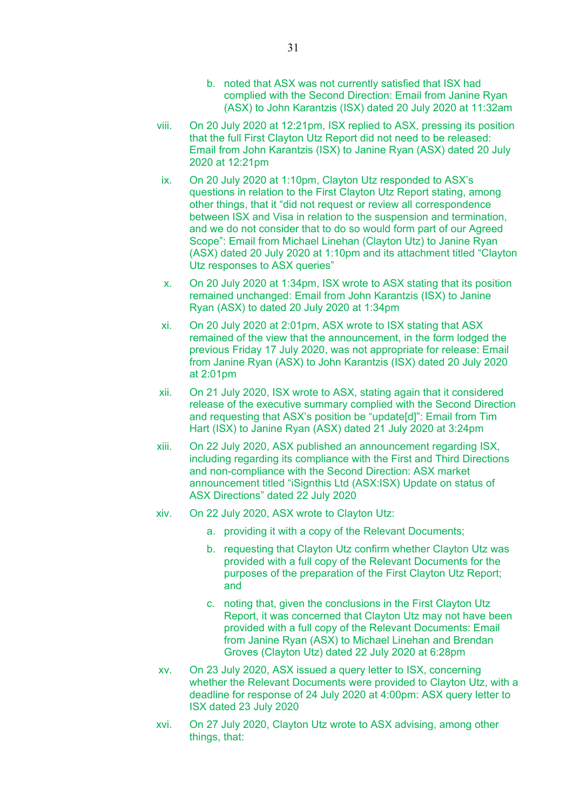- b. noted that ASX was not currently satisfied that ISX had complied with the Second Direction: Email from Janine Ryan (ASX) to John Karantzis (ISX) dated 20 July 2020 at 11:32am
- viii. On 20 July 2020 at 12:21pm, ISX replied to ASX, pressing its position that the full First Clayton Utz Report did not need to be released: Email from John Karantzis (ISX) to Janine Ryan (ASX) dated 20 July 2020 at 12:21pm
- ix. On 20 July 2020 at 1:10pm, Clayton Utz responded to ASX's questions in relation to the First Clayton Utz Report stating, among other things, that it "did not request or review all correspondence between ISX and Visa in relation to the suspension and termination, and we do not consider that to do so would form part of our Agreed Scope": Email from Michael Linehan (Clayton Utz) to Janine Ryan (ASX) dated 20 July 2020 at 1:10pm and its attachment titled "Clayton Utz responses to ASX queries"
- x. On 20 July 2020 at 1:34pm, ISX wrote to ASX stating that its position remained unchanged: Email from John Karantzis (ISX) to Janine Ryan (ASX) to dated 20 July 2020 at 1:34pm
- xi. On 20 July 2020 at 2:01pm, ASX wrote to ISX stating that ASX remained of the view that the announcement, in the form lodged the previous Friday 17 July 2020, was not appropriate for release: Email from Janine Ryan (ASX) to John Karantzis (ISX) dated 20 July 2020 at 2:01pm
- xii. On 21 July 2020, ISX wrote to ASX, stating again that it considered release of the executive summary complied with the Second Direction and requesting that ASX's position be "update[d]": Email from Tim Hart (ISX) to Janine Ryan (ASX) dated 21 July 2020 at 3:24pm
- xiii. On 22 July 2020, ASX published an announcement regarding ISX, including regarding its compliance with the First and Third Directions and non-compliance with the Second Direction: ASX market announcement titled "iSignthis Ltd (ASX:ISX) Update on status of ASX Directions" dated 22 July 2020
- xiv. On 22 July 2020, ASX wrote to Clayton Utz:
	- a. providing it with a copy of the Relevant Documents;
	- b. requesting that Clayton Utz confirm whether Clayton Utz was provided with a full copy of the Relevant Documents for the purposes of the preparation of the First Clayton Utz Report; and
	- c. noting that, given the conclusions in the First Clayton Utz Report, it was concerned that Clayton Utz may not have been provided with a full copy of the Relevant Documents: Email from Janine Ryan (ASX) to Michael Linehan and Brendan Groves (Clayton Utz) dated 22 July 2020 at 6:28pm
- xv. On 23 July 2020, ASX issued a query letter to ISX, concerning whether the Relevant Documents were provided to Clayton Utz, with a deadline for response of 24 July 2020 at 4:00pm: ASX query letter to ISX dated 23 July 2020
- xvi. On 27 July 2020, Clayton Utz wrote to ASX advising, among other things, that: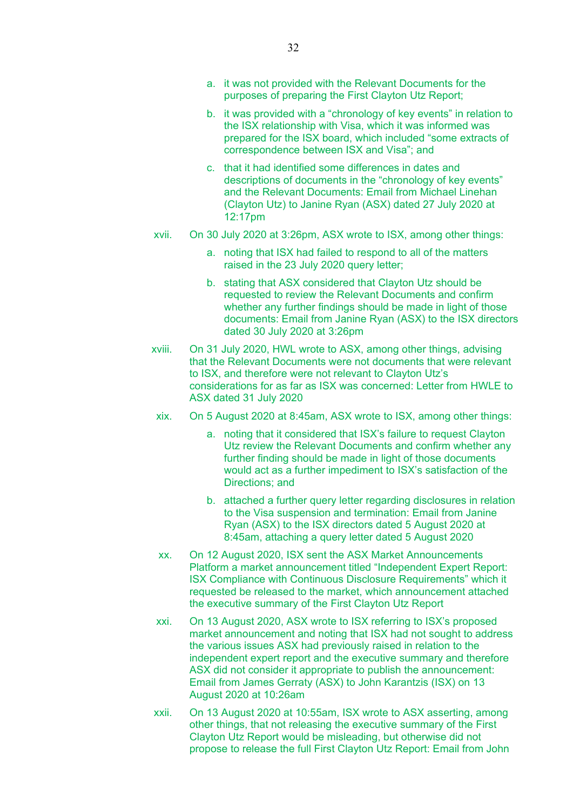- b. it was provided with a "chronology of key events" in relation to the ISX relationship with Visa, which it was informed was prepared for the ISX board, which included "some extracts of correspondence between ISX and Visa"; and
- c. that it had identified some differences in dates and descriptions of documents in the "chronology of key events" and the Relevant Documents: Email from Michael Linehan (Clayton Utz) to Janine Ryan (ASX) dated 27 July 2020 at 12:17pm
- xvii. On 30 July 2020 at 3:26pm, ASX wrote to ISX, among other things:
	- a. noting that ISX had failed to respond to all of the matters raised in the 23 July 2020 query letter;
	- b. stating that ASX considered that Clayton Utz should be requested to review the Relevant Documents and confirm whether any further findings should be made in light of those documents: Email from Janine Ryan (ASX) to the ISX directors dated 30 July 2020 at 3:26pm
- xviii. On 31 July 2020, HWL wrote to ASX, among other things, advising that the Relevant Documents were not documents that were relevant to ISX, and therefore were not relevant to Clayton Utz's considerations for as far as ISX was concerned: Letter from HWLE to ASX dated 31 July 2020
- xix. On 5 August 2020 at 8:45am, ASX wrote to ISX, among other things:
	- a. noting that it considered that ISX's failure to request Clayton Utz review the Relevant Documents and confirm whether any further finding should be made in light of those documents would act as a further impediment to ISX's satisfaction of the Directions; and
	- b. attached a further query letter regarding disclosures in relation to the Visa suspension and termination: Email from Janine Ryan (ASX) to the ISX directors dated 5 August 2020 at 8:45am, attaching a query letter dated 5 August 2020
- xx. On 12 August 2020, ISX sent the ASX Market Announcements Platform a market announcement titled "Independent Expert Report: ISX Compliance with Continuous Disclosure Requirements" which it requested be released to the market, which announcement attached the executive summary of the First Clayton Utz Report
- xxi. On 13 August 2020, ASX wrote to ISX referring to ISX's proposed market announcement and noting that ISX had not sought to address the various issues ASX had previously raised in relation to the independent expert report and the executive summary and therefore ASX did not consider it appropriate to publish the announcement: Email from James Gerraty (ASX) to John Karantzis (ISX) on 13 August 2020 at 10:26am
- xxii. On 13 August 2020 at 10:55am, ISX wrote to ASX asserting, among other things, that not releasing the executive summary of the First Clayton Utz Report would be misleading, but otherwise did not propose to release the full First Clayton Utz Report: Email from John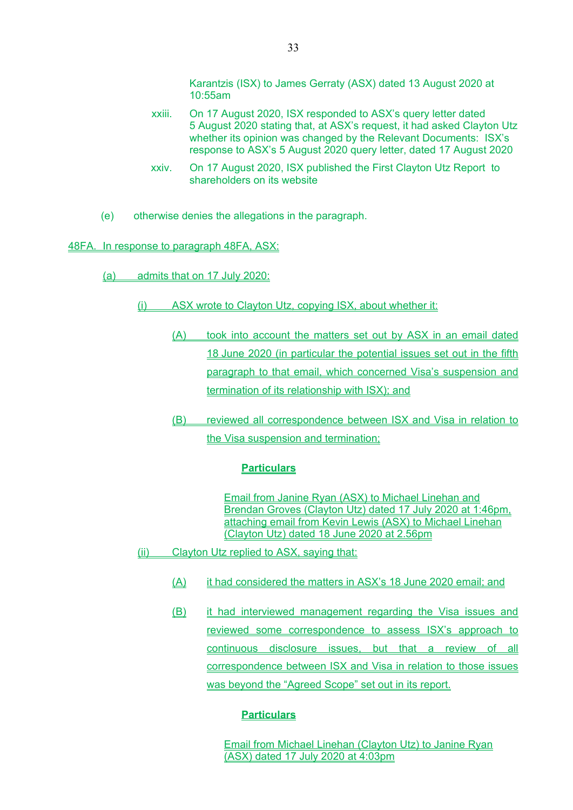Karantzis (ISX) to James Gerraty (ASX) dated 13 August 2020 at 10:55am

- xxiii. On 17 August 2020, ISX responded to ASX's query letter dated 5 August 2020 stating that, at ASX's request, it had asked Clayton Utz whether its opinion was changed by the Relevant Documents: ISX's response to ASX's 5 August 2020 query letter, dated 17 August 2020
- xxiv. On 17 August 2020, ISX published the First Clayton Utz Report to shareholders on its website
- (e) otherwise denies the allegations in the paragraph.

#### 48FA. In response to paragraph 48FA, ASX:

- (a) admits that on 17 July 2020:
	- (i) ASX wrote to Clayton Utz, copying ISX, about whether it:
		- (A) took into account the matters set out by ASX in an email dated 18 June 2020 (in particular the potential issues set out in the fifth paragraph to that email, which concerned Visa's suspension and termination of its relationship with ISX); and
		- (B) reviewed all correspondence between ISX and Visa in relation to the Visa suspension and termination;

#### **Particulars**

Email from Janine Ryan (ASX) to Michael Linehan and Brendan Groves (Clayton Utz) dated 17 July 2020 at 1:46pm, attaching email from Kevin Lewis (ASX) to Michael Linehan (Clayton Utz) dated 18 June 2020 at 2.56pm

- (ii) Clayton Utz replied to ASX, saying that:
	- (A) it had considered the matters in ASX's 18 June 2020 email; and
	- (B) it had interviewed management regarding the Visa issues and reviewed some correspondence to assess ISX's approach to continuous disclosure issues, but that a review of all correspondence between ISX and Visa in relation to those issues was beyond the "Agreed Scope" set out in its report.

#### **Particulars**

Email from Michael Linehan (Clayton Utz) to Janine Ryan (ASX) dated 17 July 2020 at 4:03pm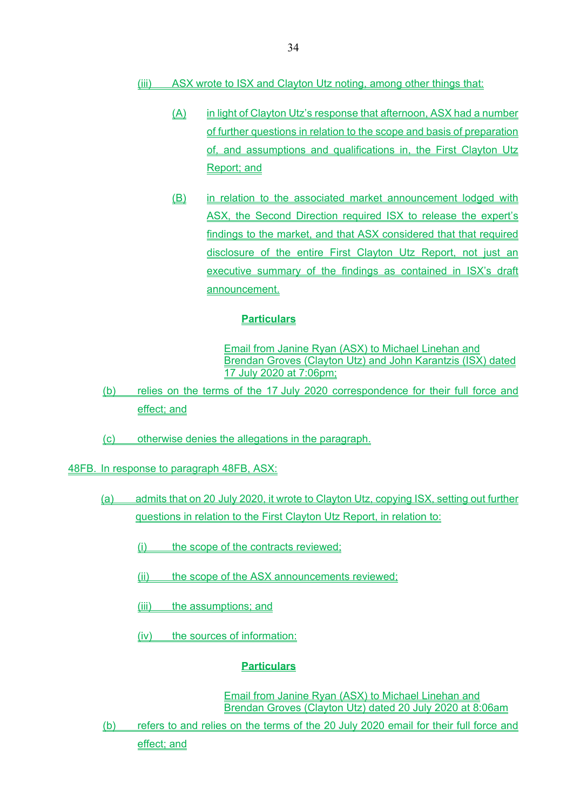- (iii) ASX wrote to ISX and Clayton Utz noting, among other things that:
	- (A) in light of Clayton Utz's response that afternoon, ASX had a number of further questions in relation to the scope and basis of preparation of, and assumptions and qualifications in, the First Clayton Utz Report; and
	- (B) in relation to the associated market announcement lodged with ASX, the Second Direction required ISX to release the expert's findings to the market, and that ASX considered that that required disclosure of the entire First Clayton Utz Report, not just an executive summary of the findings as contained in ISX's draft announcement.

Email from Janine Ryan (ASX) to Michael Linehan and Brendan Groves (Clayton Utz) and John Karantzis (ISX) dated 17 July 2020 at 7:06pm;

- (b) relies on the terms of the 17 July 2020 correspondence for their full force and effect; and
- (c) otherwise denies the allegations in the paragraph.

48FB. In response to paragraph 48FB, ASX:

- (a) admits that on 20 July 2020, it wrote to Clayton Utz, copying ISX, setting out further questions in relation to the First Clayton Utz Report, in relation to:
	- (i) the scope of the contracts reviewed;
	- (ii) the scope of the ASX announcements reviewed;
	- (iii) the assumptions; and
	- (iv) the sources of information:

# **Particulars**

Email from Janine Ryan (ASX) to Michael Linehan and Brendan Groves (Clayton Utz) dated 20 July 2020 at 8:06am

(b) refers to and relies on the terms of the 20 July 2020 email for their full force and

effect; and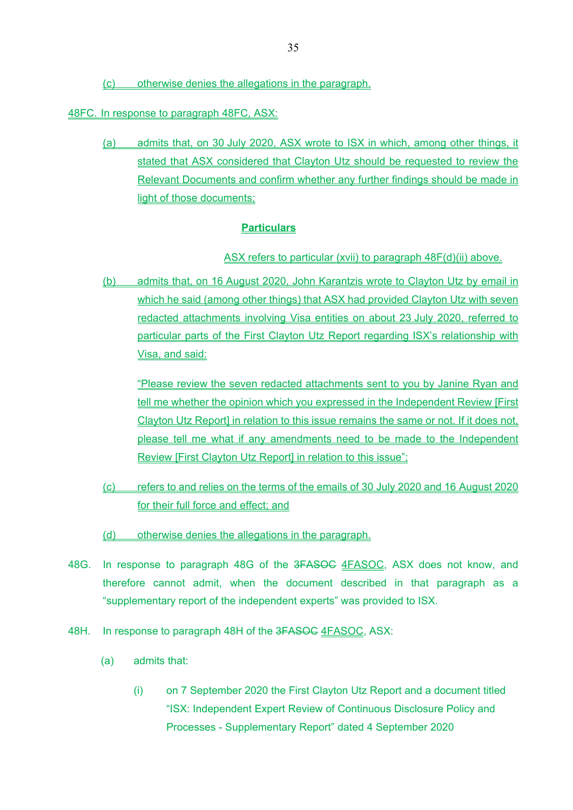(c) otherwise denies the allegations in the paragraph.

48FC. In response to paragraph 48FC, ASX:

(a) admits that, on 30 July 2020, ASX wrote to ISX in which, among other things, it stated that ASX considered that Clayton Utz should be requested to review the Relevant Documents and confirm whether any further findings should be made in light of those documents;

### **Particulars**

### ASX refers to particular (xvii) to paragraph 48F(d)(ii) above.

(b) admits that, on 16 August 2020, John Karantzis wrote to Clayton Utz by email in which he said (among other things) that ASX had provided Clayton Utz with seven redacted attachments involving Visa entities on about 23 July 2020, referred to particular parts of the First Clayton Utz Report regarding ISX's relationship with Visa, and said:

 "Please review the seven redacted attachments sent to you by Janine Ryan and tell me whether the opinion which you expressed in the Independent Review [First Clayton Utz Report] in relation to this issue remains the same or not. If it does not, please tell me what if any amendments need to be made to the Independent Review [First Clayton Utz Report] in relation to this issue":

- (c) refers to and relies on the terms of the emails of 30 July 2020 and 16 August 2020 for their full force and effect; and
- (d) otherwise denies the allegations in the paragraph.
- 48G. In response to paragraph 48G of the 3FASOC 4FASOC, ASX does not know, and therefore cannot admit, when the document described in that paragraph as a "supplementary report of the independent experts" was provided to ISX.
- 48H. In response to paragraph 48H of the 3FASOC 4FASOC, ASX:
	- (a) admits that:
		- (i) on 7 September 2020 the First Clayton Utz Report and a document titled "ISX: Independent Expert Review of Continuous Disclosure Policy and Processes - Supplementary Report" dated 4 September 2020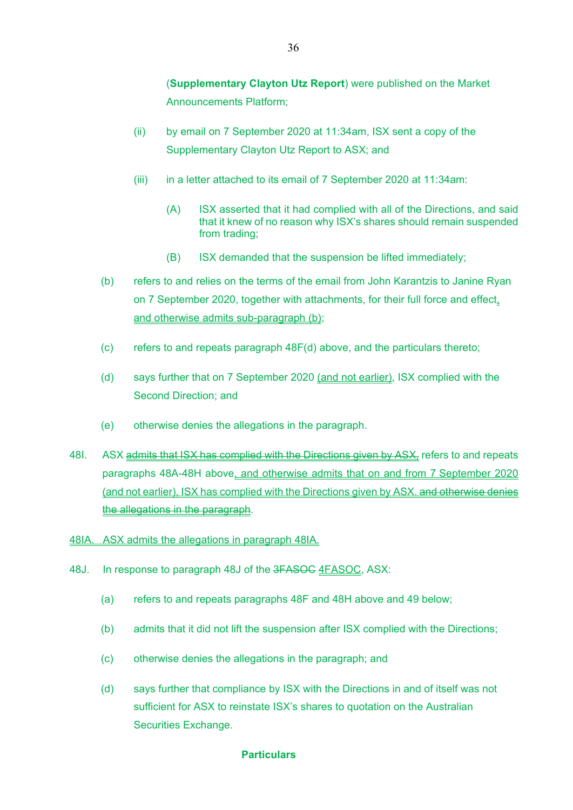(**Supplementary Clayton Utz Report**) were published on the Market Announcements Platform;

- (ii) by email on 7 September 2020 at 11:34am, ISX sent a copy of the Supplementary Clayton Utz Report to ASX; and
- (iii) in a letter attached to its email of 7 September 2020 at 11:34am:
	- (A) ISX asserted that it had complied with all of the Directions, and said that it knew of no reason why ISX's shares should remain suspended from trading;
	- (B) ISX demanded that the suspension be lifted immediately;
- (b) refers to and relies on the terms of the email from John Karantzis to Janine Ryan on 7 September 2020, together with attachments, for their full force and effect, and otherwise admits sub-paragraph (b);
- (c) refers to and repeats paragraph 48F(d) above, and the particulars thereto;
- (d) says further that on 7 September 2020 (and not earlier), ISX complied with the Second Direction; and
- (e) otherwise denies the allegations in the paragraph.
- 48I. ASX admits that ISX has complied with the Directions given by ASX, refers to and repeats paragraphs 48A-48H above, and otherwise admits that on and from 7 September 2020 (and not earlier), ISX has complied with the Directions given by ASX. and otherwise denies the allegations in the paragraph.
- 48IA. ASX admits the allegations in paragraph 48IA.
- 48J. In response to paragraph 48J of the 3FASOC 4FASOC, ASX:
	- (a) refers to and repeats paragraphs 48F and 48H above and 49 below;
	- (b) admits that it did not lift the suspension after ISX complied with the Directions;
	- (c) otherwise denies the allegations in the paragraph; and
	- (d) says further that compliance by ISX with the Directions in and of itself was not sufficient for ASX to reinstate ISX's shares to quotation on the Australian Securities Exchange.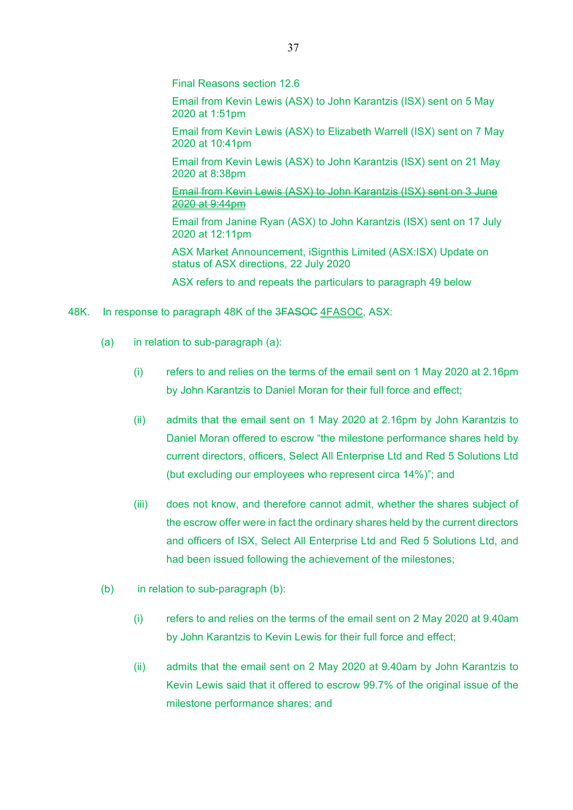Final Reasons section 12.6

Email from Kevin Lewis (ASX) to John Karantzis (ISX) sent on 5 May 2020 at 1:51pm

Email from Kevin Lewis (ASX) to Elizabeth Warrell (ISX) sent on 7 May 2020 at 10:41pm

Email from Kevin Lewis (ASX) to John Karantzis (ISX) sent on 21 May 2020 at 8:38pm

Email from Kevin Lewis (ASX) to John Karantzis (ISX) sent on 3 June 2020 at 9:44pm

Email from Janine Ryan (ASX) to John Karantzis (ISX) sent on 17 July 2020 at 12:11pm

ASX Market Announcement, iSignthis Limited (ASX:ISX) Update on status of ASX directions, 22 July 2020

ASX refers to and repeats the particulars to paragraph 49 below

- 48K. In response to paragraph 48K of the 3FASOC 4FASOC, ASX:
	- (a) in relation to sub-paragraph (a):
		- (i) refers to and relies on the terms of the email sent on 1 May 2020 at 2.16pm by John Karantzis to Daniel Moran for their full force and effect;
		- (ii) admits that the email sent on 1 May 2020 at 2.16pm by John Karantzis to Daniel Moran offered to escrow "the milestone performance shares held by current directors, officers, Select All Enterprise Ltd and Red 5 Solutions Ltd (but excluding our employees who represent circa 14%)"; and
		- (iii) does not know, and therefore cannot admit, whether the shares subject of the escrow offer were in fact the ordinary shares held by the current directors and officers of ISX, Select All Enterprise Ltd and Red 5 Solutions Ltd, and had been issued following the achievement of the milestones;
	- (b) in relation to sub-paragraph (b):
		- (i) refers to and relies on the terms of the email sent on 2 May 2020 at 9.40am by John Karantzis to Kevin Lewis for their full force and effect;
		- (ii) admits that the email sent on 2 May 2020 at 9.40am by John Karantzis to Kevin Lewis said that it offered to escrow 99.7% of the original issue of the milestone performance shares; and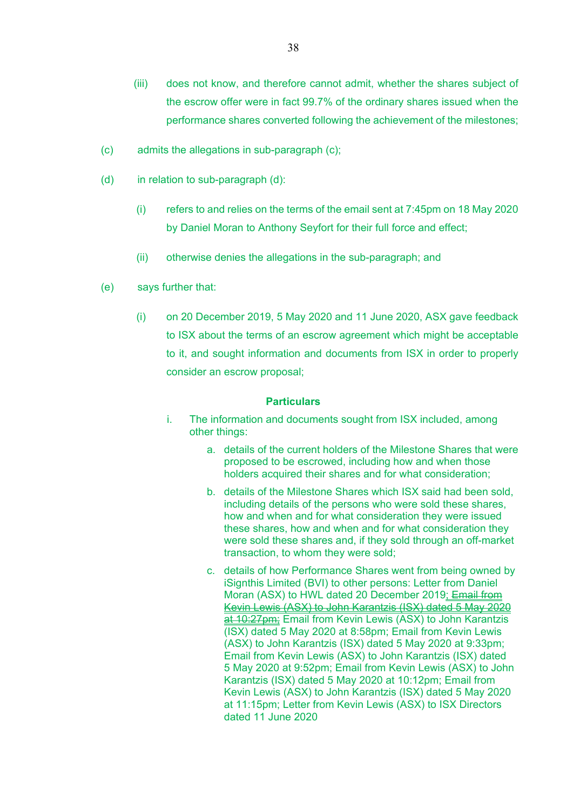- (iii) does not know, and therefore cannot admit, whether the shares subject of the escrow offer were in fact 99.7% of the ordinary shares issued when the performance shares converted following the achievement of the milestones;
- (c) admits the allegations in sub-paragraph (c);
- (d) in relation to sub-paragraph (d):
	- (i) refers to and relies on the terms of the email sent at 7:45pm on 18 May 2020 by Daniel Moran to Anthony Seyfort for their full force and effect;
	- (ii) otherwise denies the allegations in the sub-paragraph; and
- (e) says further that:
	- (i) on 20 December 2019, 5 May 2020 and 11 June 2020, ASX gave feedback to ISX about the terms of an escrow agreement which might be acceptable to it, and sought information and documents from ISX in order to properly consider an escrow proposal;

- i. The information and documents sought from ISX included, among other things:
	- a. details of the current holders of the Milestone Shares that were proposed to be escrowed, including how and when those holders acquired their shares and for what consideration;
	- b. details of the Milestone Shares which ISX said had been sold, including details of the persons who were sold these shares, how and when and for what consideration they were issued these shares, how and when and for what consideration they were sold these shares and, if they sold through an off-market transaction, to whom they were sold;
	- c. details of how Performance Shares went from being owned by iSignthis Limited (BVI) to other persons: Letter from Daniel Moran (ASX) to HWL dated 20 December 2019; Email from Kevin Lewis (ASX) to John Karantzis (ISX) dated 5 May 2020 at 10:27pm; Email from Kevin Lewis (ASX) to John Karantzis (ISX) dated 5 May 2020 at 8:58pm; Email from Kevin Lewis (ASX) to John Karantzis (ISX) dated 5 May 2020 at 9:33pm; Email from Kevin Lewis (ASX) to John Karantzis (ISX) dated 5 May 2020 at 9:52pm; Email from Kevin Lewis (ASX) to John Karantzis (ISX) dated 5 May 2020 at 10:12pm; Email from Kevin Lewis (ASX) to John Karantzis (ISX) dated 5 May 2020 at 11:15pm; Letter from Kevin Lewis (ASX) to ISX Directors dated 11 June 2020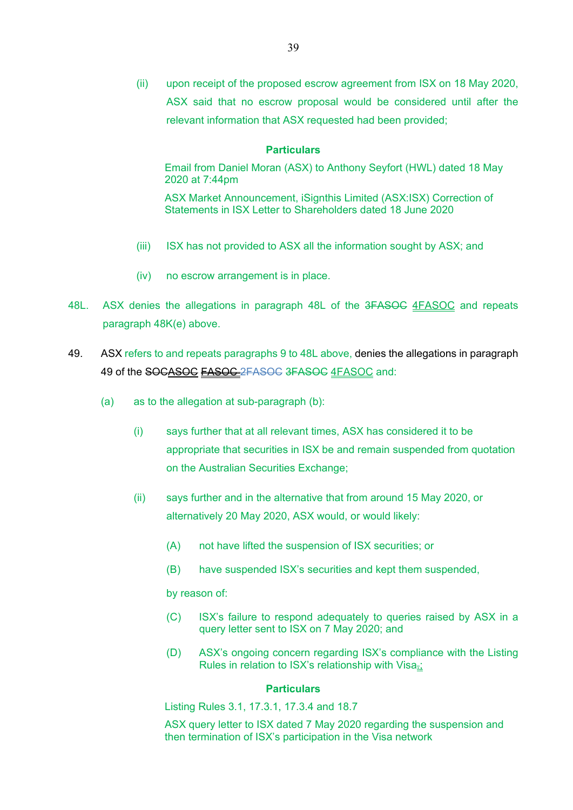(ii) upon receipt of the proposed escrow agreement from ISX on 18 May 2020, ASX said that no escrow proposal would be considered until after the relevant information that ASX requested had been provided;

#### **Particulars**

Email from Daniel Moran (ASX) to Anthony Seyfort (HWL) dated 18 May 2020 at 7:44pm

ASX Market Announcement, iSignthis Limited (ASX:ISX) Correction of Statements in ISX Letter to Shareholders dated 18 June 2020

- (iii) ISX has not provided to ASX all the information sought by ASX; and
- (iv) no escrow arrangement is in place.
- 48L. ASX denies the allegations in paragraph 48L of the 3FASOC 4FASOC and repeats paragraph 48K(e) above.
- 49. ASX refers to and repeats paragraphs 9 to 48L above, denies the allegations in paragraph 49 of the SOCASOC **EASOC** 2FASOC 3FASOC 4FASOC and:
	- (a) as to the allegation at sub-paragraph (b):
		- (i) says further that at all relevant times, ASX has considered it to be appropriate that securities in ISX be and remain suspended from quotation on the Australian Securities Exchange;
		- (ii) says further and in the alternative that from around 15 May 2020, or alternatively 20 May 2020, ASX would, or would likely:
			- (A) not have lifted the suspension of ISX securities; or
			- (B) have suspended ISX's securities and kept them suspended,

by reason of:

- (C) ISX's failure to respond adequately to queries raised by ASX in a query letter sent to ISX on 7 May 2020; and
- (D) ASX's ongoing concern regarding ISX's compliance with the Listing Rules in relation to ISX's relationship with Visa-:

#### **Particulars**

Listing Rules 3.1, 17.3.1, 17.3.4 and 18.7

ASX query letter to ISX dated 7 May 2020 regarding the suspension and then termination of ISX's participation in the Visa network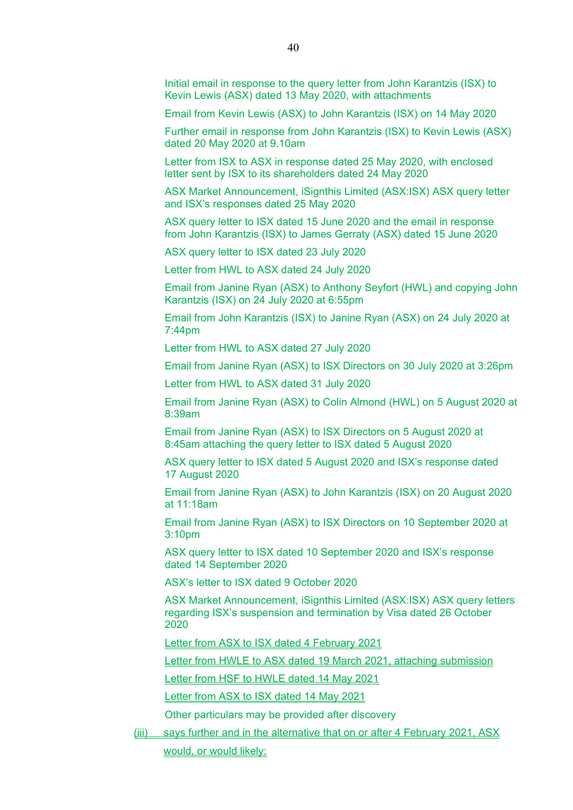Initial email in response to the query letter from John Karantzis (ISX) to Kevin Lewis (ASX) dated 13 May 2020, with attachments

Email from Kevin Lewis (ASX) to John Karantzis (ISX) on 14 May 2020

Further email in response from John Karantzis (ISX) to Kevin Lewis (ASX) dated 20 May 2020 at 9.10am

Letter from ISX to ASX in response dated 25 May 2020, with enclosed letter sent by ISX to its shareholders dated 24 May 2020

ASX Market Announcement, iSignthis Limited (ASX:ISX) ASX query letter and ISX's responses dated 25 May 2020

ASX query letter to ISX dated 15 June 2020 and the email in response from John Karantzis (ISX) to James Gerraty (ASX) dated 15 June 2020

ASX query letter to ISX dated 23 July 2020

Letter from HWL to ASX dated 24 July 2020

Email from Janine Ryan (ASX) to Anthony Seyfort (HWL) and copying John Karantzis (ISX) on 24 July 2020 at 6:55pm

Email from John Karantzis (ISX) to Janine Ryan (ASX) on 24 July 2020 at 7:44pm

Letter from HWL to ASX dated 27 July 2020

Email from Janine Ryan (ASX) to ISX Directors on 30 July 2020 at 3:26pm

Letter from HWL to ASX dated 31 July 2020

Email from Janine Ryan (ASX) to Colin Almond (HWL) on 5 August 2020 at 8:39am

Email from Janine Ryan (ASX) to ISX Directors on 5 August 2020 at 8:45am attaching the query letter to ISX dated 5 August 2020

ASX query letter to ISX dated 5 August 2020 and ISX's response dated 17 August 2020

Email from Janine Ryan (ASX) to John Karantzis (ISX) on 20 August 2020 at 11:18am

Email from Janine Ryan (ASX) to ISX Directors on 10 September 2020 at 3:10pm

ASX query letter to ISX dated 10 September 2020 and ISX's response dated 14 September 2020

ASX's letter to ISX dated 9 October 2020

ASX Market Announcement, iSignthis Limited (ASX:ISX) ASX query letters regarding ISX's suspension and termination by Visa dated 26 October 2020

Letter from ASX to ISX dated 4 February 2021

Letter from HWLE to ASX dated 19 March 2021, attaching submission

Letter from HSF to HWLE dated 14 May 2021

Letter from ASX to ISX dated 14 May 2021

Other particulars may be provided after discovery

(iii) says further and in the alternative that on or after 4 February 2021, ASX

would, or would likely: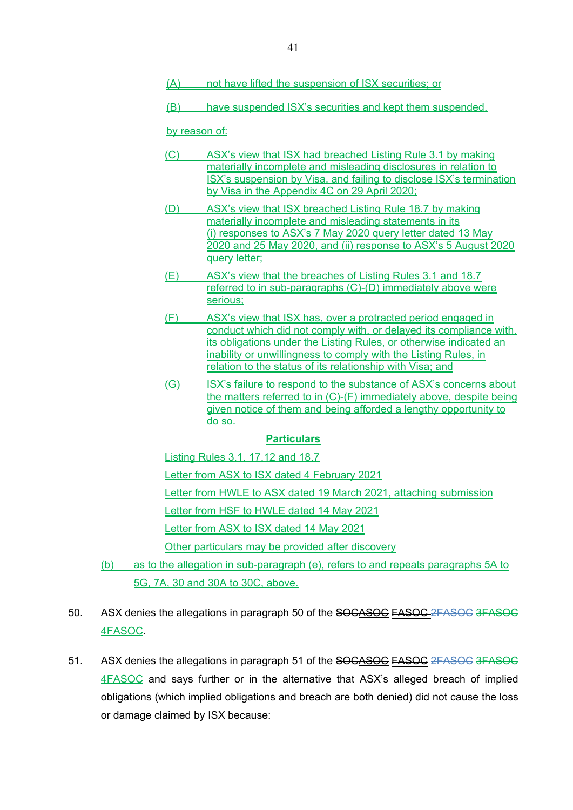- (A) not have lifted the suspension of ISX securities; or
- (B) have suspended ISX's securities and kept them suspended,

by reason of:

- (C) ASX's view that ISX had breached Listing Rule 3.1 by making materially incomplete and misleading disclosures in relation to ISX's suspension by Visa, and failing to disclose ISX's termination by Visa in the Appendix 4C on 29 April 2020;
- (D) ASX's view that ISX breached Listing Rule 18.7 by making materially incomplete and misleading statements in its (i) responses to ASX's 7 May 2020 query letter dated 13 May 2020 and 25 May 2020, and (ii) response to ASX's 5 August 2020 query letter;
- (E) ASX's view that the breaches of Listing Rules 3.1 and 18.7 referred to in sub-paragraphs (C)-(D) immediately above were serious;
- (F) ASX's view that ISX has, over a protracted period engaged in conduct which did not comply with, or delayed its compliance with, its obligations under the Listing Rules, or otherwise indicated an inability or unwillingness to comply with the Listing Rules, in relation to the status of its relationship with Visa; and
- (G) ISX's failure to respond to the substance of ASX's concerns about the matters referred to in (C)-(F) immediately above, despite being given notice of them and being afforded a lengthy opportunity to do so.

### **Particulars**

Listing Rules 3.1, 17.12 and 18.7

Letter from ASX to ISX dated 4 February 2021

Letter from HWLE to ASX dated 19 March 2021, attaching submission

Letter from HSF to HWLE dated 14 May 2021

Letter from ASX to ISX dated 14 May 2021

Other particulars may be provided after discovery

- (b) as to the allegation in sub-paragraph (e), refers to and repeats paragraphs 5A to 5G, 7A, 30 and 30A to 30C, above.
- 50. ASX denies the allegations in paragraph 50 of the SOCASOC FASOC 2FASOC 3FASOC 4FASOC.
- 51. ASX denies the allegations in paragraph 51 of the SOCASOC FASOC 2FASOC 3FASOC 4FASOC and says further or in the alternative that ASX's alleged breach of implied obligations (which implied obligations and breach are both denied) did not cause the loss or damage claimed by ISX because: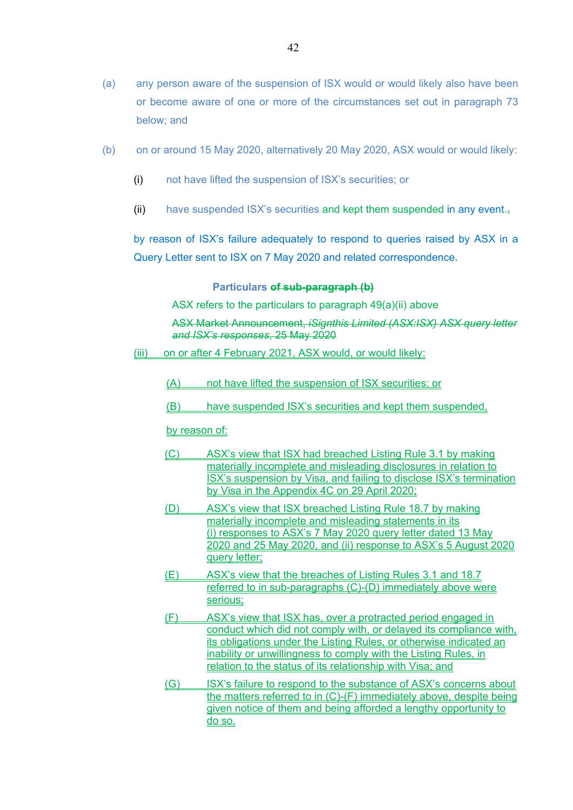- (a) any person aware of the suspension of ISX would or would likely also have been or become aware of one or more of the circumstances set out in paragraph 73 below; and
- (b) on or around 15 May 2020, alternatively 20 May 2020, ASX would or would likely:
	- (i) not have lifted the suspension of ISX's securities; or
	- (ii) have suspended ISX's securities and kept them suspended in any event. $\overline{z}$

by reason of ISX's failure adequately to respond to queries raised by ASX in a Query Letter sent to ISX on 7 May 2020 and related correspondence.

#### **Particulars of sub-paragraph (b)**

ASX refers to the particulars to paragraph 49(a)(ii) above

ASX Market Announcement, *iSignthis Limited (ASX:ISX) ASX query letter and ISX's responses*, 25 May 2020

- (iii) on or after 4 February 2021, ASX would, or would likely:
	- (A) not have lifted the suspension of ISX securities; or
	- (B) have suspended ISX's securities and kept them suspended,

by reason of:

- (C) ASX's view that ISX had breached Listing Rule 3.1 by making materially incomplete and misleading disclosures in relation to ISX's suspension by Visa, and failing to disclose ISX's termination by Visa in the Appendix 4C on 29 April 2020;
- (D) ASX's view that ISX breached Listing Rule 18.7 by making materially incomplete and misleading statements in its (i) responses to ASX's 7 May 2020 query letter dated 13 May 2020 and 25 May 2020, and (ii) response to ASX's 5 August 2020 query letter;
- (E) ASX's view that the breaches of Listing Rules 3.1 and 18.7 referred to in sub-paragraphs (C)-(D) immediately above were serious;
- (F) ASX's view that ISX has, over a protracted period engaged in conduct which did not comply with, or delayed its compliance with, its obligations under the Listing Rules, or otherwise indicated an inability or unwillingness to comply with the Listing Rules, in relation to the status of its relationship with Visa; and
- (G) ISX's failure to respond to the substance of ASX's concerns about the matters referred to in (C)-(F) immediately above, despite being given notice of them and being afforded a lengthy opportunity to do so.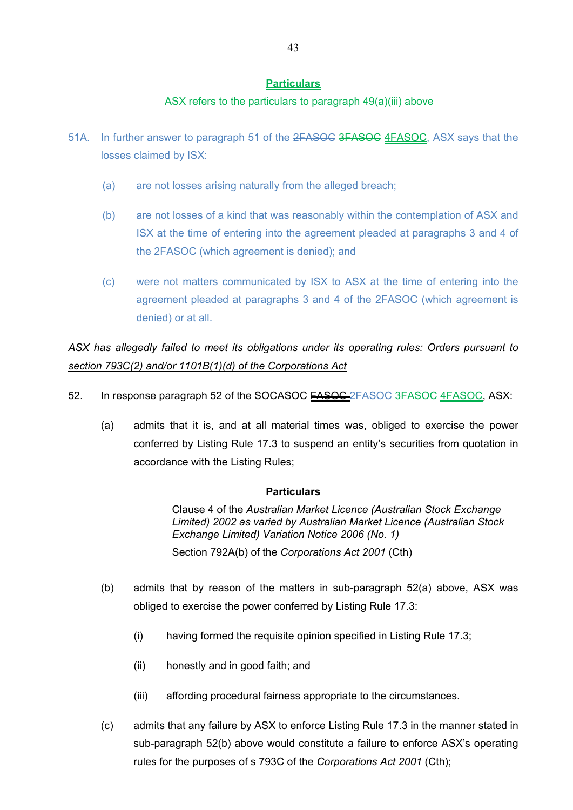### ASX refers to the particulars to paragraph 49(a)(iii) above

- 51A. In further answer to paragraph 51 of the 2FASOC 3FASOC 4FASOC, ASX says that the losses claimed by ISX:
	- (a) are not losses arising naturally from the alleged breach;
	- (b) are not losses of a kind that was reasonably within the contemplation of ASX and ISX at the time of entering into the agreement pleaded at paragraphs 3 and 4 of the 2FASOC (which agreement is denied); and
	- (c) were not matters communicated by ISX to ASX at the time of entering into the agreement pleaded at paragraphs 3 and 4 of the 2FASOC (which agreement is denied) or at all.

*ASX has allegedly failed to meet its obligations under its operating rules: Orders pursuant to section 793C(2) and/or 1101B(1)(d) of the Corporations Act* 

- 52. In response paragraph 52 of the SOCASOC FASOC 2FASOC 3FASOC 4FASOC, ASX:
	- (a) admits that it is, and at all material times was, obliged to exercise the power conferred by Listing Rule 17.3 to suspend an entity's securities from quotation in accordance with the Listing Rules;

#### **Particulars**

Clause 4 of the *Australian Market Licence (Australian Stock Exchange Limited) 2002 as varied by Australian Market Licence (Australian Stock Exchange Limited) Variation Notice 2006 (No. 1)* Section 792A(b) of the *Corporations Act 2001* (Cth)

- (b) admits that by reason of the matters in sub-paragraph 52(a) above, ASX was
	- obliged to exercise the power conferred by Listing Rule 17.3:
		- (i) having formed the requisite opinion specified in Listing Rule 17.3;
		- (ii) honestly and in good faith; and
		- (iii) affording procedural fairness appropriate to the circumstances.
- (c) admits that any failure by ASX to enforce Listing Rule 17.3 in the manner stated in sub-paragraph 52(b) above would constitute a failure to enforce ASX's operating rules for the purposes of s 793C of the *Corporations Act 2001* (Cth);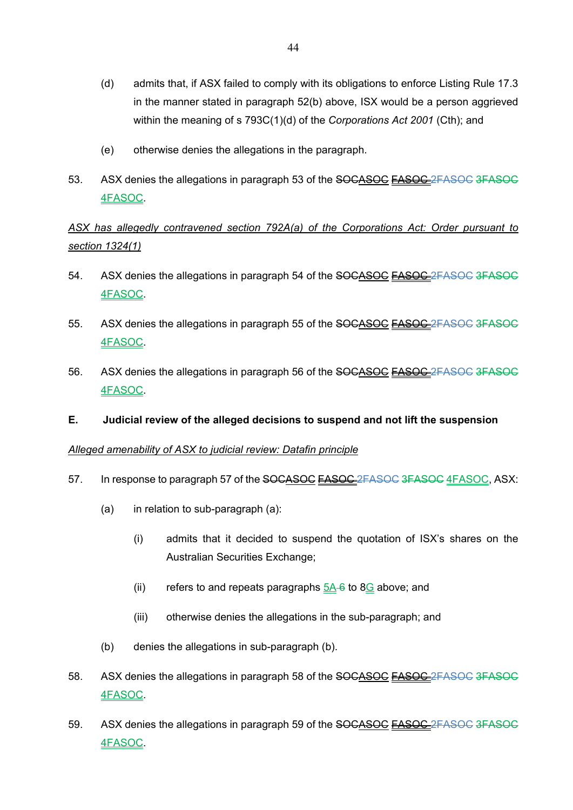- (d) admits that, if ASX failed to comply with its obligations to enforce Listing Rule 17.3 in the manner stated in paragraph 52(b) above, ISX would be a person aggrieved within the meaning of s 793C(1)(d) of the *Corporations Act 2001* (Cth); and
- (e) otherwise denies the allegations in the paragraph.
- 53. ASX denies the allegations in paragraph 53 of the SOCASOC **FASOC** 2FASOC 3FASOC 4FASOC.

# *ASX has allegedly contravened section 792A(a) of the Corporations Act: Order pursuant to section 1324(1)*

- 54. ASX denies the allegations in paragraph 54 of the SOCASOC FASOC 2FASOC 3FASOC 4FASOC.
- 55. ASX denies the allegations in paragraph 55 of the SOCASOC FASOC 2FASOC 3FASOC 4FASOC.
- 56. ASX denies the allegations in paragraph 56 of the SOCASOC FASOC 2FASOC 3FASOC 4FASOC.
- **E. Judicial review of the alleged decisions to suspend and not lift the suspension**

### *Alleged amenability of ASX to judicial review: Datafin principle*

- 57. In response to paragraph 57 of the SOCASOC FASOC 2FASOC 3FASOC 4FASOC, ASX:
	- (a) in relation to sub-paragraph (a):
		- (i) admits that it decided to suspend the quotation of ISX's shares on the Australian Securities Exchange;
		- (ii) refers to and repeats paragraphs  $5A-6$  to 8 $G$  above; and
		- (iii) otherwise denies the allegations in the sub-paragraph; and
	- (b) denies the allegations in sub-paragraph (b).
- 58. ASX denies the allegations in paragraph 58 of the SOCASOC FASOC 2FASOC 3FASOC 4FASOC.
- 59. ASX denies the allegations in paragraph 59 of the SOCASOC FASOC 2FASOC 3FASOC 4FASOC.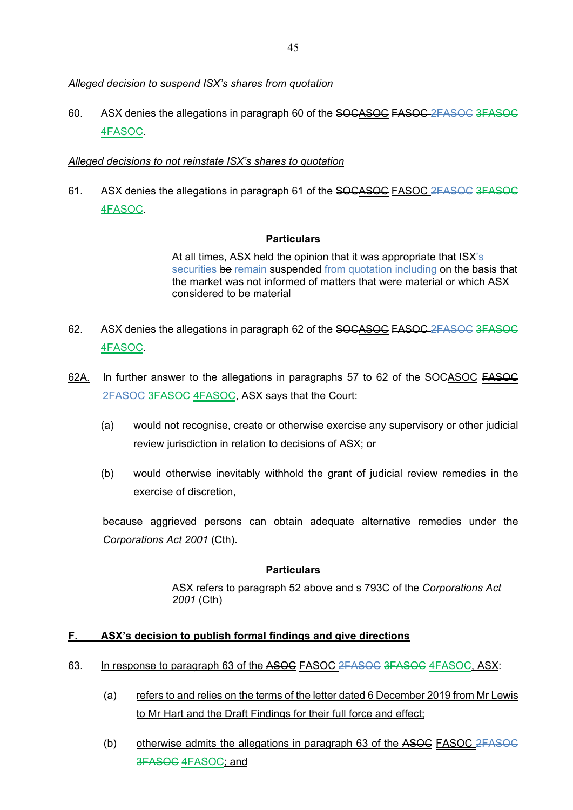# *Alleged decision to suspend ISX's shares from quotation*

60. ASX denies the allegations in paragraph 60 of the SOCASOC **FASOC** 2FASOC 3FASOC 4FASOC.

# *Alleged decisions to not reinstate ISX's shares to quotation*

61. ASX denies the allegations in paragraph 61 of the SOCASOC FASOC 2FASOC 3FASOC 4FASOC.

# **Particulars**

At all times, ASX held the opinion that it was appropriate that ISX's securities be remain suspended from quotation including on the basis that the market was not informed of matters that were material or which ASX considered to be material

- 62. ASX denies the allegations in paragraph 62 of the SOCASOC FASOC 2FASOC 3FASOC 4FASOC.
- 62A. In further answer to the allegations in paragraphs 57 to 62 of the SOCASOC FASOC 2FASOC 3FASOC 4FASOC, ASX says that the Court:
	- (a) would not recognise, create or otherwise exercise any supervisory or other judicial review jurisdiction in relation to decisions of ASX; or
	- (b) would otherwise inevitably withhold the grant of judicial review remedies in the exercise of discretion,

because aggrieved persons can obtain adequate alternative remedies under the *Corporations Act 2001* (Cth).

### **Particulars**

ASX refers to paragraph 52 above and s 793C of the *Corporations Act 2001* (Cth)

# **F. ASX's decision to publish formal findings and give directions**

# 63. In response to paragraph 63 of the ASOC **FASOC** 2FASOC 3FASOC 4FASOC, ASX:

- (a) refers to and relies on the terms of the letter dated 6 December 2019 from Mr Lewis to Mr Hart and the Draft Findings for their full force and effect;
- (b) otherwise admits the allegations in paragraph 63 of the  $\overline{ASOC}$   $\overline{FASOC}$ 3FASOC 4FASOC; and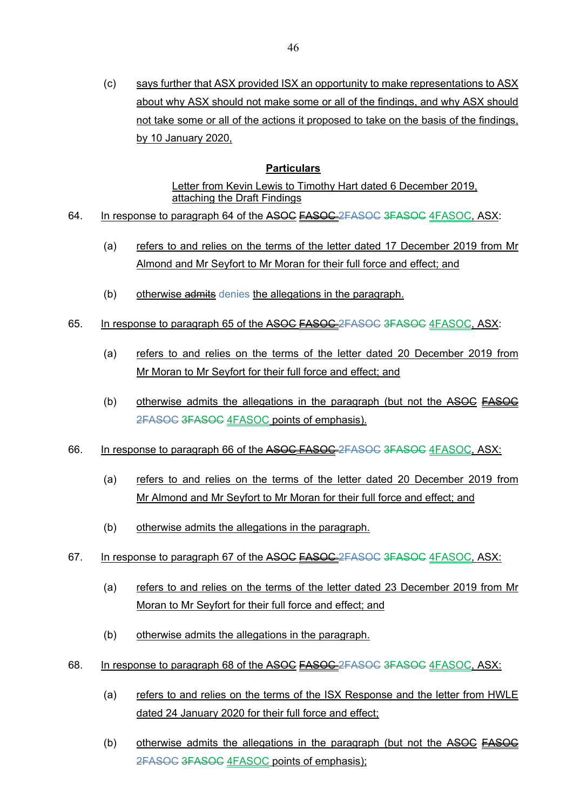(c) says further that ASX provided ISX an opportunity to make representations to ASX about why ASX should not make some or all of the findings, and why ASX should not take some or all of the actions it proposed to take on the basis of the findings, by 10 January 2020,

# **Particulars**

Letter from Kevin Lewis to Timothy Hart dated 6 December 2019. attaching the Draft Findings

- 64. In response to paragraph 64 of the ASOC EASOC 2FASOC 3FASOC 4FASOC, ASX:
	- (a) refers to and relies on the terms of the letter dated 17 December 2019 from Mr Almond and Mr Seyfort to Mr Moran for their full force and effect; and
	- (b) otherwise admits denies the allegations in the paragraph.
- 65. In response to paragraph 65 of the ASOC FASOC-2FASOC 3FASOC 4FASOC, ASX:
	- (a) refers to and relies on the terms of the letter dated 20 December 2019 from Mr Moran to Mr Seyfort for their full force and effect; and
	- (b) otherwise admits the allegations in the paragraph (but not the  $\overline{ASOC}$   $\overline{FASOC}$ 2FASOC 3FASOC 4FASOC points of emphasis).
- 66. In response to paragraph 66 of the ASOC FASOC 2FASOC 3FASOC 4FASOC, ASX:
	- (a) refers to and relies on the terms of the letter dated 20 December 2019 from Mr Almond and Mr Seyfort to Mr Moran for their full force and effect; and
	- (b) otherwise admits the allegations in the paragraph.
- 67. In response to paragraph 67 of the ASOC EASOC 2FASOC 3FASOC 4FASOC, ASX:
	- (a) refers to and relies on the terms of the letter dated 23 December 2019 from Mr Moran to Mr Seyfort for their full force and effect; and
	- (b) otherwise admits the allegations in the paragraph.
- 68. In response to paragraph 68 of the ASOC FASOC 2FASOC 3FASOC 4FASOC, ASX:
	- (a) refers to and relies on the terms of the ISX Response and the letter from HWLE dated 24 January 2020 for their full force and effect;
	- (b) otherwise admits the allegations in the paragraph (but not the  $\overline{ASOC}$   $\overline{FASOC}$ 2FASOC 3FASOC 4FASOC points of emphasis);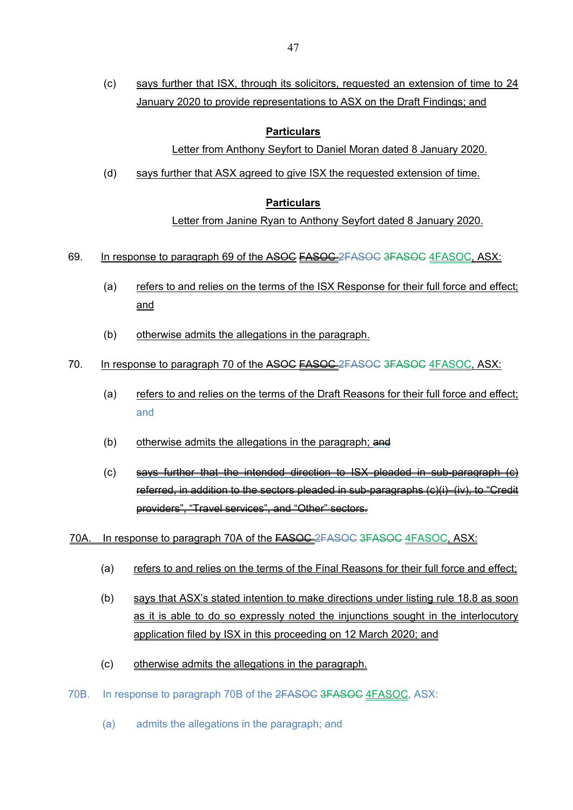(c) says further that ISX, through its solicitors, requested an extension of time to 24 January 2020 to provide representations to ASX on the Draft Findings; and

### **Particulars**

# Letter from Anthony Seyfort to Daniel Moran dated 8 January 2020.

(d) says further that ASX agreed to give ISX the requested extension of time.

# **Particulars**

Letter from Janine Ryan to Anthony Seyfort dated 8 January 2020.

- 69. In response to paragraph 69 of the ASOC **EASOC** 2FASOC 3FASOC 4FASOC, ASX:
	- (a) refers to and relies on the terms of the ISX Response for their full force and effect; and
	- (b) otherwise admits the allegations in the paragraph.
- 70. In response to paragraph 70 of the ASOC FASOC-2FASOC 3FASOC 4FASOC. ASX:
	- (a) refers to and relies on the terms of the Draft Reasons for their full force and effect; and
	- (b) otherwise admits the allegations in the paragraph;  $\theta$
	- $(c)$  says further that the intended direction to ISX pleaded in sub-paragraph  $(c)$ referred, in addition to the sectors pleaded in sub-paragraphs (c)(i)–(iv), to "Credit providers", "Travel services", and "Other" sectors.
- 70A. In response to paragraph 70A of the FASOC 2FASOC 3FASOC 4FASOC, ASX:
	- (a) refers to and relies on the terms of the Final Reasons for their full force and effect;
	- (b) says that ASX's stated intention to make directions under listing rule 18.8 as soon as it is able to do so expressly noted the injunctions sought in the interlocutory application filed by ISX in this proceeding on 12 March 2020; and
	- (c) otherwise admits the allegations in the paragraph.
- 70B. In response to paragraph 70B of the 2FASOC 3FASOC 4FASOC, ASX:
	- (a) admits the allegations in the paragraph; and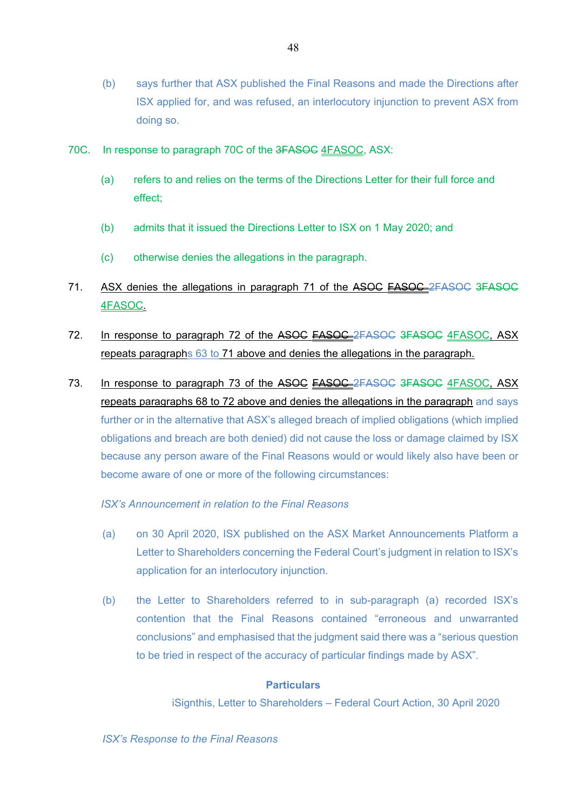- (b) says further that ASX published the Final Reasons and made the Directions after ISX applied for, and was refused, an interlocutory injunction to prevent ASX from doing so.
- 70C. In response to paragraph 70C of the 3FASOC 4FASOC, ASX:
	- (a) refers to and relies on the terms of the Directions Letter for their full force and effect;
	- (b) admits that it issued the Directions Letter to ISX on 1 May 2020; and
	- (c) otherwise denies the allegations in the paragraph.
- 71. ASX denies the allegations in paragraph 71 of the ASOC FASOC 2FASOC 3FASOC 4FASOC.
- 72. In response to paragraph 72 of the ASOC FASOC 2FASOC 3FASOC 4FASOC, ASX repeats paragraphs 63 to 71 above and denies the allegations in the paragraph.
- 73. In response to paragraph 73 of the ASOC **FASOC** 2FASOC 3FASOC 4FASOC, ASX repeats paragraphs 68 to 72 above and denies the allegations in the paragraph and says further or in the alternative that ASX's alleged breach of implied obligations (which implied obligations and breach are both denied) did not cause the loss or damage claimed by ISX because any person aware of the Final Reasons would or would likely also have been or become aware of one or more of the following circumstances:

### *ISX's Announcement in relation to the Final Reasons*

- (a) on 30 April 2020, ISX published on the ASX Market Announcements Platform a Letter to Shareholders concerning the Federal Court's judgment in relation to ISX's application for an interlocutory injunction.
- (b) the Letter to Shareholders referred to in sub-paragraph (a) recorded ISX's contention that the Final Reasons contained "erroneous and unwarranted conclusions" and emphasised that the judgment said there was a "serious question to be tried in respect of the accuracy of particular findings made by ASX".

#### **Particulars**

iSignthis, Letter to Shareholders – Federal Court Action, 30 April 2020

*ISX's Response to the Final Reasons*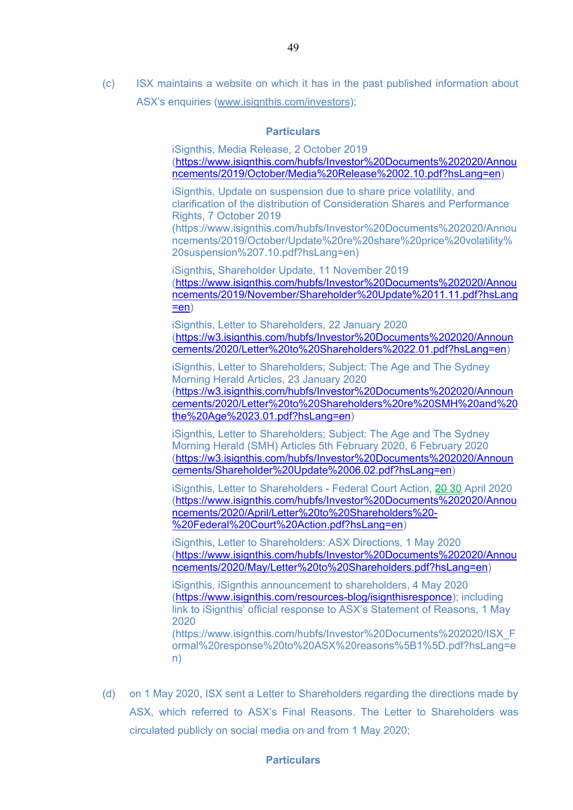(c) ISX maintains a website on which it has in the past published information about ASX's enquiries (www.isignthis.com/investors);

#### **Particulars**

iSignthis, Media Release, 2 October 2019 (https://www.isignthis.com/hubfs/Investor%20Documents%202020/Annou ncements/2019/October/Media%20Release%2002.10.pdf?hsLang=en)

iSignthis, Update on suspension due to share price volatility, and clarification of the distribution of Consideration Shares and Performance Rights, 7 October 2019

(https://www.isignthis.com/hubfs/Investor%20Documents%202020/Annou ncements/2019/October/Update%20re%20share%20price%20volatility% 20suspension%207.10.pdf?hsLang=en)

iSignthis, Shareholder Update, 11 November 2019 (https://www.isignthis.com/hubfs/Investor%20Documents%202020/Annou ncements/2019/November/Shareholder%20Update%2011.11.pdf?hsLang  $=en)$ 

iSignthis, Letter to Shareholders, 22 January 2020 (https://w3.isignthis.com/hubfs/Investor%20Documents%202020/Announ cements/2020/Letter%20to%20Shareholders%2022.01.pdf?hsLang=en)

iSignthis, Letter to Shareholders; Subject: The Age and The Sydney Morning Herald Articles, 23 January 2020 (https://w3.isignthis.com/hubfs/Investor%20Documents%202020/Announ cements/2020/Letter%20to%20Shareholders%20re%20SMH%20and%20 the%20Age%2023.01.pdf?hsLang=en)

iSignthis, Letter to Shareholders; Subject: The Age and The Sydney Morning Herald (SMH) Articles 5th February 2020, 6 February 2020 (https://w3.isignthis.com/hubfs/Investor%20Documents%202020/Announ cements/Shareholder%20Update%2006.02.pdf?hsLang=en)

iSignthis, Letter to Shareholders - Federal Court Action, 20 30 April 2020 (https://www.isignthis.com/hubfs/Investor%20Documents%202020/Annou ncements/2020/April/Letter%20to%20Shareholders%20- %20Federal%20Court%20Action.pdf?hsLang=en)

iSignthis, Letter to Shareholders: ASX Directions, 1 May 2020 (https://www.isignthis.com/hubfs/Investor%20Documents%202020/Annou ncements/2020/May/Letter%20to%20Shareholders.pdf?hsLang=en)

iSignthis, iSignthis announcement to shareholders, 4 May 2020 (https://www.isignthis.com/resources-blog/isignthisresponce); including link to iSignthis' official response to ASX's Statement of Reasons, 1 May 2020

(https://www.isignthis.com/hubfs/Investor%20Documents%202020/ISX\_F ormal%20response%20to%20ASX%20reasons%5B1%5D.pdf?hsLang=e n)

(d) on 1 May 2020, ISX sent a Letter to Shareholders regarding the directions made by ASX, which referred to ASX's Final Reasons. The Letter to Shareholders was circulated publicly on social media on and from 1 May 2020;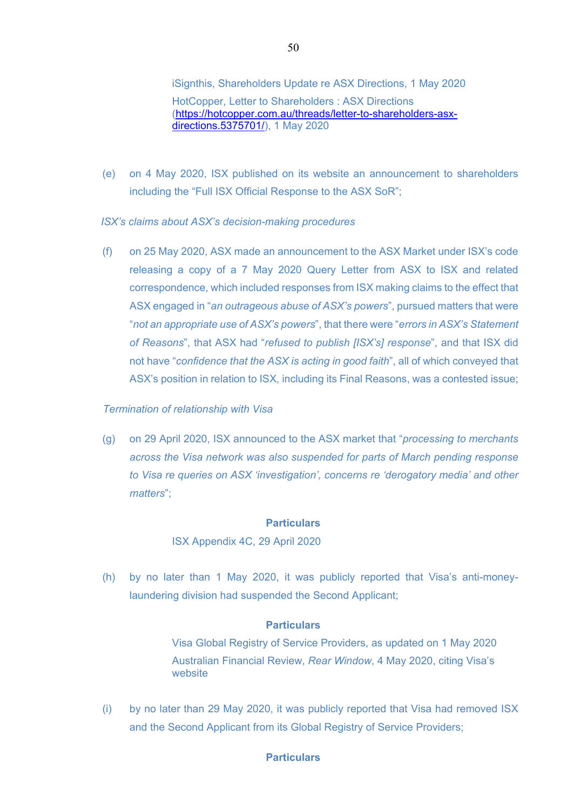iSignthis, Shareholders Update re ASX Directions, 1 May 2020 HotCopper, Letter to Shareholders : ASX Directions (https://hotcopper.com.au/threads/letter-to-shareholders-asxdirections.5375701/), 1 May 2020

(e) on 4 May 2020, ISX published on its website an announcement to shareholders including the "Full ISX Official Response to the ASX SoR";

*ISX's claims about ASX's decision-making procedures* 

(f) on 25 May 2020, ASX made an announcement to the ASX Market under ISX's code releasing a copy of a 7 May 2020 Query Letter from ASX to ISX and related correspondence, which included responses from ISX making claims to the effect that ASX engaged in "*an outrageous abuse of ASX's powers*", pursued matters that were "*not an appropriate use of ASX's powers*", that there were "*errors in ASX's Statement of Reasons*", that ASX had "*refused to publish [ISX's] response*", and that ISX did not have "*confidence that the ASX is acting in good faith*", all of which conveyed that ASX's position in relation to ISX, including its Final Reasons, was a contested issue;

#### *Termination of relationship with Visa*

(g) on 29 April 2020, ISX announced to the ASX market that "*processing to merchants across the Visa network was also suspended for parts of March pending response to Visa re queries on ASX 'investigation', concerns re 'derogatory media' and other matters*";

## **Particulars**

ISX Appendix 4C, 29 April 2020

(h) by no later than 1 May 2020, it was publicly reported that Visa's anti-moneylaundering division had suspended the Second Applicant;

#### **Particulars**

Visa Global Registry of Service Providers, as updated on 1 May 2020 Australian Financial Review, *Rear Window*, 4 May 2020, citing Visa's website

(i) by no later than 29 May 2020, it was publicly reported that Visa had removed ISX and the Second Applicant from its Global Registry of Service Providers;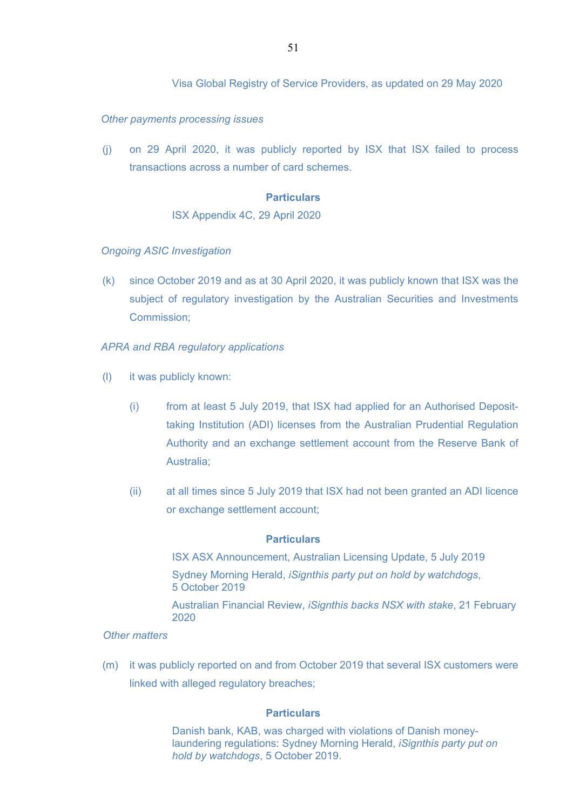### *Other payments processing issues*

(j) on 29 April 2020, it was publicly reported by ISX that ISX failed to process transactions across a number of card schemes.

### **Particulars**

#### ISX Appendix 4C, 29 April 2020

### *Ongoing ASIC Investigation*

(k) since October 2019 and as at 30 April 2020, it was publicly known that ISX was the subject of regulatory investigation by the Australian Securities and Investments Commission;

### *APRA and RBA regulatory applications*

- (l) it was publicly known:
	- (i) from at least 5 July 2019, that ISX had applied for an Authorised Deposittaking Institution (ADI) licenses from the Australian Prudential Regulation Authority and an exchange settlement account from the Reserve Bank of Australia;
	- (ii) at all times since 5 July 2019 that ISX had not been granted an ADI licence or exchange settlement account;

#### **Particulars**

ISX ASX Announcement, Australian Licensing Update, 5 July 2019 Sydney Morning Herald, *iSignthis party put on hold by watchdogs*, 5 October 2019

Australian Financial Review, *iSignthis backs NSX with stake*, 21 February 2020

### *Other matters*

(m) it was publicly reported on and from October 2019 that several ISX customers were linked with alleged regulatory breaches;

### **Particulars**

Danish bank, KAB, was charged with violations of Danish moneylaundering regulations: Sydney Morning Herald, *iSignthis party put on hold by watchdogs*, 5 October 2019.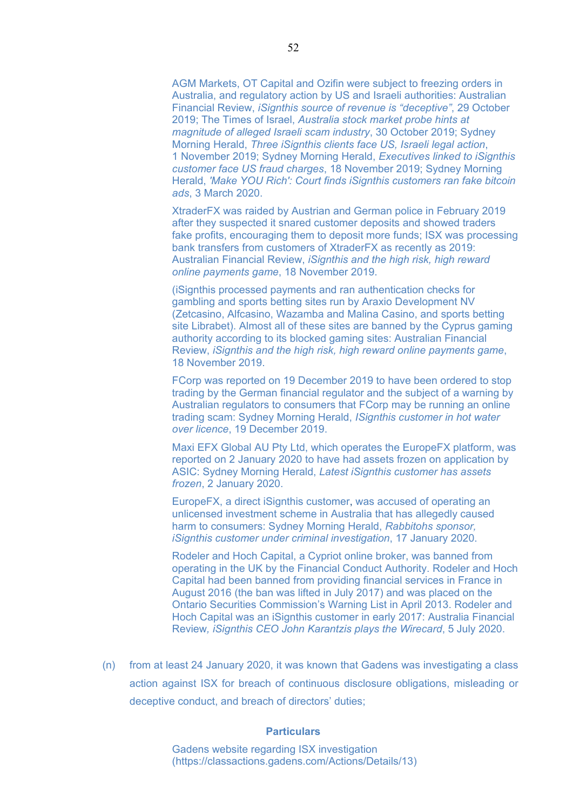AGM Markets, OT Capital and Ozifin were subject to freezing orders in Australia, and regulatory action by US and Israeli authorities: Australian Financial Review, *iSignthis source of revenue is "deceptive"*, 29 October 2019; The Times of Israel, *Australia stock market probe hints at magnitude of alleged Israeli scam industry*, 30 October 2019; Sydney Morning Herald, *Three iSignthis clients face US, Israeli legal action*, 1 November 2019; Sydney Morning Herald, *Executives linked to iSignthis customer face US fraud charges*, 18 November 2019; Sydney Morning Herald, *'Make YOU Rich': Court finds iSignthis customers ran fake bitcoin ads*, 3 March 2020.

XtraderFX was raided by Austrian and German police in February 2019 after they suspected it snared customer deposits and showed traders fake profits, encouraging them to deposit more funds; ISX was processing bank transfers from customers of XtraderFX as recently as 2019: Australian Financial Review, *iSignthis and the high risk, high reward online payments game*, 18 November 2019.

(iSignthis processed payments and ran authentication checks for gambling and sports betting sites run by Araxio Development NV (Zetcasino, Alfcasino, Wazamba and Malina Casino, and sports betting site Librabet). Almost all of these sites are banned by the Cyprus gaming authority according to its blocked gaming sites: Australian Financial Review, *iSignthis and the high risk, high reward online payments game*, 18 November 2019.

FCorp was reported on 19 December 2019 to have been ordered to stop trading by the German financial regulator and the subject of a warning by Australian regulators to consumers that FCorp may be running an online trading scam: Sydney Morning Herald, *ISignthis customer in hot water over licence*, 19 December 2019.

Maxi EFX Global AU Pty Ltd, which operates the EuropeFX platform, was reported on 2 January 2020 to have had assets frozen on application by ASIC: Sydney Morning Herald, *Latest iSignthis customer has assets frozen*, 2 January 2020.

EuropeFX, a direct iSignthis customer, was accused of operating an unlicensed investment scheme in Australia that has allegedly caused harm to consumers: Sydney Morning Herald, *Rabbitohs sponsor, iSignthis customer under criminal investigation*, 17 January 2020.

Rodeler and Hoch Capital, a Cypriot online broker, was banned from operating in the UK by the Financial Conduct Authority. Rodeler and Hoch Capital had been banned from providing financial services in France in August 2016 (the ban was lifted in July 2017) and was placed on the Ontario Securities Commission's Warning List in April 2013. Rodeler and Hoch Capital was an iSignthis customer in early 2017: Australia Financial Review*, iSignthis CEO John Karantzis plays the Wirecard*, 5 July 2020.

(n) from at least 24 January 2020, it was known that Gadens was investigating a class action against ISX for breach of continuous disclosure obligations, misleading or deceptive conduct, and breach of directors' duties;

#### **Particulars**

Gadens website regarding ISX investigation (https://classactions.gadens.com/Actions/Details/13)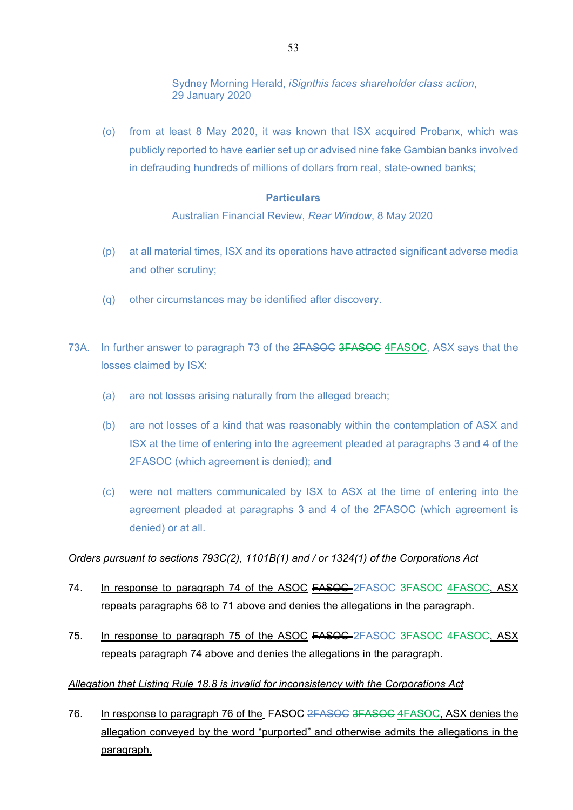Sydney Morning Herald, *iSignthis faces shareholder class action*, 29 January 2020

(o) from at least 8 May 2020, it was known that ISX acquired Probanx, which was publicly reported to have earlier set up or advised nine fake Gambian banks involved in defrauding hundreds of millions of dollars from real, state-owned banks;

### **Particulars**

Australian Financial Review, *Rear Window*, 8 May 2020

- (p) at all material times, ISX and its operations have attracted significant adverse media and other scrutiny;
- (q) other circumstances may be identified after discovery.
- 73A. In further answer to paragraph 73 of the 2FASOC 3FASOC 4FASOC, ASX says that the losses claimed by ISX:
	- (a) are not losses arising naturally from the alleged breach;
	- (b) are not losses of a kind that was reasonably within the contemplation of ASX and ISX at the time of entering into the agreement pleaded at paragraphs 3 and 4 of the 2FASOC (which agreement is denied); and
	- (c) were not matters communicated by ISX to ASX at the time of entering into the agreement pleaded at paragraphs 3 and 4 of the 2FASOC (which agreement is denied) or at all.

### *Orders pursuant to sections 793C(2), 1101B(1) and / or 1324(1) of the Corporations Act*

- 74. In response to paragraph 74 of the ASOC FASOC 2FASOC 3FASOC 4FASOC, ASX repeats paragraphs 68 to 71 above and denies the allegations in the paragraph.
- 75. In response to paragraph 75 of the ASOC **FASOC** 2FASOC 3FASOC 4FASOC, ASX repeats paragraph 74 above and denies the allegations in the paragraph.

# *Allegation that Listing Rule 18.8 is invalid for inconsistency with the Corporations Act*

76. In response to paragraph 76 of the <del>FASOC 2FASOC 3FASOC</del> 4FASOC, ASX denies the allegation conveyed by the word "purported" and otherwise admits the allegations in the paragraph.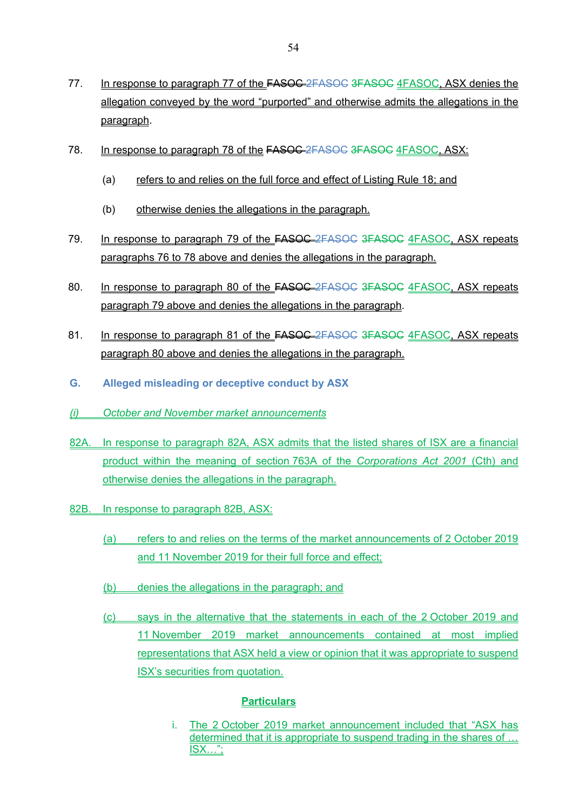- 77. In response to paragraph 77 of the **FASOC-2FASOC 3FASOC 4FASOC, ASX denies the** allegation conveyed by the word "purported" and otherwise admits the allegations in the paragraph.
- 78. In response to paragraph 78 of the FASOC 2FASOC 3FASOC 4FASOC, ASX:
	- (a) refers to and relies on the full force and effect of Listing Rule 18; and
	- (b) otherwise denies the allegations in the paragraph.
- 79. In response to paragraph 79 of the **FASOC**-2FASOC 3FASOC 4FASOC, ASX repeats paragraphs 76 to 78 above and denies the allegations in the paragraph.
- 80. In response to paragraph 80 of the **FASOC** 2FASOC 3FASOC 4FASOC, ASX repeats paragraph 79 above and denies the allegations in the paragraph.
- 81. In response to paragraph 81 of the **FASOC** 2FASOC 3FASOC 4FASOC, ASX repeats paragraph 80 above and denies the allegations in the paragraph.
- **G. Alleged misleading or deceptive conduct by ASX**
- *(i) October and November market announcements*
- 82A. In response to paragraph 82A, ASX admits that the listed shares of ISX are a financial product within the meaning of section 763A of the *Corporations Act 2001* (Cth) and otherwise denies the allegations in the paragraph.
- 82B. In response to paragraph 82B, ASX:
	- (a) refers to and relies on the terms of the market announcements of 2 October 2019 and 11 November 2019 for their full force and effect;
	- (b) denies the allegations in the paragraph; and
	- (c) says in the alternative that the statements in each of the 2 October 2019 and 11 November 2019 market announcements contained at most implied representations that ASX held a view or opinion that it was appropriate to suspend ISX's securities from quotation.

i. The 2 October 2019 market announcement included that "ASX has determined that it is appropriate to suspend trading in the shares of … ISX…";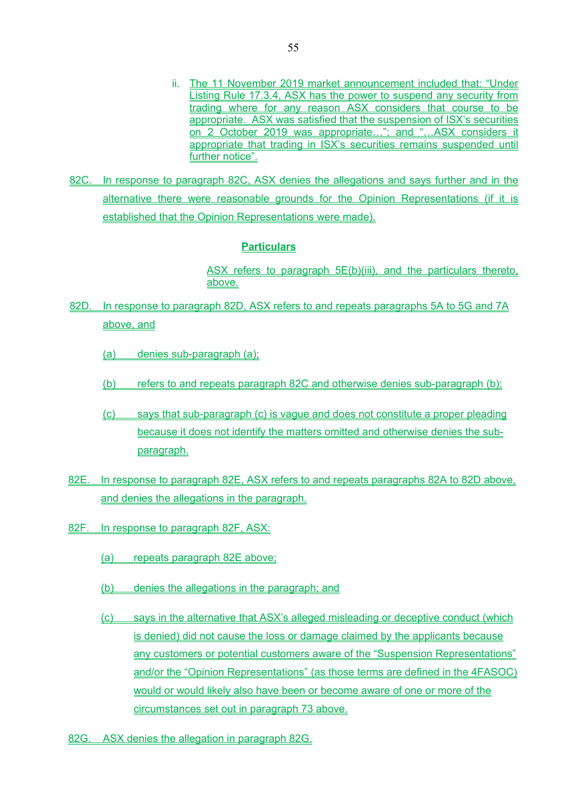- ii. The 11 November 2019 market announcement included that: "Under Listing Rule 17.3.4, ASX has the power to suspend any security from trading where for any reason ASX considers that course to be appropriate. ASX was satisfied that the suspension of ISX's securities on 2 October 2019 was appropriate…"; and "…ASX considers it appropriate that trading in ISX's securities remains suspended until further notice".
- 82C. In response to paragraph 82C, ASX denies the allegations and says further and in the alternative there were reasonable grounds for the Opinion Representations (if it is established that the Opinion Representations were made).

ASX refers to paragraph 5E(b)(iii), and the particulars thereto, above.

- 82D. In response to paragraph 82D, ASX refers to and repeats paragraphs 5A to 5G and 7A above, and
	- (a) denies sub-paragraph (a);
	- (b) refers to and repeats paragraph 82C and otherwise denies sub-paragraph (b);
	- (c) says that sub-paragraph (c) is vague and does not constitute a proper pleading because it does not identify the matters omitted and otherwise denies the subparagraph.
- 82E. In response to paragraph 82E, ASX refers to and repeats paragraphs 82A to 82D above, and denies the allegations in the paragraph.
- 82F. In response to paragraph 82F, ASX:
	- (a) repeats paragraph 82E above;
	- (b) denies the allegations in the paragraph; and
	- (c) says in the alternative that ASX's alleged misleading or deceptive conduct (which is denied) did not cause the loss or damage claimed by the applicants because any customers or potential customers aware of the "Suspension Representations" and/or the "Opinion Representations" (as those terms are defined in the 4FASOC) would or would likely also have been or become aware of one or more of the circumstances set out in paragraph 73 above.
- 82G. ASX denies the allegation in paragraph 82G.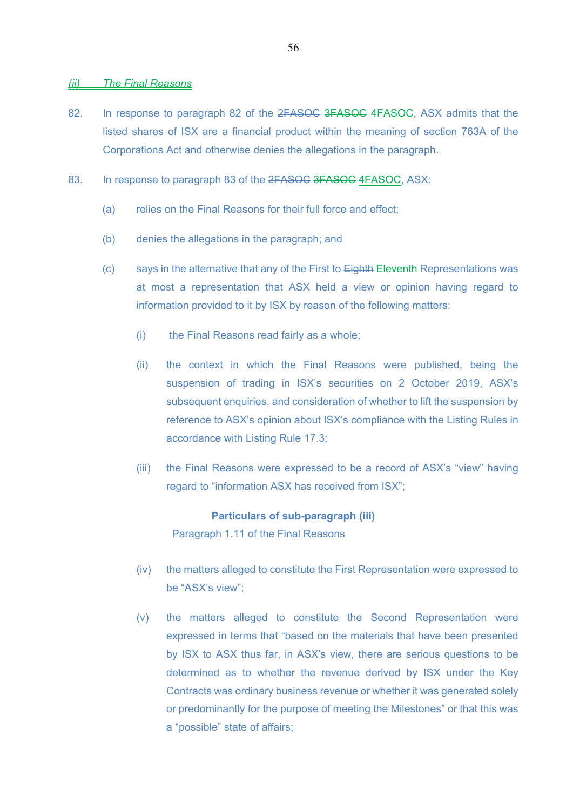#### *(ii) The Final Reasons*

- 82. In response to paragraph 82 of the 2FASOC 3FASOC 4FASOC, ASX admits that the listed shares of ISX are a financial product within the meaning of section 763A of the Corporations Act and otherwise denies the allegations in the paragraph.
- 83. In response to paragraph 83 of the 2FASOC 3FASOC 4FASOC, ASX:
	- (a) relies on the Final Reasons for their full force and effect:
	- (b) denies the allegations in the paragraph; and
	- (c) says in the alternative that any of the First to Eighth Eleventh Representations was at most a representation that ASX held a view or opinion having regard to information provided to it by ISX by reason of the following matters:
		- (i) the Final Reasons read fairly as a whole;
		- (ii) the context in which the Final Reasons were published, being the suspension of trading in ISX's securities on 2 October 2019, ASX's subsequent enquiries, and consideration of whether to lift the suspension by reference to ASX's opinion about ISX's compliance with the Listing Rules in accordance with Listing Rule 17.3;
		- (iii) the Final Reasons were expressed to be a record of ASX's "view" having regard to "information ASX has received from ISX";

**Particulars of sub-paragraph (iii)**  Paragraph 1.11 of the Final Reasons

- (iv) the matters alleged to constitute the First Representation were expressed to be "ASX's view";
- (v) the matters alleged to constitute the Second Representation were expressed in terms that "based on the materials that have been presented by ISX to ASX thus far, in ASX's view, there are serious questions to be determined as to whether the revenue derived by ISX under the Key Contracts was ordinary business revenue or whether it was generated solely or predominantly for the purpose of meeting the Milestones" or that this was a "possible" state of affairs;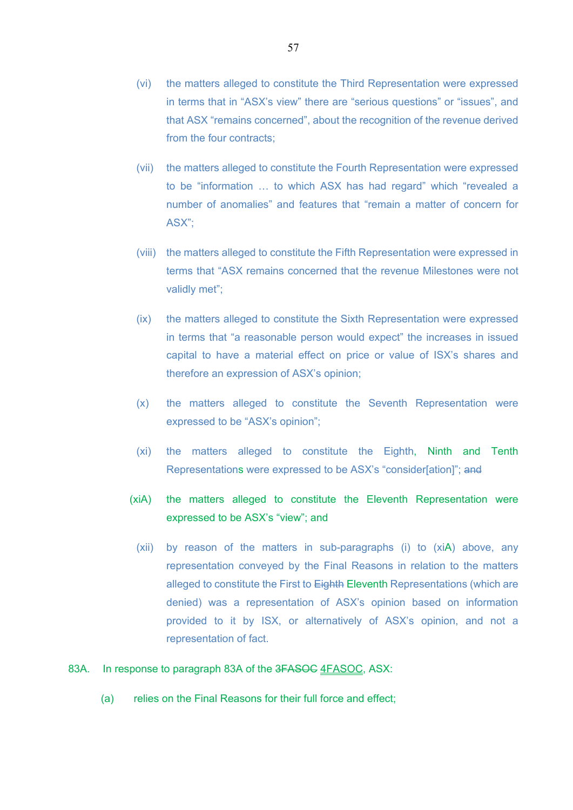- (vi) the matters alleged to constitute the Third Representation were expressed in terms that in "ASX's view" there are "serious questions" or "issues", and that ASX "remains concerned", about the recognition of the revenue derived from the four contracts;
- (vii) the matters alleged to constitute the Fourth Representation were expressed to be "information … to which ASX has had regard" which "revealed a number of anomalies" and features that "remain a matter of concern for ASX";
- (viii) the matters alleged to constitute the Fifth Representation were expressed in terms that "ASX remains concerned that the revenue Milestones were not validly met";
- (ix) the matters alleged to constitute the Sixth Representation were expressed in terms that "a reasonable person would expect" the increases in issued capital to have a material effect on price or value of ISX's shares and therefore an expression of ASX's opinion;
- (x) the matters alleged to constitute the Seventh Representation were expressed to be "ASX's opinion";
- (xi) the matters alleged to constitute the Eighth, Ninth and Tenth Representations were expressed to be ASX's "consider ation]"; and
- (xiA) the matters alleged to constitute the Eleventh Representation were expressed to be ASX's "view"; and
	- (xii) by reason of the matters in sub-paragraphs (i) to (xiA) above, any representation conveyed by the Final Reasons in relation to the matters alleged to constitute the First to Eighth Eleventh Representations (which are denied) was a representation of ASX's opinion based on information provided to it by ISX, or alternatively of ASX's opinion, and not a representation of fact.

### 83A. In response to paragraph 83A of the 3FASOC 4FASOC, ASX:

(a) relies on the Final Reasons for their full force and effect: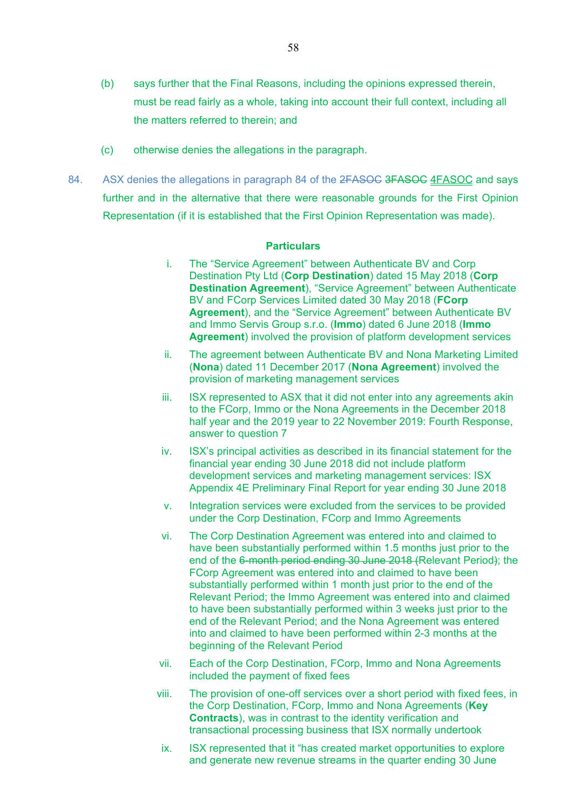- (b) says further that the Final Reasons, including the opinions expressed therein, must be read fairly as a whole, taking into account their full context, including all the matters referred to therein; and
- (c) otherwise denies the allegations in the paragraph.
- 84. ASX denies the allegations in paragraph 84 of the 2FASOC 3FASOC 4FASOC and says further and in the alternative that there were reasonable grounds for the First Opinion Representation (if it is established that the First Opinion Representation was made).

- i. The "Service Agreement" between Authenticate BV and Corp Destination Pty Ltd (**Corp Destination**) dated 15 May 2018 (**Corp Destination Agreement**), "Service Agreement" between Authenticate BV and FCorp Services Limited dated 30 May 2018 (**FCorp Agreement**), and the "Service Agreement" between Authenticate BV and Immo Servis Group s.r.o. (**Immo**) dated 6 June 2018 (**Immo Agreement**) involved the provision of platform development services
- ii. The agreement between Authenticate BV and Nona Marketing Limited (**Nona**) dated 11 December 2017 (**Nona Agreement**) involved the provision of marketing management services
- iii. ISX represented to ASX that it did not enter into any agreements akin to the FCorp, Immo or the Nona Agreements in the December 2018 half year and the 2019 year to 22 November 2019: Fourth Response, answer to question 7
- iv. ISX's principal activities as described in its financial statement for the financial year ending 30 June 2018 did not include platform development services and marketing management services: ISX Appendix 4E Preliminary Final Report for year ending 30 June 2018
- v. Integration services were excluded from the services to be provided under the Corp Destination, FCorp and Immo Agreements
- vi. The Corp Destination Agreement was entered into and claimed to have been substantially performed within 1.5 months just prior to the end of the 6-month period ending 30 June 2018 (Relevant Period); the FCorp Agreement was entered into and claimed to have been substantially performed within 1 month just prior to the end of the Relevant Period; the Immo Agreement was entered into and claimed to have been substantially performed within 3 weeks just prior to the end of the Relevant Period; and the Nona Agreement was entered into and claimed to have been performed within 2-3 months at the beginning of the Relevant Period
- vii. Each of the Corp Destination, FCorp, Immo and Nona Agreements included the payment of fixed fees
- viii. The provision of one-off services over a short period with fixed fees, in the Corp Destination, FCorp, Immo and Nona Agreements (**Key Contracts**), was in contrast to the identity verification and transactional processing business that ISX normally undertook
- ix. ISX represented that it "has created market opportunities to explore and generate new revenue streams in the quarter ending 30 June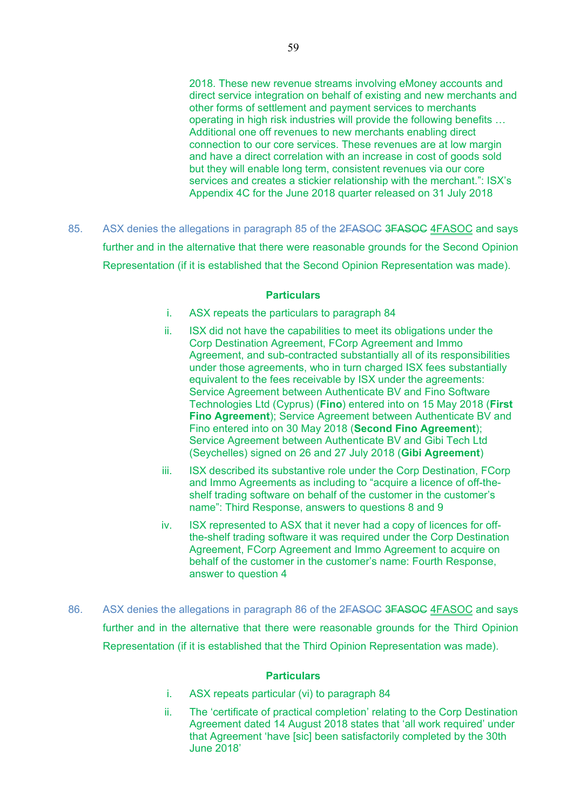2018. These new revenue streams involving eMoney accounts and direct service integration on behalf of existing and new merchants and other forms of settlement and payment services to merchants operating in high risk industries will provide the following benefits … Additional one off revenues to new merchants enabling direct connection to our core services. These revenues are at low margin and have a direct correlation with an increase in cost of goods sold but they will enable long term, consistent revenues via our core services and creates a stickier relationship with the merchant.": ISX's Appendix 4C for the June 2018 quarter released on 31 July 2018

85. ASX denies the allegations in paragraph 85 of the 2FASOC 3FASOC 4FASOC and says further and in the alternative that there were reasonable grounds for the Second Opinion Representation (if it is established that the Second Opinion Representation was made).

#### **Particulars**

- i. ASX repeats the particulars to paragraph 84
- ii. ISX did not have the capabilities to meet its obligations under the Corp Destination Agreement, FCorp Agreement and Immo Agreement, and sub-contracted substantially all of its responsibilities under those agreements, who in turn charged ISX fees substantially equivalent to the fees receivable by ISX under the agreements: Service Agreement between Authenticate BV and Fino Software Technologies Ltd (Cyprus) (**Fino**) entered into on 15 May 2018 (**First Fino Agreement**); Service Agreement between Authenticate BV and Fino entered into on 30 May 2018 (**Second Fino Agreement**); Service Agreement between Authenticate BV and Gibi Tech Ltd (Seychelles) signed on 26 and 27 July 2018 (**Gibi Agreement**)
- iii. ISX described its substantive role under the Corp Destination, FCorp and Immo Agreements as including to "acquire a licence of off-theshelf trading software on behalf of the customer in the customer's name": Third Response, answers to questions 8 and 9
- iv. ISX represented to ASX that it never had a copy of licences for offthe-shelf trading software it was required under the Corp Destination Agreement, FCorp Agreement and Immo Agreement to acquire on behalf of the customer in the customer's name: Fourth Response, answer to question 4
- 86. ASX denies the allegations in paragraph 86 of the 2FASOC 3FASOC 4FASOC and says further and in the alternative that there were reasonable grounds for the Third Opinion Representation (if it is established that the Third Opinion Representation was made).

- i. ASX repeats particular (vi) to paragraph 84
- ii. The 'certificate of practical completion' relating to the Corp Destination Agreement dated 14 August 2018 states that 'all work required' under that Agreement 'have [sic] been satisfactorily completed by the 30th June 2018'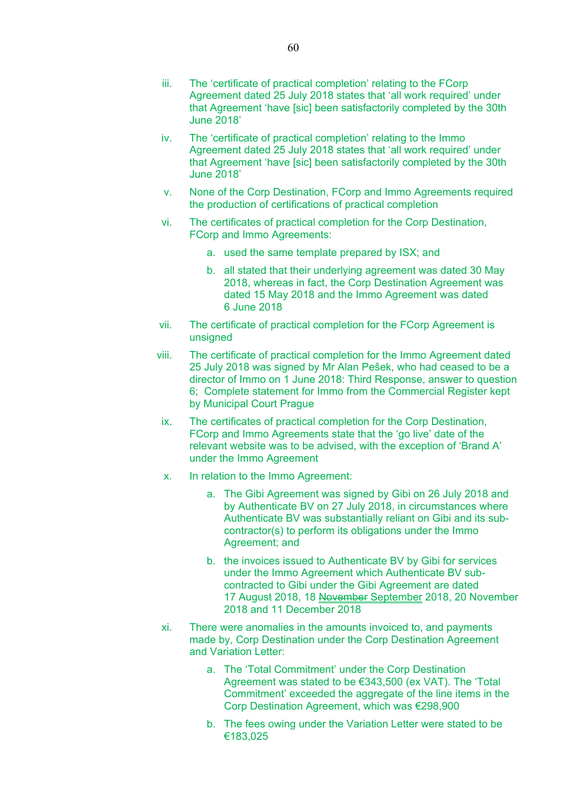- iii. The 'certificate of practical completion' relating to the FCorp Agreement dated 25 July 2018 states that 'all work required' under that Agreement 'have [sic] been satisfactorily completed by the 30th June 2018'
- iv. The 'certificate of practical completion' relating to the Immo Agreement dated 25 July 2018 states that 'all work required' under that Agreement 'have [sic] been satisfactorily completed by the 30th June 2018'
- v. None of the Corp Destination, FCorp and Immo Agreements required the production of certifications of practical completion
- vi. The certificates of practical completion for the Corp Destination, FCorp and Immo Agreements:
	- a. used the same template prepared by ISX; and
	- b. all stated that their underlying agreement was dated 30 May 2018, whereas in fact, the Corp Destination Agreement was dated 15 May 2018 and the Immo Agreement was dated 6 June 2018
- vii. The certificate of practical completion for the FCorp Agreement is unsigned
- viii. The certificate of practical completion for the Immo Agreement dated 25 July 2018 was signed by Mr Alan Peŝek, who had ceased to be a director of Immo on 1 June 2018: Third Response, answer to question 6; Complete statement for Immo from the Commercial Register kept by Municipal Court Prague
- ix. The certificates of practical completion for the Corp Destination, FCorp and Immo Agreements state that the 'go live' date of the relevant website was to be advised, with the exception of 'Brand A' under the Immo Agreement
- x. In relation to the Immo Agreement:
	- a. The Gibi Agreement was signed by Gibi on 26 July 2018 and by Authenticate BV on 27 July 2018, in circumstances where Authenticate BV was substantially reliant on Gibi and its subcontractor(s) to perform its obligations under the Immo Agreement; and
	- b. the invoices issued to Authenticate BV by Gibi for services under the Immo Agreement which Authenticate BV subcontracted to Gibi under the Gibi Agreement are dated 17 August 2018, 18 November September 2018, 20 November 2018 and 11 December 2018
- xi. There were anomalies in the amounts invoiced to, and payments made by, Corp Destination under the Corp Destination Agreement and Variation Letter:
	- a. The 'Total Commitment' under the Corp Destination Agreement was stated to be €343,500 (ex VAT). The 'Total Commitment' exceeded the aggregate of the line items in the Corp Destination Agreement, which was €298,900
	- b. The fees owing under the Variation Letter were stated to be €183,025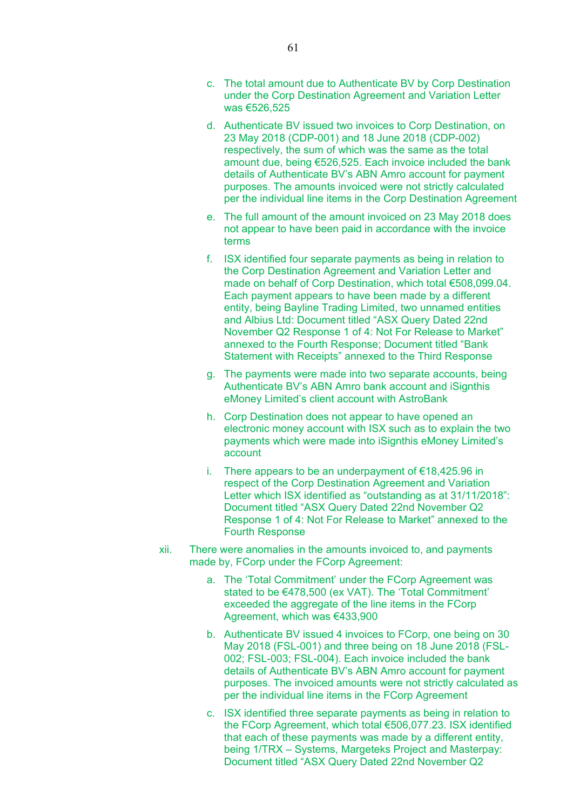- c. The total amount due to Authenticate BV by Corp Destination under the Corp Destination Agreement and Variation Letter was €526,525
- d. Authenticate BV issued two invoices to Corp Destination, on 23 May 2018 (CDP-001) and 18 June 2018 (CDP-002) respectively, the sum of which was the same as the total amount due, being €526,525. Each invoice included the bank details of Authenticate BV's ABN Amro account for payment purposes. The amounts invoiced were not strictly calculated per the individual line items in the Corp Destination Agreement
- e. The full amount of the amount invoiced on 23 May 2018 does not appear to have been paid in accordance with the invoice terms
- f. ISX identified four separate payments as being in relation to the Corp Destination Agreement and Variation Letter and made on behalf of Corp Destination, which total €508,099.04. Each payment appears to have been made by a different entity, being Bayline Trading Limited, two unnamed entities and Albius Ltd: Document titled "ASX Query Dated 22nd November Q2 Response 1 of 4: Not For Release to Market" annexed to the Fourth Response; Document titled "Bank Statement with Receipts" annexed to the Third Response
- g. The payments were made into two separate accounts, being Authenticate BV's ABN Amro bank account and iSignthis eMoney Limited's client account with AstroBank
- h. Corp Destination does not appear to have opened an electronic money account with ISX such as to explain the two payments which were made into iSignthis eMoney Limited's account
- i. There appears to be an underpayment of €18,425.96 in respect of the Corp Destination Agreement and Variation Letter which ISX identified as "outstanding as at 31/11/2018": Document titled "ASX Query Dated 22nd November Q2 Response 1 of 4: Not For Release to Market" annexed to the Fourth Response
- xii. There were anomalies in the amounts invoiced to, and payments made by, FCorp under the FCorp Agreement:
	- a. The 'Total Commitment' under the FCorp Agreement was stated to be €478,500 (ex VAT). The 'Total Commitment' exceeded the aggregate of the line items in the FCorp Agreement, which was €433,900
	- b. Authenticate BV issued 4 invoices to FCorp, one being on 30 May 2018 (FSL-001) and three being on 18 June 2018 (FSL-002; FSL-003; FSL-004). Each invoice included the bank details of Authenticate BV's ABN Amro account for payment purposes. The invoiced amounts were not strictly calculated as per the individual line items in the FCorp Agreement
	- c. ISX identified three separate payments as being in relation to the FCorp Agreement, which total €506,077.23. ISX identified that each of these payments was made by a different entity, being 1/TRX – Systems, Margeteks Project and Masterpay: Document titled "ASX Query Dated 22nd November Q2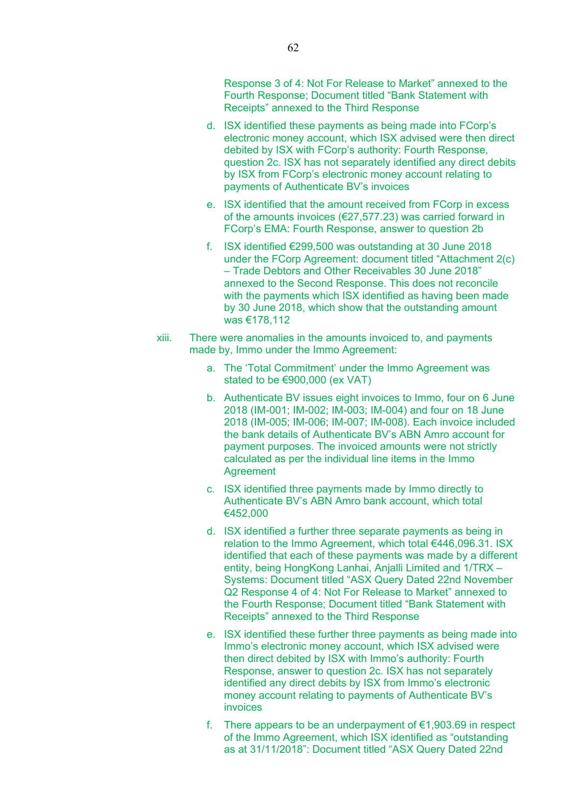Response 3 of 4: Not For Release to Market" annexed to the Fourth Response; Document titled "Bank Statement with Receipts" annexed to the Third Response

- d. ISX identified these payments as being made into FCorp's electronic money account, which ISX advised were then direct debited by ISX with FCorp's authority: Fourth Response, question 2c. ISX has not separately identified any direct debits by ISX from FCorp's electronic money account relating to payments of Authenticate BV's invoices
- e. ISX identified that the amount received from FCorp in excess of the amounts invoices (€27,577.23) was carried forward in FCorp's EMA: Fourth Response, answer to question 2b
- f. ISX identified €299,500 was outstanding at 30 June 2018 under the FCorp Agreement: document titled "Attachment 2(c) – Trade Debtors and Other Receivables 30 June 2018" annexed to the Second Response. This does not reconcile with the payments which ISX identified as having been made by 30 June 2018, which show that the outstanding amount was €178,112
- xiii. There were anomalies in the amounts invoiced to, and payments made by, Immo under the Immo Agreement:
	- a. The 'Total Commitment' under the Immo Agreement was stated to be €900,000 (ex VAT)
	- b. Authenticate BV issues eight invoices to Immo, four on 6 June 2018 (IM-001; IM-002; IM-003; IM-004) and four on 18 June 2018 (IM-005; IM-006; IM-007; IM-008). Each invoice included the bank details of Authenticate BV's ABN Amro account for payment purposes. The invoiced amounts were not strictly calculated as per the individual line items in the Immo Agreement
	- c. ISX identified three payments made by Immo directly to Authenticate BV's ABN Amro bank account, which total €452,000
	- d. ISX identified a further three separate payments as being in relation to the Immo Agreement, which total €446,096.31. ISX identified that each of these payments was made by a different entity, being HongKong Lanhai, Anjalli Limited and 1/TRX – Systems: Document titled "ASX Query Dated 22nd November Q2 Response 4 of 4: Not For Release to Market" annexed to the Fourth Response; Document titled "Bank Statement with Receipts" annexed to the Third Response
	- e. ISX identified these further three payments as being made into Immo's electronic money account, which ISX advised were then direct debited by ISX with Immo's authority: Fourth Response, answer to question 2c. ISX has not separately identified any direct debits by ISX from Immo's electronic money account relating to payments of Authenticate BV's invoices
	- f. There appears to be an underpayment of  $\epsilon$ 1,903.69 in respect of the Immo Agreement, which ISX identified as "outstanding as at 31/11/2018": Document titled "ASX Query Dated 22nd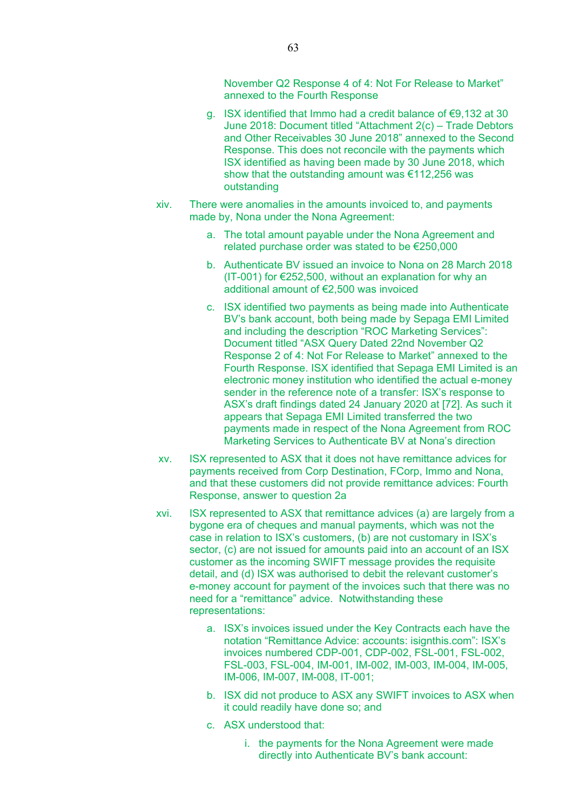November Q2 Response 4 of 4: Not For Release to Market" annexed to the Fourth Response

- g. ISX identified that Immo had a credit balance of €9,132 at 30 June 2018: Document titled "Attachment 2(c) – Trade Debtors and Other Receivables 30 June 2018" annexed to the Second Response. This does not reconcile with the payments which ISX identified as having been made by 30 June 2018, which show that the outstanding amount was €112,256 was outstanding
- xiv. There were anomalies in the amounts invoiced to, and payments made by, Nona under the Nona Agreement:
	- a. The total amount payable under the Nona Agreement and related purchase order was stated to be €250,000
	- b. Authenticate BV issued an invoice to Nona on 28 March 2018 (IT-001) for €252,500, without an explanation for why an additional amount of €2,500 was invoiced
	- c. ISX identified two payments as being made into Authenticate BV's bank account, both being made by Sepaga EMI Limited and including the description "ROC Marketing Services": Document titled "ASX Query Dated 22nd November Q2 Response 2 of 4: Not For Release to Market" annexed to the Fourth Response. ISX identified that Sepaga EMI Limited is an electronic money institution who identified the actual e-money sender in the reference note of a transfer: ISX's response to ASX's draft findings dated 24 January 2020 at [72]. As such it appears that Sepaga EMI Limited transferred the two payments made in respect of the Nona Agreement from ROC Marketing Services to Authenticate BV at Nona's direction
- xv. ISX represented to ASX that it does not have remittance advices for payments received from Corp Destination, FCorp, Immo and Nona, and that these customers did not provide remittance advices: Fourth Response, answer to question 2a
- xvi. ISX represented to ASX that remittance advices (a) are largely from a bygone era of cheques and manual payments, which was not the case in relation to ISX's customers, (b) are not customary in ISX's sector, (c) are not issued for amounts paid into an account of an ISX customer as the incoming SWIFT message provides the requisite detail, and (d) ISX was authorised to debit the relevant customer's e-money account for payment of the invoices such that there was no need for a "remittance" advice. Notwithstanding these representations:
	- a. ISX's invoices issued under the Key Contracts each have the notation "Remittance Advice: accounts: isignthis.com": ISX's invoices numbered CDP-001, CDP-002, FSL-001, FSL-002, FSL-003, FSL-004, IM-001, IM-002, IM-003, IM-004, IM-005, IM-006, IM-007, IM-008, IT-001;
	- b. ISX did not produce to ASX any SWIFT invoices to ASX when it could readily have done so; and
	- c. ASX understood that:
		- i. the payments for the Nona Agreement were made directly into Authenticate BV's bank account: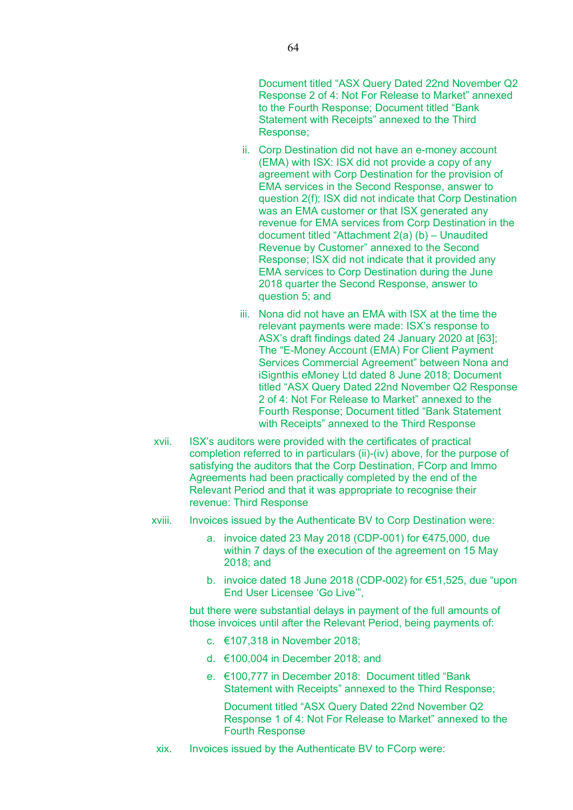Document titled "ASX Query Dated 22nd November Q2 Response 2 of 4: Not For Release to Market" annexed to the Fourth Response; Document titled "Bank Statement with Receipts" annexed to the Third Response;

- ii. Corp Destination did not have an e-money account (EMA) with ISX: ISX did not provide a copy of any agreement with Corp Destination for the provision of EMA services in the Second Response, answer to question 2(f); ISX did not indicate that Corp Destination was an EMA customer or that ISX generated any revenue for EMA services from Corp Destination in the document titled "Attachment 2(a) (b) – Unaudited Revenue by Customer" annexed to the Second Response; ISX did not indicate that it provided any EMA services to Corp Destination during the June 2018 quarter the Second Response, answer to question 5; and
- iii. Nona did not have an EMA with ISX at the time the relevant payments were made: ISX's response to ASX's draft findings dated 24 January 2020 at [63]; The "E-Money Account (EMA) For Client Payment Services Commercial Agreement" between Nona and iSignthis eMoney Ltd dated 8 June 2018; Document titled "ASX Query Dated 22nd November Q2 Response 2 of 4: Not For Release to Market" annexed to the Fourth Response; Document titled "Bank Statement with Receipts" annexed to the Third Response
- xvii. ISX's auditors were provided with the certificates of practical completion referred to in particulars (ii)-(iv) above, for the purpose of satisfying the auditors that the Corp Destination, FCorp and Immo Agreements had been practically completed by the end of the Relevant Period and that it was appropriate to recognise their revenue: Third Response
- xviii. Invoices issued by the Authenticate BV to Corp Destination were:
	- a. invoice dated 23 May 2018 (CDP-001) for €475,000, due within 7 days of the execution of the agreement on 15 May 2018; and
	- b. invoice dated 18 June 2018 (CDP-002) for €51,525, due "upon End User Licensee 'Go Live'",

but there were substantial delays in payment of the full amounts of those invoices until after the Relevant Period, being payments of:

- c. €107,318 in November 2018;
- d. €100,004 in December 2018; and
- e. €100,777 in December 2018: Document titled "Bank Statement with Receipts" annexed to the Third Response;

Document titled "ASX Query Dated 22nd November Q2 Response 1 of 4: Not For Release to Market" annexed to the Fourth Response

xix. Invoices issued by the Authenticate BV to FCorp were: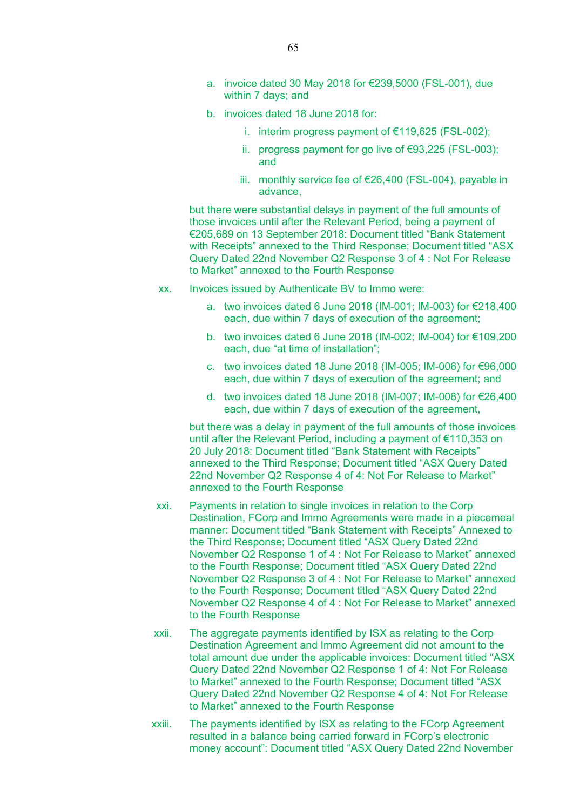- a. invoice dated 30 May 2018 for €239,5000 (FSL-001), due within 7 days; and
- b. invoices dated 18 June 2018 for:
	- i. interim progress payment of €119,625 (FSL-002);
	- ii. progress payment for go live of €93,225 (FSL-003); and
	- iii. monthly service fee of €26,400 (FSL-004), payable in advance,

but there were substantial delays in payment of the full amounts of those invoices until after the Relevant Period, being a payment of €205,689 on 13 September 2018: Document titled "Bank Statement with Receipts" annexed to the Third Response; Document titled "ASX Query Dated 22nd November Q2 Response 3 of 4 : Not For Release to Market" annexed to the Fourth Response

- xx. Invoices issued by Authenticate BV to Immo were:
	- a. two invoices dated 6 June 2018 (IM-001; IM-003) for €218,400 each, due within 7 days of execution of the agreement;
	- b. two invoices dated 6 June 2018 (IM-002; IM-004) for €109,200 each, due "at time of installation";
	- c. two invoices dated 18 June 2018 (IM-005; IM-006) for €96,000 each, due within 7 days of execution of the agreement; and
	- d. two invoices dated 18 June 2018 (IM-007; IM-008) for €26,400 each, due within 7 days of execution of the agreement,

but there was a delay in payment of the full amounts of those invoices until after the Relevant Period, including a payment of €110,353 on 20 July 2018: Document titled "Bank Statement with Receipts" annexed to the Third Response; Document titled "ASX Query Dated 22nd November Q2 Response 4 of 4: Not For Release to Market" annexed to the Fourth Response

- xxi. Payments in relation to single invoices in relation to the Corp Destination, FCorp and Immo Agreements were made in a piecemeal manner: Document titled "Bank Statement with Receipts" Annexed to the Third Response; Document titled "ASX Query Dated 22nd November Q2 Response 1 of 4 : Not For Release to Market" annexed to the Fourth Response; Document titled "ASX Query Dated 22nd November Q2 Response 3 of 4 : Not For Release to Market" annexed to the Fourth Response; Document titled "ASX Query Dated 22nd November Q2 Response 4 of 4 : Not For Release to Market" annexed to the Fourth Response
- xxii. The aggregate payments identified by ISX as relating to the Corp Destination Agreement and Immo Agreement did not amount to the total amount due under the applicable invoices: Document titled "ASX Query Dated 22nd November Q2 Response 1 of 4: Not For Release to Market" annexed to the Fourth Response; Document titled "ASX Query Dated 22nd November Q2 Response 4 of 4: Not For Release to Market" annexed to the Fourth Response
- xxiii. The payments identified by ISX as relating to the FCorp Agreement resulted in a balance being carried forward in FCorp's electronic money account": Document titled "ASX Query Dated 22nd November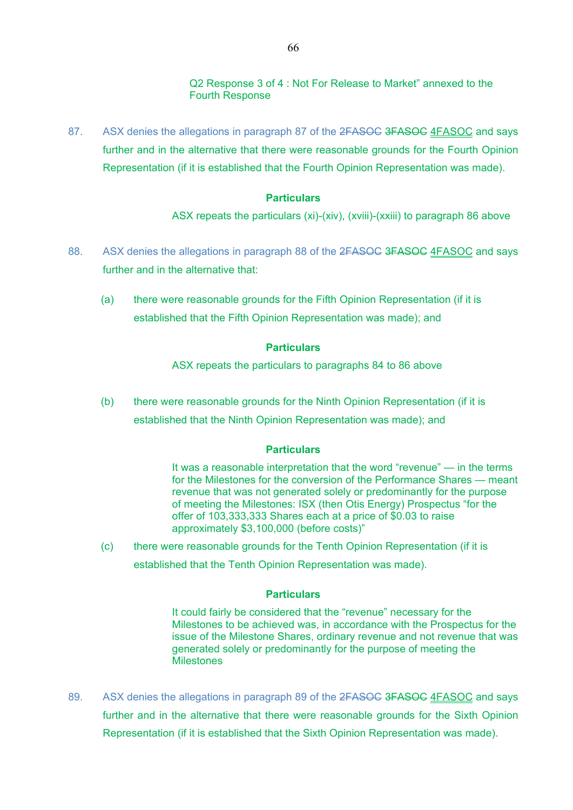Q2 Response 3 of 4 : Not For Release to Market" annexed to the Fourth Response

87. ASX denies the allegations in paragraph 87 of the 2FASOC 3FASOC 4FASOC and says further and in the alternative that there were reasonable grounds for the Fourth Opinion Representation (if it is established that the Fourth Opinion Representation was made).

### **Particulars**

ASX repeats the particulars (xi)-(xiv), (xviii)-(xxiii) to paragraph 86 above

- 88. ASX denies the allegations in paragraph 88 of the 2FASOC 3FASOC 4FASOC and says further and in the alternative that:
	- (a) there were reasonable grounds for the Fifth Opinion Representation (if it is established that the Fifth Opinion Representation was made); and

### **Particulars**

ASX repeats the particulars to paragraphs 84 to 86 above

(b) there were reasonable grounds for the Ninth Opinion Representation (if it is established that the Ninth Opinion Representation was made); and

#### **Particulars**

It was a reasonable interpretation that the word "revenue" — in the terms for the Milestones for the conversion of the Performance Shares — meant revenue that was not generated solely or predominantly for the purpose of meeting the Milestones: ISX (then Otis Energy) Prospectus "for the offer of 103,333,333 Shares each at a price of \$0.03 to raise approximately \$3,100,000 (before costs)"

(c) there were reasonable grounds for the Tenth Opinion Representation (if it is established that the Tenth Opinion Representation was made).

### **Particulars**

It could fairly be considered that the "revenue" necessary for the Milestones to be achieved was, in accordance with the Prospectus for the issue of the Milestone Shares, ordinary revenue and not revenue that was generated solely or predominantly for the purpose of meeting the Milestones

89. ASX denies the allegations in paragraph 89 of the 2FASOC 3FASOC 4FASOC and says further and in the alternative that there were reasonable grounds for the Sixth Opinion Representation (if it is established that the Sixth Opinion Representation was made).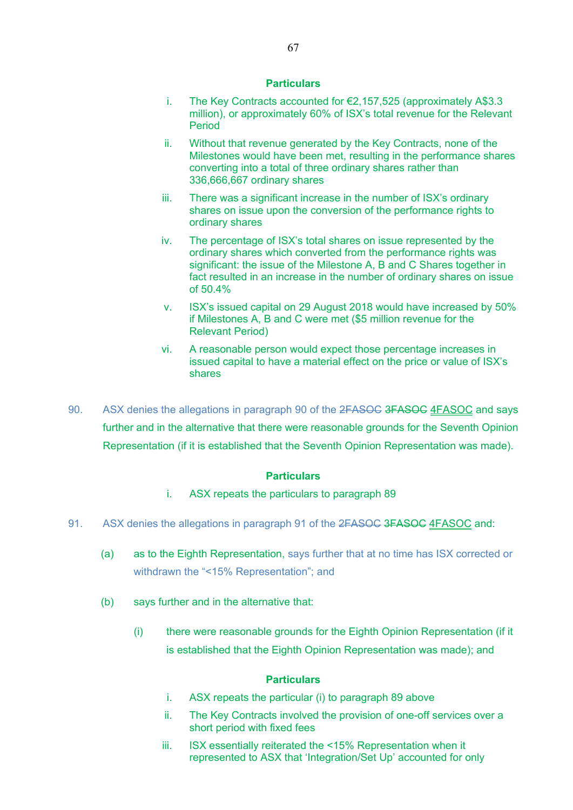- i. The Key Contracts accounted for €2,157,525 (approximately A\$3.3 million), or approximately 60% of ISX's total revenue for the Relevant Period
- ii. Without that revenue generated by the Key Contracts, none of the Milestones would have been met, resulting in the performance shares converting into a total of three ordinary shares rather than 336,666,667 ordinary shares
- iii. There was a significant increase in the number of ISX's ordinary shares on issue upon the conversion of the performance rights to ordinary shares
- iv. The percentage of ISX's total shares on issue represented by the ordinary shares which converted from the performance rights was significant: the issue of the Milestone A, B and C Shares together in fact resulted in an increase in the number of ordinary shares on issue of 50.4%
- v. ISX's issued capital on 29 August 2018 would have increased by 50% if Milestones A, B and C were met (\$5 million revenue for the Relevant Period)
- vi. A reasonable person would expect those percentage increases in issued capital to have a material effect on the price or value of ISX's shares
- 90. ASX denies the allegations in paragraph 90 of the 2FASOC 3FASOC 4FASOC and says further and in the alternative that there were reasonable grounds for the Seventh Opinion Representation (if it is established that the Seventh Opinion Representation was made).

### **Particulars**

- i. ASX repeats the particulars to paragraph 89
- 91. ASX denies the allegations in paragraph 91 of the 2FASOC 3FASOC 4FASOC and:
	- (a) as to the Eighth Representation, says further that at no time has ISX corrected or withdrawn the "<15% Representation"; and
	- (b) says further and in the alternative that:
		- (i) there were reasonable grounds for the Eighth Opinion Representation (if it is established that the Eighth Opinion Representation was made); and

- i. ASX repeats the particular (i) to paragraph 89 above
- ii. The Key Contracts involved the provision of one-off services over a short period with fixed fees
- iii. ISX essentially reiterated the <15% Representation when it represented to ASX that 'Integration/Set Up' accounted for only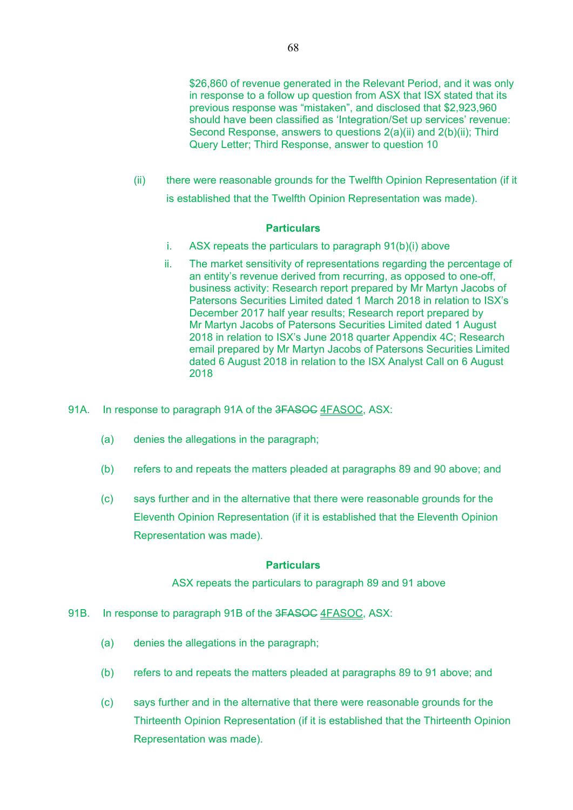(ii) there were reasonable grounds for the Twelfth Opinion Representation (if it is established that the Twelfth Opinion Representation was made).

### **Particulars**

- i. ASX repeats the particulars to paragraph 91(b)(i) above
- ii. The market sensitivity of representations regarding the percentage of an entity's revenue derived from recurring, as opposed to one-off, business activity: Research report prepared by Mr Martyn Jacobs of Patersons Securities Limited dated 1 March 2018 in relation to ISX's December 2017 half year results; Research report prepared by Mr Martyn Jacobs of Patersons Securities Limited dated 1 August 2018 in relation to ISX's June 2018 quarter Appendix 4C; Research email prepared by Mr Martyn Jacobs of Patersons Securities Limited dated 6 August 2018 in relation to the ISX Analyst Call on 6 August 2018
- 91A. In response to paragraph 91A of the 3FASOC 4FASOC, ASX:
	- (a) denies the allegations in the paragraph;
	- (b) refers to and repeats the matters pleaded at paragraphs 89 and 90 above; and
	- (c) says further and in the alternative that there were reasonable grounds for the Eleventh Opinion Representation (if it is established that the Eleventh Opinion Representation was made).

# **Particulars**

ASX repeats the particulars to paragraph 89 and 91 above

- 91B. In response to paragraph 91B of the 3FASOC 4FASOC, ASX:
	- (a) denies the allegations in the paragraph;
	- (b) refers to and repeats the matters pleaded at paragraphs 89 to 91 above; and
	- (c) says further and in the alternative that there were reasonable grounds for the Thirteenth Opinion Representation (if it is established that the Thirteenth Opinion Representation was made).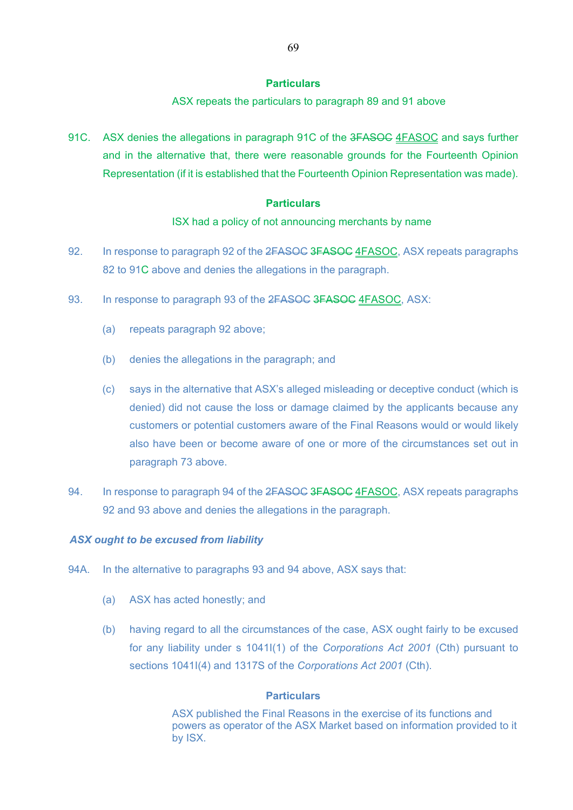ASX repeats the particulars to paragraph 89 and 91 above

91C. ASX denies the allegations in paragraph 91C of the 3FASOC 4FASOC and says further and in the alternative that, there were reasonable grounds for the Fourteenth Opinion Representation (if it is established that the Fourteenth Opinion Representation was made).

### **Particulars**

ISX had a policy of not announcing merchants by name

- 92. In response to paragraph 92 of the 2FASOC 3FASOC 4FASOC, ASX repeats paragraphs 82 to 91C above and denies the allegations in the paragraph.
- 93. In response to paragraph 93 of the 2FASOC 3FASOC 4FASOC, ASX:
	- (a) repeats paragraph 92 above;
	- (b) denies the allegations in the paragraph; and
	- (c) says in the alternative that ASX's alleged misleading or deceptive conduct (which is denied) did not cause the loss or damage claimed by the applicants because any customers or potential customers aware of the Final Reasons would or would likely also have been or become aware of one or more of the circumstances set out in paragraph 73 above.
- 94. In response to paragraph 94 of the 2FASOC 3FASOC 4FASOC, ASX repeats paragraphs 92 and 93 above and denies the allegations in the paragraph.

# *ASX ought to be excused from liability*

- 94A. In the alternative to paragraphs 93 and 94 above, ASX says that:
	- (a) ASX has acted honestly; and
	- (b) having regard to all the circumstances of the case, ASX ought fairly to be excused for any liability under s 1041I(1) of the *Corporations Act 2001* (Cth) pursuant to sections 1041I(4) and 1317S of the *Corporations Act 2001* (Cth).

# **Particulars**

ASX published the Final Reasons in the exercise of its functions and powers as operator of the ASX Market based on information provided to it by ISX.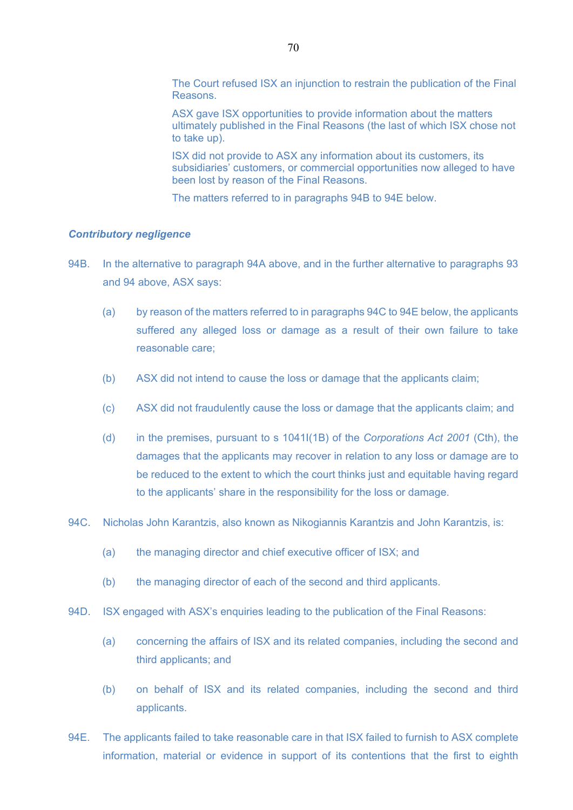The Court refused ISX an injunction to restrain the publication of the Final Reasons.

ASX gave ISX opportunities to provide information about the matters ultimately published in the Final Reasons (the last of which ISX chose not to take up).

ISX did not provide to ASX any information about its customers, its subsidiaries' customers, or commercial opportunities now alleged to have been lost by reason of the Final Reasons.

The matters referred to in paragraphs 94B to 94E below.

#### *Contributory negligence*

- 94B. In the alternative to paragraph 94A above, and in the further alternative to paragraphs 93 and 94 above, ASX says:
	- (a) by reason of the matters referred to in paragraphs 94C to 94E below, the applicants suffered any alleged loss or damage as a result of their own failure to take reasonable care;
	- (b) ASX did not intend to cause the loss or damage that the applicants claim;
	- (c) ASX did not fraudulently cause the loss or damage that the applicants claim; and
	- (d) in the premises, pursuant to s 1041I(1B) of the *Corporations Act 2001* (Cth), the damages that the applicants may recover in relation to any loss or damage are to be reduced to the extent to which the court thinks just and equitable having regard to the applicants' share in the responsibility for the loss or damage.
- 94C. Nicholas John Karantzis, also known as Nikogiannis Karantzis and John Karantzis, is:
	- (a) the managing director and chief executive officer of ISX; and
	- (b) the managing director of each of the second and third applicants.
- 94D. ISX engaged with ASX's enquiries leading to the publication of the Final Reasons:
	- (a) concerning the affairs of ISX and its related companies, including the second and third applicants; and
	- (b) on behalf of ISX and its related companies, including the second and third applicants.
- 94E. The applicants failed to take reasonable care in that ISX failed to furnish to ASX complete information, material or evidence in support of its contentions that the first to eighth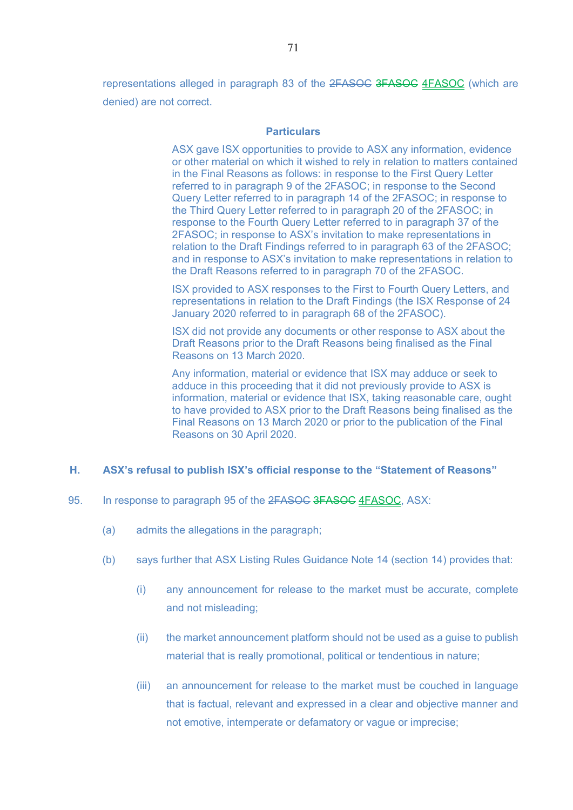representations alleged in paragraph 83 of the 2FASOC 3FASOC 4FASOC (which are denied) are not correct.

#### **Particulars**

ASX gave ISX opportunities to provide to ASX any information, evidence or other material on which it wished to rely in relation to matters contained in the Final Reasons as follows: in response to the First Query Letter referred to in paragraph 9 of the 2FASOC; in response to the Second Query Letter referred to in paragraph 14 of the 2FASOC; in response to the Third Query Letter referred to in paragraph 20 of the 2FASOC; in response to the Fourth Query Letter referred to in paragraph 37 of the 2FASOC; in response to ASX's invitation to make representations in relation to the Draft Findings referred to in paragraph 63 of the 2FASOC; and in response to ASX's invitation to make representations in relation to the Draft Reasons referred to in paragraph 70 of the 2FASOC.

ISX provided to ASX responses to the First to Fourth Query Letters, and representations in relation to the Draft Findings (the ISX Response of 24 January 2020 referred to in paragraph 68 of the 2FASOC).

ISX did not provide any documents or other response to ASX about the Draft Reasons prior to the Draft Reasons being finalised as the Final Reasons on 13 March 2020.

Any information, material or evidence that ISX may adduce or seek to adduce in this proceeding that it did not previously provide to ASX is information, material or evidence that ISX, taking reasonable care, ought to have provided to ASX prior to the Draft Reasons being finalised as the Final Reasons on 13 March 2020 or prior to the publication of the Final Reasons on 30 April 2020.

#### **H. ASX's refusal to publish ISX's official response to the "Statement of Reasons"**

- 95. In response to paragraph 95 of the 2FASOC 3FASOC 4FASOC, ASX:
	- (a) admits the allegations in the paragraph;
	- (b) says further that ASX Listing Rules Guidance Note 14 (section 14) provides that:
		- (i) any announcement for release to the market must be accurate, complete and not misleading;
		- (ii) the market announcement platform should not be used as a guise to publish material that is really promotional, political or tendentious in nature;
		- (iii) an announcement for release to the market must be couched in language that is factual, relevant and expressed in a clear and objective manner and not emotive, intemperate or defamatory or vague or imprecise;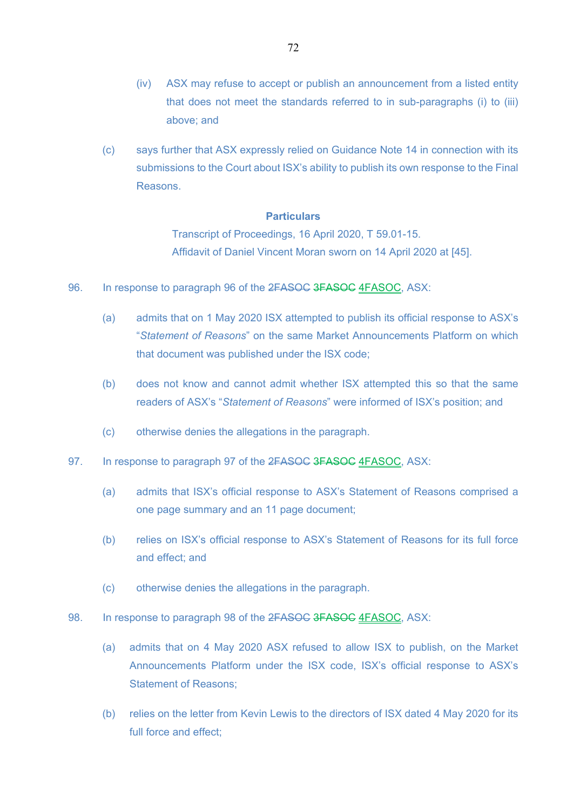- (iv) ASX may refuse to accept or publish an announcement from a listed entity that does not meet the standards referred to in sub-paragraphs (i) to (iii) above; and
- (c) says further that ASX expressly relied on Guidance Note 14 in connection with its submissions to the Court about ISX's ability to publish its own response to the Final Reasons.

## **Particulars**

Transcript of Proceedings, 16 April 2020, T 59.01-15. Affidavit of Daniel Vincent Moran sworn on 14 April 2020 at [45].

- 96. In response to paragraph 96 of the 2FASOC 3FASOC 4FASOC, ASX:
	- (a) admits that on 1 May 2020 ISX attempted to publish its official response to ASX's "*Statement of Reasons*" on the same Market Announcements Platform on which that document was published under the ISX code;
	- (b) does not know and cannot admit whether ISX attempted this so that the same readers of ASX's "*Statement of Reasons*" were informed of ISX's position; and
	- (c) otherwise denies the allegations in the paragraph.
- 97. In response to paragraph 97 of the 2FASOC 3FASOC 4FASOC, ASX:
	- (a) admits that ISX's official response to ASX's Statement of Reasons comprised a one page summary and an 11 page document;
	- (b) relies on ISX's official response to ASX's Statement of Reasons for its full force and effect; and
	- (c) otherwise denies the allegations in the paragraph.
- 98. In response to paragraph 98 of the 2FASOC 3FASOC 4FASOC, ASX:
	- (a) admits that on 4 May 2020 ASX refused to allow ISX to publish, on the Market Announcements Platform under the ISX code, ISX's official response to ASX's Statement of Reasons;
	- (b) relies on the letter from Kevin Lewis to the directors of ISX dated 4 May 2020 for its full force and effect;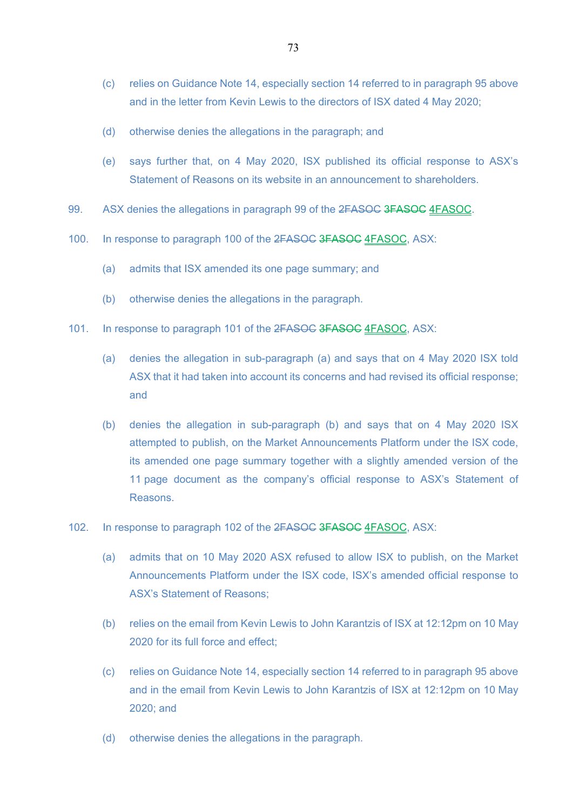- (c) relies on Guidance Note 14, especially section 14 referred to in paragraph 95 above and in the letter from Kevin Lewis to the directors of ISX dated 4 May 2020;
- (d) otherwise denies the allegations in the paragraph; and
- (e) says further that, on 4 May 2020, ISX published its official response to ASX's Statement of Reasons on its website in an announcement to shareholders.
- 99. ASX denies the allegations in paragraph 99 of the 2FASOC 3FASOC 4FASOC.
- 100. In response to paragraph 100 of the 2FASOC 3FASOC 4FASOC, ASX:
	- (a) admits that ISX amended its one page summary; and
	- (b) otherwise denies the allegations in the paragraph.
- 101. In response to paragraph 101 of the 2FASOC 3FASOC 4FASOC, ASX:
	- (a) denies the allegation in sub-paragraph (a) and says that on 4 May 2020 ISX told ASX that it had taken into account its concerns and had revised its official response; and
	- (b) denies the allegation in sub-paragraph (b) and says that on 4 May 2020 ISX attempted to publish, on the Market Announcements Platform under the ISX code, its amended one page summary together with a slightly amended version of the 11 page document as the company's official response to ASX's Statement of Reasons.
- 102. In response to paragraph 102 of the 2FASOC 3FASOC 4FASOC, ASX:
	- (a) admits that on 10 May 2020 ASX refused to allow ISX to publish, on the Market Announcements Platform under the ISX code, ISX's amended official response to ASX's Statement of Reasons;
	- (b) relies on the email from Kevin Lewis to John Karantzis of ISX at 12:12pm on 10 May 2020 for its full force and effect;
	- (c) relies on Guidance Note 14, especially section 14 referred to in paragraph 95 above and in the email from Kevin Lewis to John Karantzis of ISX at 12:12pm on 10 May 2020; and
	- (d) otherwise denies the allegations in the paragraph.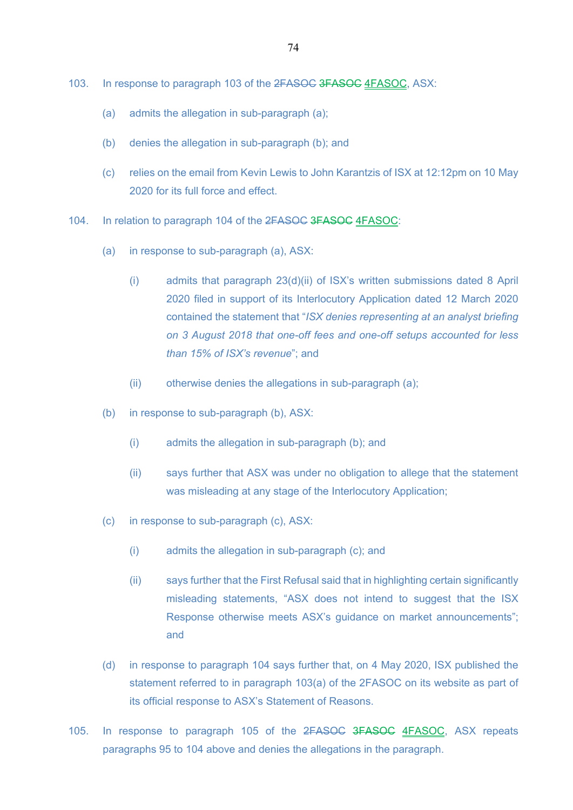- 103. In response to paragraph 103 of the 2FASOC 3FASOC 4FASOC, ASX:
	- (a) admits the allegation in sub-paragraph (a);
	- (b) denies the allegation in sub-paragraph (b); and
	- (c) relies on the email from Kevin Lewis to John Karantzis of ISX at 12:12pm on 10 May 2020 for its full force and effect.
- 104. In relation to paragraph 104 of the 2FASOC 3FASOC 4FASOC:
	- (a) in response to sub-paragraph (a), ASX:
		- (i) admits that paragraph 23(d)(ii) of ISX's written submissions dated 8 April 2020 filed in support of its Interlocutory Application dated 12 March 2020 contained the statement that "*ISX denies representing at an analyst briefing on 3 August 2018 that one-off fees and one-off setups accounted for less than 15% of ISX's revenue*"; and
		- (ii) otherwise denies the allegations in sub-paragraph (a);
	- (b) in response to sub-paragraph (b), ASX:
		- (i) admits the allegation in sub-paragraph (b); and
		- (ii) says further that ASX was under no obligation to allege that the statement was misleading at any stage of the Interlocutory Application;
	- (c) in response to sub-paragraph (c), ASX:
		- (i) admits the allegation in sub-paragraph (c); and
		- (ii) says further that the First Refusal said that in highlighting certain significantly misleading statements, "ASX does not intend to suggest that the ISX Response otherwise meets ASX's guidance on market announcements"; and
	- (d) in response to paragraph 104 says further that, on 4 May 2020, ISX published the statement referred to in paragraph 103(a) of the 2FASOC on its website as part of its official response to ASX's Statement of Reasons.
- 105. In response to paragraph 105 of the 2FASOC 3FASOC 4FASOC, ASX repeats paragraphs 95 to 104 above and denies the allegations in the paragraph.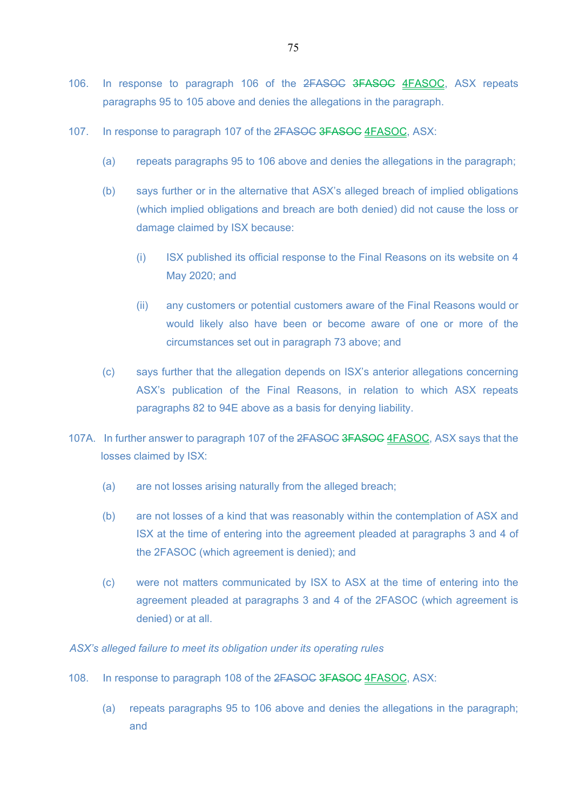- 106. In response to paragraph 106 of the 2FASOC 3FASOC 4FASOC, ASX repeats paragraphs 95 to 105 above and denies the allegations in the paragraph.
- 107. In response to paragraph 107 of the 2FASOC 3FASOC 4FASOC, ASX:
	- (a) repeats paragraphs 95 to 106 above and denies the allegations in the paragraph;
	- (b) says further or in the alternative that ASX's alleged breach of implied obligations (which implied obligations and breach are both denied) did not cause the loss or damage claimed by ISX because:
		- (i) ISX published its official response to the Final Reasons on its website on 4 May 2020; and
		- (ii) any customers or potential customers aware of the Final Reasons would or would likely also have been or become aware of one or more of the circumstances set out in paragraph 73 above; and
	- (c) says further that the allegation depends on ISX's anterior allegations concerning ASX's publication of the Final Reasons, in relation to which ASX repeats paragraphs 82 to 94E above as a basis for denying liability.
- 107A. In further answer to paragraph 107 of the 2FASOC 3FASOC 4FASOC, ASX says that the losses claimed by ISX:
	- (a) are not losses arising naturally from the alleged breach;
	- (b) are not losses of a kind that was reasonably within the contemplation of ASX and ISX at the time of entering into the agreement pleaded at paragraphs 3 and 4 of the 2FASOC (which agreement is denied); and
	- (c) were not matters communicated by ISX to ASX at the time of entering into the agreement pleaded at paragraphs 3 and 4 of the 2FASOC (which agreement is denied) or at all.

*ASX's alleged failure to meet its obligation under its operating rules*

- 108. In response to paragraph 108 of the 2FASOC 3FASOC 4FASOC, ASX:
	- (a) repeats paragraphs 95 to 106 above and denies the allegations in the paragraph; and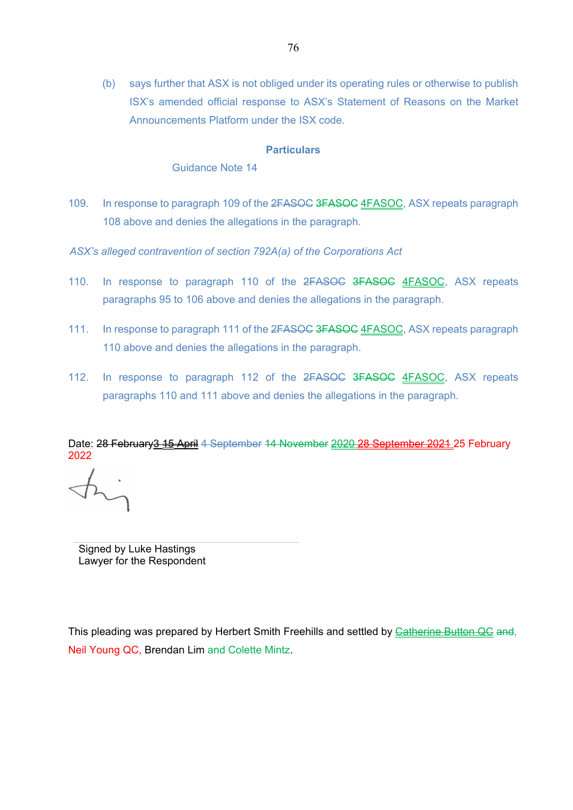(b) says further that ASX is not obliged under its operating rules or otherwise to publish ISX's amended official response to ASX's Statement of Reasons on the Market Announcements Platform under the ISX code.

## **Particulars**

Guidance Note 14

- 109. In response to paragraph 109 of the 2FASOC 3FASOC 4FASOC, ASX repeats paragraph 108 above and denies the allegations in the paragraph.
- *ASX's alleged contravention of section 792A(a) of the Corporations Act*
- 110. In response to paragraph 110 of the 2FASOC 3FASOC 4FASOC. ASX repeats paragraphs 95 to 106 above and denies the allegations in the paragraph.
- 111. In response to paragraph 111 of the 2FASOC 3FASOC 4FASOC, ASX repeats paragraph 110 above and denies the allegations in the paragraph.
- 112. In response to paragraph 112 of the 2FASOC 3FASOC 4FASOC, ASX repeats paragraphs 110 and 111 above and denies the allegations in the paragraph.

Date: 28 February 3 15 April 4 September 14 November 2020 28 September 2021 25 February 2022

Signed by Luke Hastings Lawyer for the Respondent

This pleading was prepared by Herbert Smith Freehills and settled by Catherine Button QC and, Neil Young QC, Brendan Lim and Colette Mintz.